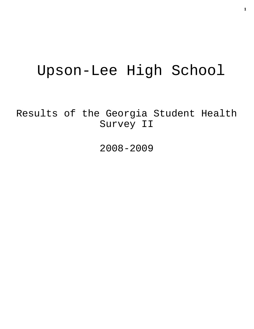# Upson-Lee High School

Results of the Georgia Student Health Survey II

2008-2009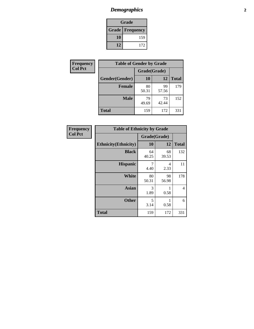# *Demographics* **2**

| Grade                    |     |  |  |  |
|--------------------------|-----|--|--|--|
| <b>Grade   Frequency</b> |     |  |  |  |
| 10                       | 159 |  |  |  |
| 12                       | 172 |  |  |  |

| <b>Frequency</b> | <b>Table of Gender by Grade</b> |              |             |              |  |  |
|------------------|---------------------------------|--------------|-------------|--------------|--|--|
| <b>Col Pct</b>   |                                 | Grade(Grade) |             |              |  |  |
|                  | Gender(Gender)                  | <b>10</b>    | 12          | <b>Total</b> |  |  |
|                  | <b>Female</b>                   | 80<br>50.31  | 99<br>57.56 | 179          |  |  |
|                  | <b>Male</b>                     | 79<br>49.69  | 73<br>42.44 | 152          |  |  |
|                  | <b>Total</b>                    | 159          | 172         | 331          |  |  |

| <b>Frequency</b> |
|------------------|
| <b>Col Pct</b>   |

| <b>Table of Ethnicity by Grade</b> |              |             |              |  |  |  |
|------------------------------------|--------------|-------------|--------------|--|--|--|
|                                    | Grade(Grade) |             |              |  |  |  |
| <b>Ethnicity</b> (Ethnicity)       | 10           | 12          | <b>Total</b> |  |  |  |
| <b>Black</b>                       | 64<br>40.25  | 68<br>39.53 | 132          |  |  |  |
| <b>Hispanic</b>                    | 7<br>4.40    | 4<br>2.33   | 11           |  |  |  |
| White                              | 80<br>50.31  | 98<br>56.98 | 178          |  |  |  |
| <b>Asian</b>                       | 3<br>1.89    | 0.58        | 4            |  |  |  |
| <b>Other</b>                       | 5<br>3.14    | 0.58        | 6            |  |  |  |
| <b>Total</b>                       | 159          | 172         | 331          |  |  |  |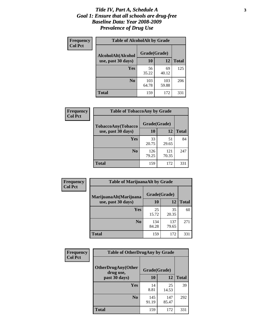#### *Title IV, Part A, Schedule A* **3** *Goal 1: Ensure that all schools are drug-free Baseline Data: Year 2008-2009 Prevalence of Drug Use*

| Frequency<br><b>Col Pct</b> | <b>Table of AlcoholAlt by Grade</b> |              |              |              |  |  |
|-----------------------------|-------------------------------------|--------------|--------------|--------------|--|--|
|                             | AlcoholAlt(Alcohol                  | Grade(Grade) |              |              |  |  |
|                             | use, past 30 days)                  | 10           | 12           | <b>Total</b> |  |  |
|                             | Yes                                 | 56<br>35.22  | 69<br>40.12  | 125          |  |  |
|                             | N <sub>0</sub>                      | 103<br>64.78 | 103<br>59.88 | 206          |  |  |
|                             | <b>Total</b>                        | 159          | 172          | 331          |  |  |

| Frequency      | <b>Table of TobaccoAny by Grade</b> |              |              |              |  |
|----------------|-------------------------------------|--------------|--------------|--------------|--|
| <b>Col Pct</b> | <b>TobaccoAny(Tobacco</b>           | Grade(Grade) |              |              |  |
|                | use, past 30 days)                  | 10           | 12           | <b>Total</b> |  |
|                | Yes                                 | 33<br>20.75  | 51<br>29.65  | 84           |  |
|                | N <sub>0</sub>                      | 126<br>79.25 | 121<br>70.35 | 247          |  |
|                | <b>Total</b>                        | 159          | 172          | 331          |  |

| Frequency<br><b>Col Pct</b> | <b>Table of MarijuanaAlt by Grade</b> |              |              |              |  |
|-----------------------------|---------------------------------------|--------------|--------------|--------------|--|
|                             | MarijuanaAlt(Marijuana                | Grade(Grade) |              |              |  |
|                             | use, past 30 days)                    | 10           | 12           | <b>Total</b> |  |
|                             | Yes                                   | 25<br>15.72  | 35<br>20.35  | 60           |  |
|                             | N <sub>0</sub>                        | 134<br>84.28 | 137<br>79.65 | 271          |  |
|                             | <b>Total</b>                          | 159          | 172          | 331          |  |

| Frequency<br><b>Col Pct</b> | <b>Table of OtherDrugAny by Grade</b>  |              |              |              |  |
|-----------------------------|----------------------------------------|--------------|--------------|--------------|--|
|                             | <b>OtherDrugAny(Other</b><br>drug use, | Grade(Grade) |              |              |  |
|                             | past 30 days)                          | 10           | 12           | <b>Total</b> |  |
|                             | Yes                                    | 14<br>8.81   | 25<br>14.53  | 39           |  |
|                             | N <sub>0</sub>                         | 145<br>91.19 | 147<br>85.47 | 292          |  |
|                             | <b>Total</b>                           | 159          | 172          | 331          |  |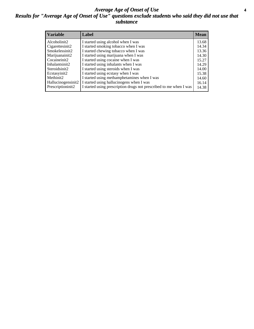#### *Average Age of Onset of Use* **4** *Results for "Average Age of Onset of Use" questions exclude students who said they did not use that substance*

| <b>Variable</b>    | Label                                                              | <b>Mean</b> |
|--------------------|--------------------------------------------------------------------|-------------|
| Alcoholinit2       | I started using alcohol when I was                                 | 13.68       |
| Cigarettesinit2    | I started smoking tobacco when I was                               | 14.34       |
| Smokelessinit2     | I started chewing tobacco when I was                               | 13.36       |
| Marijuanainit2     | I started using marijuana when I was                               | 14.30       |
| Cocaineinit2       | I started using cocaine when I was                                 | 15.27       |
| Inhalantsinit2     | I started using inhalants when I was                               | 14.29       |
| Steroidsinit2      | I started using steroids when I was                                | 14.00       |
| Ecstasyinit2       | I started using ecstasy when I was                                 | 15.38       |
| Methinit2          | I started using methamphetamines when I was                        | 14.60       |
| Hallucinogensinit2 | I started using hallucinogens when I was                           | 16.14       |
| Prescriptioninit2  | I started using prescription drugs not prescribed to me when I was | 14.38       |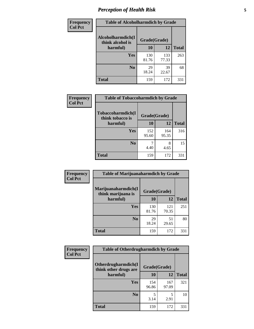# *Perception of Health Risk* **5**

| Frequency      | <b>Table of Alcoholharmdich by Grade</b> |              |              |              |  |
|----------------|------------------------------------------|--------------|--------------|--------------|--|
| <b>Col Pct</b> | Alcoholharmdich(I<br>think alcohol is    | Grade(Grade) |              |              |  |
|                | harmful)                                 | 10           | 12           | <b>Total</b> |  |
|                | Yes                                      | 130<br>81.76 | 133<br>77.33 | 263          |  |
|                | N <sub>0</sub>                           | 29<br>18.24  | 39<br>22.67  | 68           |  |
|                | <b>Total</b>                             | 159          | 172          | 331          |  |

| Frequency      | <b>Table of Tobaccoharmdich by Grade</b> |              |              |              |  |
|----------------|------------------------------------------|--------------|--------------|--------------|--|
| <b>Col Pct</b> | Tobaccoharmdich(I<br>think tobacco is    | Grade(Grade) |              |              |  |
|                | harmful)                                 | 10           | 12           | <b>Total</b> |  |
|                | <b>Yes</b>                               | 152<br>95.60 | 164<br>95.35 | 316          |  |
|                | N <sub>0</sub>                           | 4.40         | 8<br>4.65    | 15           |  |
|                | <b>Total</b>                             | 159          | 172          | 331          |  |

| Frequency<br><b>Col Pct</b> | <b>Table of Marijuanaharmdich by Grade</b> |              |              |              |  |  |
|-----------------------------|--------------------------------------------|--------------|--------------|--------------|--|--|
|                             | Marijuanaharmdich(I<br>think marijuana is  |              | Grade(Grade) |              |  |  |
|                             | harmful)                                   | <b>10</b>    | 12           | <b>Total</b> |  |  |
|                             | Yes                                        | 130<br>81.76 | 121<br>70.35 | 251          |  |  |
|                             | N <sub>0</sub>                             | 29<br>18.24  | 51<br>29.65  | 80           |  |  |
|                             | <b>Total</b>                               | 159          | 172          | 331          |  |  |

| <b>Frequency</b> | <b>Table of Otherdrugharmdich by Grade</b>                   |              |              |              |  |  |  |  |
|------------------|--------------------------------------------------------------|--------------|--------------|--------------|--|--|--|--|
| <b>Col Pct</b>   | Otherdrugharmdich(I<br>Grade(Grade)<br>think other drugs are |              |              |              |  |  |  |  |
|                  | harmful)                                                     | 10           | 12           | <b>Total</b> |  |  |  |  |
|                  | <b>Yes</b>                                                   | 154<br>96.86 | 167<br>97.09 | 321          |  |  |  |  |
|                  | N <sub>0</sub>                                               | 3.14         | 5<br>2.91    | 10           |  |  |  |  |
|                  | <b>Total</b>                                                 | 159          | 172          | 331          |  |  |  |  |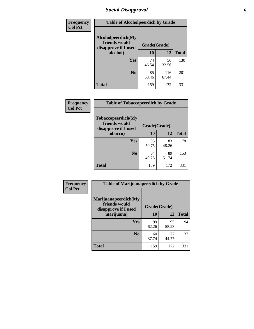# *Social Disapproval* **6**

| Frequency      | <b>Table of Alcoholpeerdich by Grade</b>                    |              |              |     |
|----------------|-------------------------------------------------------------|--------------|--------------|-----|
| <b>Col Pct</b> | Alcoholpeerdich(My<br>friends would<br>disapprove if I used | Grade(Grade) |              |     |
|                | alcohol)                                                    | 10           | <b>Total</b> |     |
|                | <b>Yes</b>                                                  | 74<br>46.54  | 56<br>32.56  | 130 |
|                | N <sub>0</sub>                                              | 85<br>53.46  | 116<br>67.44 | 201 |
|                | <b>Total</b>                                                | 159          | 172          | 331 |

| <b>Frequency</b> |
|------------------|
| <b>Col Pct</b>   |

| <b>Table of Tobaccopeerdich by Grade</b>                            |              |             |              |  |  |  |  |
|---------------------------------------------------------------------|--------------|-------------|--------------|--|--|--|--|
| <b>Tobaccopeerdich</b> (My<br>friends would<br>disapprove if I used | Grade(Grade) |             |              |  |  |  |  |
| tobacco)                                                            | 10           | 12          | <b>Total</b> |  |  |  |  |
| Yes                                                                 | 95<br>59.75  | 83<br>48.26 | 178          |  |  |  |  |
| N <sub>0</sub>                                                      | 64<br>40.25  | 89<br>51.74 | 153          |  |  |  |  |
| <b>Total</b>                                                        | 159          | 172         | 331          |  |  |  |  |

| Frequency      | <b>Table of Marijuanapeerdich by Grade</b>                    |              |             |              |  |  |  |  |
|----------------|---------------------------------------------------------------|--------------|-------------|--------------|--|--|--|--|
| <b>Col Pct</b> | Marijuanapeerdich(My<br>friends would<br>disapprove if I used | Grade(Grade) |             |              |  |  |  |  |
|                | marijuana)                                                    | 10           | 12          | <b>Total</b> |  |  |  |  |
|                | <b>Yes</b>                                                    | 99<br>62.26  | 95<br>55.23 | 194          |  |  |  |  |
|                | N <sub>0</sub>                                                | 60<br>37.74  | 77<br>44.77 | 137          |  |  |  |  |
|                | <b>Total</b>                                                  | 159          | 172         | 331          |  |  |  |  |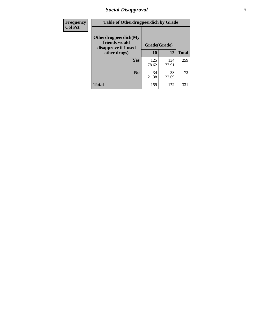# *Social Disapproval* **7**

| Frequency      | <b>Table of Otherdrugpeerdich by Grade</b>                    |              |              |              |  |  |  |  |
|----------------|---------------------------------------------------------------|--------------|--------------|--------------|--|--|--|--|
| <b>Col Pct</b> | Otherdrugpeerdich(My<br>friends would<br>disapprove if I used | Grade(Grade) |              |              |  |  |  |  |
|                | other drugs)                                                  | 10           | 12           | <b>Total</b> |  |  |  |  |
|                | Yes                                                           | 125<br>78.62 | 134<br>77.91 | 259          |  |  |  |  |
|                | N <sub>0</sub>                                                | 34<br>21.38  | 38<br>22.09  | 72           |  |  |  |  |
|                | <b>Total</b>                                                  | 159          | 172          | 331          |  |  |  |  |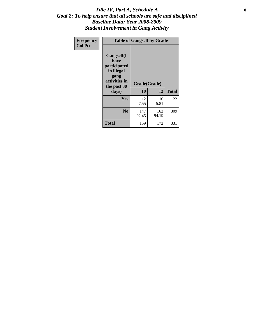#### Title IV, Part A, Schedule A **8** *Goal 2: To help ensure that all schools are safe and disciplined Baseline Data: Year 2008-2009 Student Involvement in Gang Activity*

| Frequency      |                                                                                                           | <b>Table of Gangself by Grade</b> |              |              |
|----------------|-----------------------------------------------------------------------------------------------------------|-----------------------------------|--------------|--------------|
| <b>Col Pct</b> | <b>Gangself</b> (I<br>have<br>participated<br>in illegal<br>gang<br>activities in<br>the past 30<br>days) | Grade(Grade)<br>10                | 12           | <b>Total</b> |
|                | Yes                                                                                                       | 12<br>7.55                        | 10<br>5.81   | 22           |
|                | N <sub>0</sub>                                                                                            | 147<br>92.45                      | 162<br>94.19 | 309          |
|                | <b>Total</b>                                                                                              | 159                               | 172          | 331          |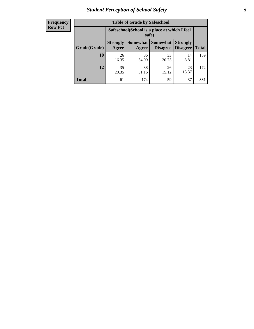# *Student Perception of School Safety* **9**

| <b>Frequency</b><br>Row Pct |
|-----------------------------|
|                             |

| <b>Table of Grade by Safeschool</b> |                                                                                                                                   |             |             |             |     |  |  |  |
|-------------------------------------|-----------------------------------------------------------------------------------------------------------------------------------|-------------|-------------|-------------|-----|--|--|--|
|                                     | Safeschool (School is a place at which I feel<br>safe)                                                                            |             |             |             |     |  |  |  |
| Grade(Grade)                        | <b>Somewhat   Somewhat</b><br><b>Strongly</b><br><b>Strongly</b><br><b>Disagree</b><br>Agree<br>Disagree<br><b>Total</b><br>Agree |             |             |             |     |  |  |  |
| 10                                  | 26<br>16.35                                                                                                                       | 86<br>54.09 | 33<br>20.75 | 14<br>8.81  | 159 |  |  |  |
| 12                                  | 35<br>20.35                                                                                                                       | 88<br>51.16 | 26<br>15.12 | 23<br>13.37 | 172 |  |  |  |
| <b>Total</b>                        | 61                                                                                                                                | 174         | 59          | 37          | 331 |  |  |  |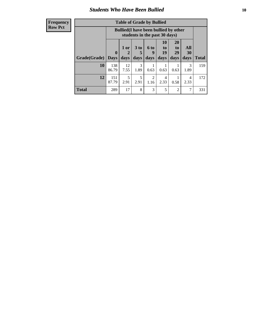### *Students Who Have Been Bullied* **10**

| <b>Frequency</b> |
|------------------|
| Row Pct          |

| <b>Table of Grade by Bullied</b> |                            |                                                                               |                              |                   |                               |                               |                          |              |
|----------------------------------|----------------------------|-------------------------------------------------------------------------------|------------------------------|-------------------|-------------------------------|-------------------------------|--------------------------|--------------|
|                                  |                            | <b>Bullied</b> (I have been bullied by other<br>students in the past 30 days) |                              |                   |                               |                               |                          |              |
| Grade(Grade)                     | $\mathbf 0$<br><b>Days</b> | 1 or<br>2<br>days                                                             | 3 <sub>to</sub><br>5<br>days | 6 to<br>9<br>days | <b>10</b><br>to<br>19<br>days | <b>20</b><br>to<br>29<br>days | <b>All</b><br>30<br>days | <b>Total</b> |
| 10                               | 138<br>86.79               | 12<br>7.55                                                                    | 3<br>1.89                    | 0.63              | 0.63                          | 0.63                          | 3<br>1.89                | 159          |
| 12                               | 151<br>87.79               | 5<br>2.91                                                                     | 5<br>2.91                    | 2<br>1.16         | 4<br>2.33                     | 0.58                          | 4<br>2.33                | 172          |
| <b>Total</b>                     | 289                        | 17                                                                            | 8                            | 3                 | 5                             | $\overline{2}$                | 7                        | 331          |

 $\blacksquare$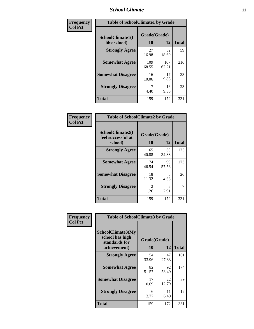### *School Climate* **11**

| Frequency      | <b>Table of SchoolClimate1 by Grade</b> |                    |              |              |  |  |  |
|----------------|-----------------------------------------|--------------------|--------------|--------------|--|--|--|
| <b>Col Pct</b> | SchoolClimate1(I<br>like school)        | Grade(Grade)<br>10 | 12           | <b>Total</b> |  |  |  |
|                | <b>Strongly Agree</b>                   | 27<br>16.98        | 32<br>18.60  | 59           |  |  |  |
|                | <b>Somewhat Agree</b>                   | 109<br>68.55       | 107<br>62.21 | 216          |  |  |  |
|                | <b>Somewhat Disagree</b>                | 16<br>10.06        | 17<br>9.88   | 33           |  |  |  |
|                | <b>Strongly Disagree</b>                | 7<br>4.40          | 16<br>9.30   | 23           |  |  |  |
|                | <b>Total</b>                            | 159                | 172          | 331          |  |  |  |

| Frequency<br>Col Pct |  |
|----------------------|--|

| <b>Table of SchoolClimate2 by Grade</b>           |                        |             |              |  |  |
|---------------------------------------------------|------------------------|-------------|--------------|--|--|
| SchoolClimate2(I<br>feel successful at<br>school) | Grade(Grade)<br>10     | 12          | <b>Total</b> |  |  |
| <b>Strongly Agree</b>                             | 65<br>40.88            | 60<br>34.88 | 125          |  |  |
| <b>Somewhat Agree</b>                             | 74<br>46.54            | 99<br>57.56 | 173          |  |  |
| <b>Somewhat Disagree</b>                          | 18<br>11.32            | 8<br>4.65   | 26           |  |  |
| <b>Strongly Disagree</b>                          | $\mathfrak{D}$<br>1.26 | 5<br>2.91   | 7            |  |  |
| Total                                             | 159                    | 172         | 331          |  |  |

| Frequency      | <b>Table of SchoolClimate3 by Grade</b>                                      |                          |             |              |  |  |
|----------------|------------------------------------------------------------------------------|--------------------------|-------------|--------------|--|--|
| <b>Col Pct</b> | <b>SchoolClimate3(My</b><br>school has high<br>standards for<br>achievement) | Grade(Grade)<br>10<br>12 |             | <b>Total</b> |  |  |
|                |                                                                              |                          |             |              |  |  |
|                | <b>Strongly Agree</b>                                                        | 54<br>33.96              | 47<br>27.33 | 101          |  |  |
|                | <b>Somewhat Agree</b>                                                        | 82<br>51.57              | 92<br>53.49 | 174          |  |  |
|                | <b>Somewhat Disagree</b>                                                     | 17<br>10.69              | 22<br>12.79 | 39           |  |  |
|                | <b>Strongly Disagree</b>                                                     | 6<br>3.77                | 11<br>6.40  | 17           |  |  |
|                | Total                                                                        | 159                      | 172         | 331          |  |  |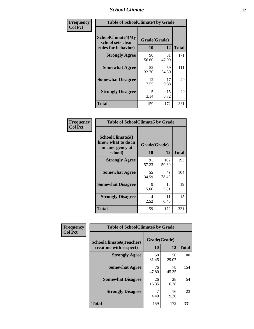### *School Climate* **12**

| Frequency      | <b>Table of SchoolClimate4 by Grade</b>                              |                    |             |              |
|----------------|----------------------------------------------------------------------|--------------------|-------------|--------------|
| <b>Col Pct</b> | <b>SchoolClimate4(My</b><br>school sets clear<br>rules for behavior) | Grade(Grade)<br>10 | 12          | <b>Total</b> |
|                | <b>Strongly Agree</b>                                                | 90<br>56.60        | 81<br>47.09 | 171          |
|                | <b>Somewhat Agree</b>                                                | 52<br>32.70        | 59<br>34.30 | 111          |
|                | <b>Somewhat Disagree</b>                                             | 12<br>7.55         | 17<br>9.88  | 29           |
|                | <b>Strongly Disagree</b>                                             | 5<br>3.14          | 15<br>8.72  | 20           |
|                | <b>Total</b>                                                         | 159                | 172         | 331          |

| <b>Table of SchoolClimate5 by Grade</b>                   |             |              |              |  |  |
|-----------------------------------------------------------|-------------|--------------|--------------|--|--|
| SchoolClimate5(I<br>know what to do in<br>an emergency at |             |              |              |  |  |
| school)                                                   | 10          | 12           | <b>Total</b> |  |  |
| <b>Strongly Agree</b>                                     | 91<br>57.23 | 102<br>59.30 | 193          |  |  |
| <b>Somewhat Agree</b>                                     | 55<br>34.59 | 49<br>28.49  | 104          |  |  |
| <b>Somewhat Disagree</b>                                  | 9<br>5.66   | 10<br>5.81   | 19           |  |  |
| <b>Strongly Disagree</b>                                  | 4<br>2.52   | 11<br>6.40   | 15           |  |  |
| <b>Total</b>                                              | 159         | 172          | 331          |  |  |

| Frequency      | <b>Table of SchoolClimate6 by Grade</b>                  |                    |             |              |  |
|----------------|----------------------------------------------------------|--------------------|-------------|--------------|--|
| <b>Col Pct</b> | <b>SchoolClimate6(Teachers</b><br>treat me with respect) | Grade(Grade)<br>10 | 12          | <b>Total</b> |  |
|                | <b>Strongly Agree</b>                                    | 50<br>31.45        | 50<br>29.07 | 100          |  |
|                | <b>Somewhat Agree</b>                                    | 76<br>47.80        | 78<br>45.35 | 154          |  |
|                | <b>Somewhat Disagree</b>                                 | 26<br>16.35        | 28<br>16.28 | 54           |  |
|                | <b>Strongly Disagree</b>                                 | 4.40               | 16<br>9.30  | 23           |  |
|                | <b>Total</b>                                             | 159                | 172         | 331          |  |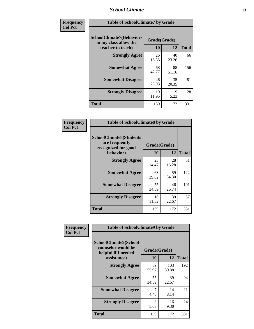### *School Climate* **13**

| Frequency      | <b>Table of SchoolClimate7 by Grade</b>                                       |                    |             |              |  |
|----------------|-------------------------------------------------------------------------------|--------------------|-------------|--------------|--|
| <b>Col Pct</b> | <b>SchoolClimate7(Behaviors</b><br>in my class allow the<br>teacher to teach) | Grade(Grade)<br>10 | 12          | <b>Total</b> |  |
|                | <b>Strongly Agree</b>                                                         | 26<br>16.35        | 40<br>23.26 | 66           |  |
|                | <b>Somewhat Agree</b>                                                         | 68<br>42.77        | 88<br>51.16 | 156          |  |
|                | <b>Somewhat Disagree</b>                                                      | 46<br>28.93        | 35<br>20.35 | 81           |  |
|                | <b>Strongly Disagree</b>                                                      | 19<br>11.95        | 9<br>5.23   | 28           |  |
|                | <b>Total</b>                                                                  | 159                | 172         | 331          |  |

| Frequency      | <b>Table of SchoolClimate8 by Grade</b>                                              |                    |             |              |  |
|----------------|--------------------------------------------------------------------------------------|--------------------|-------------|--------------|--|
| <b>Col Pct</b> | <b>SchoolClimate8(Students</b><br>are frequently<br>recognized for good<br>behavior) | Grade(Grade)<br>10 | 12          | <b>Total</b> |  |
|                | <b>Strongly Agree</b>                                                                | 23<br>14.47        | 28<br>16.28 | 51           |  |
|                | <b>Somewhat Agree</b>                                                                | 63<br>39.62        | 59<br>34.30 | 122          |  |
|                | <b>Somewhat Disagree</b>                                                             | 55<br>34.59        | 46<br>26.74 | 101          |  |
|                | <b>Strongly Disagree</b>                                                             | 18<br>11.32        | 39<br>22.67 | 57           |  |
|                | <b>Total</b>                                                                         | 159                | 172         | 331          |  |

| Frequency      | <b>Table of SchoolClimate9 by Grade</b>                                           |                    |              |              |  |
|----------------|-----------------------------------------------------------------------------------|--------------------|--------------|--------------|--|
| <b>Col Pct</b> | SchoolClimate9(School<br>counselor would be<br>helpful if I needed<br>assistance) | Grade(Grade)<br>10 | 12           | <b>Total</b> |  |
|                | <b>Strongly Agree</b>                                                             | 89<br>55.97        | 103<br>59.88 | 192          |  |
|                | <b>Somewhat Agree</b>                                                             | 55<br>34.59        | 39<br>22.67  | 94           |  |
|                | <b>Somewhat Disagree</b>                                                          | 7<br>4.40          | 14<br>8.14   | 21           |  |
|                | <b>Strongly Disagree</b>                                                          | 8<br>5.03          | 16<br>9.30   | 24           |  |
|                | Total                                                                             | 159                | 172          | 331          |  |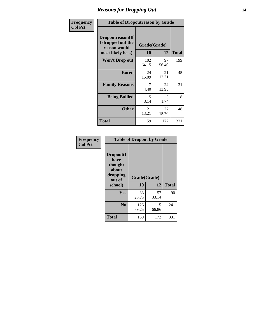### *Reasons for Dropping Out* **14**

| Frequency      | <b>Table of Dropoutreason by Grade</b>                                   |                    |             |              |
|----------------|--------------------------------------------------------------------------|--------------------|-------------|--------------|
| <b>Col Pct</b> | Dropoutreason(If<br>I dropped out the<br>reason would<br>most likely be) | Grade(Grade)<br>10 | 12          | <b>Total</b> |
|                | Won't Drop out                                                           | 102<br>64.15       | 97<br>56.40 | 199          |
|                | <b>Bored</b>                                                             | 24<br>15.09        | 21<br>12.21 | 45           |
|                | <b>Family Reasons</b>                                                    | 7<br>4.40          | 24<br>13.95 | 31           |
|                | <b>Being Bullied</b>                                                     | 5<br>3.14          | 3<br>1.74   | 8            |
|                | <b>Other</b>                                                             | 21<br>13.21        | 27<br>15.70 | 48           |
|                | <b>Total</b>                                                             | 159                | 172         | 331          |

| Frequency      | <b>Table of Dropout by Grade</b>                                       |                    |              |              |  |
|----------------|------------------------------------------------------------------------|--------------------|--------------|--------------|--|
| <b>Col Pct</b> | Dropout(I<br>have<br>thought<br>about<br>dropping<br>out of<br>school) | Grade(Grade)<br>10 | 12           | <b>Total</b> |  |
|                |                                                                        |                    |              |              |  |
|                | Yes                                                                    | 33<br>20.75        | 57<br>33.14  | 90           |  |
|                | N <sub>0</sub>                                                         | 126<br>79.25       | 115<br>66.86 | 241          |  |
|                | <b>Total</b>                                                           | 159                | 172          | 331          |  |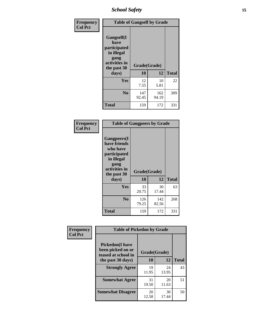*School Safety* **15**

| Frequency      | <b>Table of Gangself by Grade</b>                                                                 |                    |              |              |  |
|----------------|---------------------------------------------------------------------------------------------------|--------------------|--------------|--------------|--|
| <b>Col Pct</b> | Gangself(I<br>have<br>participated<br>in illegal<br>gang<br>activities in<br>the past 30<br>days) | Grade(Grade)<br>10 | 12           | <b>Total</b> |  |
|                | Yes                                                                                               | 12<br>7.55         | 10<br>5.81   | 22           |  |
|                | N <sub>0</sub>                                                                                    | 147<br>92.45       | 162<br>94.19 | 309          |  |
|                | <b>Total</b>                                                                                      | 159                | 172          | 331          |  |

| Frequency<br><b>Col Pct</b> | <b>Table of Gangpeers by Grade</b>                                                                                             |                    |              |              |  |  |  |  |  |
|-----------------------------|--------------------------------------------------------------------------------------------------------------------------------|--------------------|--------------|--------------|--|--|--|--|--|
|                             | <b>Gangpeers</b> (I<br>have friends<br>who have<br>participated<br>in illegal<br>gang<br>activities in<br>the past 30<br>days) | Grade(Grade)<br>10 | 12           | <b>Total</b> |  |  |  |  |  |
|                             | <b>Yes</b>                                                                                                                     | 33<br>20.75        | 30<br>17.44  | 63           |  |  |  |  |  |
|                             | N <sub>0</sub>                                                                                                                 | 126<br>79.25       | 142<br>82.56 | 268          |  |  |  |  |  |
|                             | <b>Total</b>                                                                                                                   | 159                | 172          | 331          |  |  |  |  |  |

| Frequency      |                                                                    | <b>Table of Pickedon by Grade</b> |             |              |  |  |  |  |  |  |  |
|----------------|--------------------------------------------------------------------|-----------------------------------|-------------|--------------|--|--|--|--|--|--|--|
| <b>Col Pct</b> | <b>Pickedon(I have</b><br>been picked on or<br>teased at school in | Grade(Grade)                      |             |              |  |  |  |  |  |  |  |
|                | the past 30 days)                                                  | 10                                | 12          | <b>Total</b> |  |  |  |  |  |  |  |
|                | <b>Strongly Agree</b>                                              | 19<br>11.95                       | 24<br>13.95 | 43           |  |  |  |  |  |  |  |
|                | <b>Somewhat Agree</b>                                              | 31<br>19.50                       | 20<br>11.63 | 51           |  |  |  |  |  |  |  |
|                | <b>Somewhat Disagree</b>                                           | 20<br>12.58                       | 30<br>17.44 | 50           |  |  |  |  |  |  |  |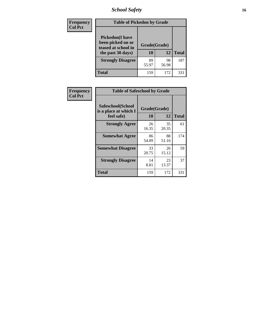*School Safety* **16**

| <b>Frequency</b> | <b>Table of Pickedon by Grade</b>                                                        |                    |             |              |  |  |  |  |  |  |
|------------------|------------------------------------------------------------------------------------------|--------------------|-------------|--------------|--|--|--|--|--|--|
| <b>Col Pct</b>   | <b>Pickedon</b> (I have<br>been picked on or<br>teased at school in<br>the past 30 days) | Grade(Grade)<br>10 | 12          | <b>Total</b> |  |  |  |  |  |  |
|                  | <b>Strongly Disagree</b>                                                                 | 89<br>55.97        | 98<br>56.98 | 187          |  |  |  |  |  |  |
|                  | Total                                                                                    | 159                | 172         | 33.          |  |  |  |  |  |  |

| <b>Frequency</b> | <b>Table of Safeschool by Grade</b>        |              |             |              |  |  |  |  |  |  |
|------------------|--------------------------------------------|--------------|-------------|--------------|--|--|--|--|--|--|
| <b>Col Pct</b>   | Safeschool(School<br>is a place at which I | Grade(Grade) |             |              |  |  |  |  |  |  |
|                  | feel safe)                                 | 10           | 12          | <b>Total</b> |  |  |  |  |  |  |
|                  | <b>Strongly Agree</b>                      | 26<br>16.35  | 35<br>20.35 | 61           |  |  |  |  |  |  |
|                  | <b>Somewhat Agree</b>                      | 86<br>54.09  | 88<br>51.16 | 174          |  |  |  |  |  |  |
|                  | <b>Somewhat Disagree</b>                   | 33<br>20.75  | 26<br>15.12 | 59           |  |  |  |  |  |  |
|                  | <b>Strongly Disagree</b>                   | 14<br>8.81   | 23<br>13.37 | 37           |  |  |  |  |  |  |
|                  | <b>Total</b>                               | 159          | 172         | 331          |  |  |  |  |  |  |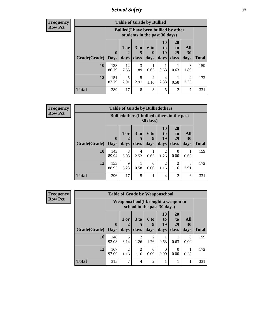*School Safety* **17**

| <b>Frequency</b> |
|------------------|
| Row Pct          |

| <b>Table of Grade by Bullied</b> |                             |                                                                               |                              |                          |                        |                        |                          |              |  |  |  |  |
|----------------------------------|-----------------------------|-------------------------------------------------------------------------------|------------------------------|--------------------------|------------------------|------------------------|--------------------------|--------------|--|--|--|--|
|                                  |                             | <b>Bullied</b> (I have been bullied by other<br>students in the past 30 days) |                              |                          |                        |                        |                          |              |  |  |  |  |
| Grade(Grade)                     | $\mathbf{0}$<br><b>Days</b> | $1$ or $ $<br>days                                                            | 3 <sub>to</sub><br>5<br>days | <b>6 to</b><br>9<br>days | 10<br>to<br>19<br>days | 20<br>to<br>29<br>days | <b>All</b><br>30<br>days | <b>Total</b> |  |  |  |  |
| 10                               | 138<br>86.79                | 12<br>7.55                                                                    | 3<br>1.89                    | 0.63                     | 0.63                   | 0.63                   | 3<br>1.89                | 159          |  |  |  |  |
| 12                               | 151<br>87.79                | 5<br>2.91                                                                     | 5<br>2.91                    | 2<br>1.16                | 4<br>2.33              | 0.58                   | 4<br>2.33                | 172          |  |  |  |  |
| <b>Total</b>                     | 289                         | 17                                                                            | 8                            | $\mathcal{R}$            | 5                      | $\overline{2}$         | 7                        | 331          |  |  |  |  |

| Frequency      | <b>Table of Grade by Bulliedothers</b> |                            |                                                                         |                         |                          |                        |                               |                   |              |  |  |  |
|----------------|----------------------------------------|----------------------------|-------------------------------------------------------------------------|-------------------------|--------------------------|------------------------|-------------------------------|-------------------|--------------|--|--|--|
| <b>Row Pct</b> |                                        |                            | <b>Bulliedothers</b> (I bullied others in the past<br>$30 \text{ days}$ |                         |                          |                        |                               |                   |              |  |  |  |
|                | Grade(Grade)                           | $\mathbf 0$<br><b>Days</b> | 1 or<br>days                                                            | 3 <sub>to</sub><br>days | <b>6 to</b><br>9<br>days | 10<br>to<br>19<br>days | <b>20</b><br>to<br>29<br>days | All<br>30<br>days | <b>Total</b> |  |  |  |
|                | 10                                     | 143<br>89.94               | 8<br>5.03                                                               | 4<br>2.52               | 0.63                     | 2<br>1.26              | 0<br>0.00                     | 0.63              | 159          |  |  |  |
|                | 12                                     | 153<br>88.95               | 9<br>5.23                                                               | 0.58                    | $\Omega$<br>0.00         | $\overline{2}$<br>1.16 | 2<br>1.16                     | 5<br>2.91         | 172          |  |  |  |
|                | <b>Total</b>                           | 296                        | 17                                                                      | 5                       |                          | 4                      | $\mathfrak{D}$                | 6                 | 331          |  |  |  |

| Frequency      |                     |                                                                    |           | <b>Table of Grade by Weaponschool</b> |                  |                  |                       |                  |              |
|----------------|---------------------|--------------------------------------------------------------------|-----------|---------------------------------------|------------------|------------------|-----------------------|------------------|--------------|
| <b>Row Pct</b> |                     | Weaponschool (I brought a weapon to<br>school in the past 30 days) |           |                                       |                  |                  |                       |                  |              |
|                |                     | $\mathbf{0}$                                                       | $1$ or    | 3 <sub>to</sub>                       | <b>6 to</b><br>9 | 10<br>to<br>19   | <b>20</b><br>to<br>29 | All<br>30        |              |
|                | Grade(Grade)   Days |                                                                    | days      | days                                  | days             | days             | days                  | days             | <b>Total</b> |
|                | 10                  | 148<br>93.08                                                       | 5<br>3.14 | $\mathfrak{D}$<br>1.26                | 2<br>1.26        | 0.63             | 0.63                  | $\theta$<br>0.00 | 159          |
|                | 12                  | 167<br>97.09                                                       | 2<br>1.16 | $\mathfrak{D}$<br>1.16                | $\Omega$<br>0.00 | $\Omega$<br>0.00 | 0<br>0.00             | 0.58             | 172          |
|                | <b>Total</b>        | 315                                                                | 7         | 4                                     | $\mathfrak{D}$   |                  |                       |                  | 331          |

Ĩ.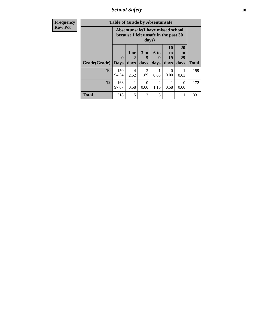*School Safety* **18**

| <b>Frequency</b> | <b>Table of Grade by Absentunsafe</b> |                                                                           |                   |                              |                                     |                               |                        |              |  |  |
|------------------|---------------------------------------|---------------------------------------------------------------------------|-------------------|------------------------------|-------------------------------------|-------------------------------|------------------------|--------------|--|--|
| <b>Row Pct</b>   |                                       | Absentunsafe(I have missed school<br>because I felt unsafe in the past 30 |                   |                              |                                     |                               |                        |              |  |  |
|                  | Grade(Grade)                          | $\bf{0}$<br><b>Days</b>                                                   | 1 or<br>2<br>days | 3 <sub>to</sub><br>5<br>days | 6 to<br>9<br>days                   | <b>10</b><br>to<br>19<br>days | 20<br>to<br>29<br>days | <b>Total</b> |  |  |
|                  | 10                                    | 150<br>94.34                                                              | 4<br>2.52         | 3<br>1.89                    | 0.63                                | 0<br>0.00                     | 0.63                   | 159          |  |  |
|                  | 12                                    | 168<br>97.67                                                              | 0.58              | 0<br>0.00                    | $\mathcal{D}_{\mathcal{L}}$<br>1.16 | 0.58                          | $\Omega$<br>0.00       | 172          |  |  |
|                  | <b>Total</b>                          | 318                                                                       | 5                 | 3                            | 3                                   |                               | 1                      | 331          |  |  |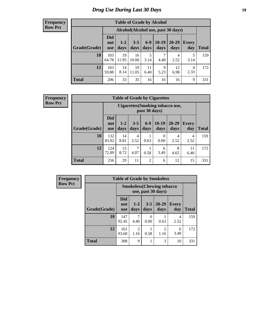# *Drug Use During Last 30 Days* **19**

#### **Frequency Row Pct**

| <b>Table of Grade by Alcohol</b> |                                 |                                    |                 |               |                 |                   |              |              |  |  |  |
|----------------------------------|---------------------------------|------------------------------------|-----------------|---------------|-----------------|-------------------|--------------|--------------|--|--|--|
|                                  |                                 | Alcohol(Alcohol use, past 30 days) |                 |               |                 |                   |              |              |  |  |  |
| Grade(Grade)                     | <b>Did</b><br>not<br><b>use</b> | $1 - 2$<br>days                    | $3 - 5$<br>days | $6-9$<br>days | $10-19$<br>days | $20 - 29$<br>days | Every<br>day | <b>Total</b> |  |  |  |
| 10                               | 103<br>64.78                    | 19<br>11.95                        | 16<br>10.06     | 5<br>3.14     | 7<br>4.40       | 4<br>2.52         | 5<br>3.14    | 159          |  |  |  |
| 12                               | 103<br>59.88                    | 14<br>8.14                         | 19<br>11.05     | 11<br>6.40    | 9<br>5.23       | 12<br>6.98        | 4<br>2.33    | 172          |  |  |  |
| <b>Total</b>                     | 206                             | 33                                 | 35              | 16            | 16              | 16                | 9            | 331          |  |  |  |

#### **Frequency Row Pct**

| <b>Table of Grade by Cigarettes</b> |                          |                                                   |                 |                |                 |                   |              |              |  |  |
|-------------------------------------|--------------------------|---------------------------------------------------|-----------------|----------------|-----------------|-------------------|--------------|--------------|--|--|
|                                     |                          | Cigarettes (Smoking tobacco use,<br>past 30 days) |                 |                |                 |                   |              |              |  |  |
| Grade(Grade)                        | Did<br>not<br><b>use</b> | $1 - 2$<br>days                                   | $3 - 5$<br>days | $6-9$<br>days  | $10-19$<br>days | $20 - 29$<br>days | Every<br>day | <b>Total</b> |  |  |
| 10                                  | 132<br>83.02             | 14<br>8.81                                        | 4<br>2.52       | 0.63           | 0<br>0.00       | 4<br>2.52         | 4<br>2.52    | 159          |  |  |
| 12                                  | 124<br>72.09             | 15<br>8.72                                        | 7<br>4.07       | 0.58           | 6<br>3.49       | 8<br>4.65         | 11<br>6.40   | 172          |  |  |
| <b>Total</b>                        | 256                      | 29                                                | 11              | $\overline{2}$ | 6               | 12                | 15           | 331          |  |  |

| Frequency      | <b>Table of Grade by Smokeless</b> |                                   |                 |                  |                        |              |              |
|----------------|------------------------------------|-----------------------------------|-----------------|------------------|------------------------|--------------|--------------|
| <b>Row Pct</b> |                                    | <b>Smokeless</b> (Chewing tobacco |                 |                  |                        |              |              |
|                | Grade(Grade)                       | Did<br>not<br><b>use</b>          | $1 - 2$<br>days | $3 - 5$<br>days  | $20 - 29$<br>days      | Every<br>day | <b>Total</b> |
|                | <b>10</b>                          | 147<br>92.45                      | 4.40            | $\Omega$<br>0.00 | 0.63                   | 4<br>2.52    | 159          |
|                | 12                                 | 161<br>93.60                      | 2<br>1.16       | 0.58             | $\mathfrak{D}$<br>1.16 | 6<br>3.49    | 172          |
|                | <b>Total</b>                       | 308                               | 9               |                  | 3                      | 10           | 331          |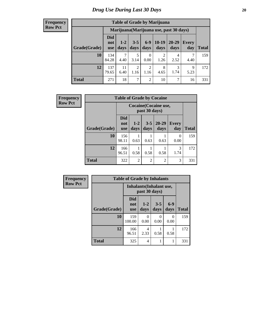#### **Frequency Row Pct**

| <b>Table of Grade by Marijuana</b> |                                 |                                         |                        |                        |                 |               |              |       |
|------------------------------------|---------------------------------|-----------------------------------------|------------------------|------------------------|-----------------|---------------|--------------|-------|
|                                    |                                 | Marijuana (Marijuana use, past 30 days) |                        |                        |                 |               |              |       |
| Grade(Grade)                       | <b>Did</b><br>not<br><b>use</b> | $1 - 2$<br>days                         | $3 - 5$<br>days        | $6 - 9$<br>days        | $10-19$<br>days | 20-29<br>days | Every<br>day | Total |
| 10                                 | 134<br>84.28                    | $\mathcal{I}$<br>4.40                   | 5<br>3.14              | $\theta$<br>0.00       | 2<br>1.26       | 4<br>2.52     | 4.40         | 159   |
| 12                                 | 137<br>79.65                    | 11<br>6.40                              | $\mathfrak{D}$<br>1.16 | $\overline{c}$<br>1.16 | 8<br>4.65       | 3<br>1.74     | 9<br>5.23    | 172   |
| <b>Total</b>                       | 271                             | 18                                      | 7                      | $\overline{c}$         | 10              | ℸ             | 16           | 331   |

| Frequency      |              | <b>Table of Grade by Cocaine</b> |                                        |                 |                   |                     |              |  |
|----------------|--------------|----------------------------------|----------------------------------------|-----------------|-------------------|---------------------|--------------|--|
| <b>Row Pct</b> |              |                                  | Cocaine (Cocaine use,<br>past 30 days) |                 |                   |                     |              |  |
|                | Grade(Grade) | <b>Did</b><br>not<br><b>use</b>  | $1 - 2$<br>days                        | $3 - 5$<br>days | $20 - 29$<br>days | <b>Every</b><br>day | <b>Total</b> |  |
|                | 10           | 156<br>98.11                     | 0.63                                   | 0.63            | 0.63              | $\Omega$<br>0.00    | 159          |  |
|                | 12           | 166<br>96.51                     | 0.58                                   | 0.58            | 0.58              | 3<br>1.74           | 172          |  |
|                | <b>Total</b> | 322                              | $\overline{2}$                         | $\overline{2}$  | $\overline{c}$    | 3                   | 331          |  |

| Frequency      | <b>Table of Grade by Inhalants</b> |                          |                                                  |                 |               |              |  |  |  |
|----------------|------------------------------------|--------------------------|--------------------------------------------------|-----------------|---------------|--------------|--|--|--|
| <b>Row Pct</b> |                                    |                          | <b>Inhalants</b> (Inhalant use,<br>past 30 days) |                 |               |              |  |  |  |
|                | Grade(Grade)                       | Did<br>not<br><b>use</b> | $1 - 2$<br>days                                  | $3 - 5$<br>days | $6-9$<br>days | <b>Total</b> |  |  |  |
|                | 10                                 | 159<br>100.00            | 0<br>0.00                                        | 0<br>0.00       | 0<br>0.00     | 159          |  |  |  |
|                | 12                                 | 166<br>96.51             | 4<br>2.33                                        | 0.58            | 0.58          | 172          |  |  |  |
|                | <b>Total</b>                       | 325                      | 4                                                |                 | 1             | 331          |  |  |  |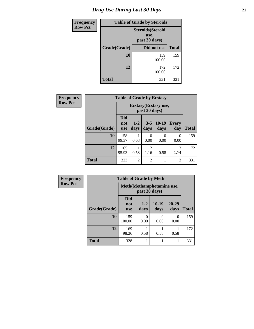# *Drug Use During Last 30 Days* **21**

| <b>Frequency</b> |              | <b>Table of Grade by Steroids</b> |     |  |  |  |
|------------------|--------------|-----------------------------------|-----|--|--|--|
| <b>Row Pct</b>   |              |                                   |     |  |  |  |
|                  | Grade(Grade) | <b>Total</b><br>Did not use       |     |  |  |  |
|                  | 10           | 159<br>100.00                     | 159 |  |  |  |
|                  | 12           | 172<br>100.00                     | 172 |  |  |  |
|                  | <b>Total</b> | 331                               | 331 |  |  |  |

| <b>Frequency</b> |              | <b>Table of Grade by Ecstasy</b> |                                        |                 |                 |                     |              |  |
|------------------|--------------|----------------------------------|----------------------------------------|-----------------|-----------------|---------------------|--------------|--|
| <b>Row Pct</b>   |              |                                  | Ecstasy (Ecstasy use,<br>past 30 days) |                 |                 |                     |              |  |
|                  | Grade(Grade) | <b>Did</b><br>not<br><b>use</b>  | $1-2$<br>days                          | $3 - 5$<br>days | $10-19$<br>days | <b>Every</b><br>day | <b>Total</b> |  |
|                  | 10           | 158<br>99.37                     | 0.63                                   | 0<br>0.00       | 0<br>0.00       | 0<br>0.00           | 159          |  |
|                  | 12           | 165<br>95.93                     | 0.58                                   | 2<br>1.16       | 0.58            | 3<br>1.74           | 172          |  |
|                  | <b>Total</b> | 323                              | $\overline{2}$                         | $\overline{2}$  |                 | 3                   | 331          |  |

| <b>Frequency</b> | <b>Table of Grade by Meth</b> |                                 |                                             |                 |               |              |
|------------------|-------------------------------|---------------------------------|---------------------------------------------|-----------------|---------------|--------------|
| <b>Row Pct</b>   |                               |                                 | Meth (Methamphetamine use,<br>past 30 days) |                 |               |              |
|                  | Grade(Grade)                  | <b>Did</b><br>not<br><b>use</b> | $1 - 2$<br>days                             | $10-19$<br>days | 20-29<br>days | <b>Total</b> |
|                  | 10                            | 159<br>100.00                   | 0<br>0.00                                   | 0.00            | 0<br>0.00     | 159          |
|                  | 12                            | 169<br>98.26                    | 0.58                                        | 0.58            | 0.58          | 172          |
|                  | <b>Total</b>                  | 328                             |                                             |                 |               | 331          |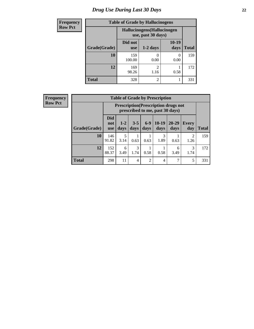# *Drug Use During Last 30 Days* **22**

| <b>Frequency</b> | <b>Table of Grade by Hallucinogens</b> |                                                   |                |               |              |  |
|------------------|----------------------------------------|---------------------------------------------------|----------------|---------------|--------------|--|
| <b>Row Pct</b>   |                                        | Hallucinogens (Hallucinogen<br>use, past 30 days) |                |               |              |  |
|                  | Grade(Grade)                           | Did not<br><b>use</b>                             | $1-2$ days     | 10-19<br>days | <b>Total</b> |  |
|                  | 10                                     | 159<br>100.00                                     | 0.00           | 0.00          | 159          |  |
|                  | 12                                     | 169<br>98.26                                      | ◠<br>1.16      | 0.58          | 172          |  |
|                  | <b>Total</b>                           | 328                                               | $\overline{c}$ |               | 331          |  |

| Frequency<br>Row Pct |  |
|----------------------|--|

| <b>Table of Grade by Prescription</b> |              |                                                                                                                                                                                                                                |                |                |           |           |                        |              |
|---------------------------------------|--------------|--------------------------------------------------------------------------------------------------------------------------------------------------------------------------------------------------------------------------------|----------------|----------------|-----------|-----------|------------------------|--------------|
|                                       |              | <b>Prescription</b> (Prescription drugs not<br>prescribed to me, past 30 days)<br><b>Did</b><br>$6 - 9$<br>$10-19$<br>20-29<br>$3 - 5$<br>$1 - 2$<br>Every<br>not<br>days<br>days<br>days<br>day<br>days<br>days<br><b>use</b> |                |                |           |           |                        |              |
| Grade(Grade)                          |              |                                                                                                                                                                                                                                |                |                |           |           |                        | <b>Total</b> |
| 10                                    | 146<br>91.82 | 5<br>3.14                                                                                                                                                                                                                      | 0.63           | 0.63           | 3<br>1.89 | 0.63      | $\overline{2}$<br>1.26 | 159          |
| 12                                    | 152<br>88.37 | 6<br>3.49                                                                                                                                                                                                                      | 3<br>1.74      | 0.58           | 0.58      | 6<br>3.49 | 3<br>1.74              | 172          |
| <b>Total</b>                          | 298          | 11                                                                                                                                                                                                                             | $\overline{4}$ | $\overline{c}$ | 4         | ⇁         | 5                      | 331          |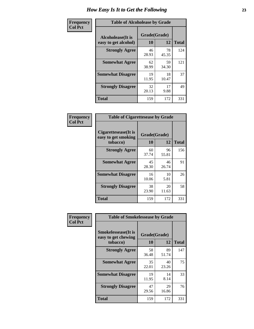| Frequency      | <b>Table of Alcoholease by Grade</b>              |                    |             |              |  |  |
|----------------|---------------------------------------------------|--------------------|-------------|--------------|--|--|
| <b>Col Pct</b> | <b>Alcoholease</b> (It is<br>easy to get alcohol) | Grade(Grade)<br>10 | 12          | <b>Total</b> |  |  |
|                | <b>Strongly Agree</b>                             | 46<br>28.93        | 78<br>45.35 | 124          |  |  |
|                | <b>Somewhat Agree</b>                             | 62<br>38.99        | 59<br>34.30 | 121          |  |  |
|                | <b>Somewhat Disagree</b>                          | 19<br>11.95        | 18<br>10.47 | 37           |  |  |
|                | <b>Strongly Disagree</b>                          | 32<br>20.13        | 17<br>9.88  | 49           |  |  |
|                | <b>Total</b>                                      | 159                | 172         | 331          |  |  |

| Frequency      | <b>Table of Cigarettesease by Grade</b>     |              |             |              |
|----------------|---------------------------------------------|--------------|-------------|--------------|
| <b>Col Pct</b> | Cigarettesease(It is<br>easy to get smoking | Grade(Grade) |             |              |
|                | tobacco)                                    | 10           | 12          | <b>Total</b> |
|                | <b>Strongly Agree</b>                       | 60<br>37.74  | 96<br>55.81 | 156          |
|                | <b>Somewhat Agree</b>                       | 45<br>28.30  | 46<br>26.74 | 91           |
|                | <b>Somewhat Disagree</b>                    | 16<br>10.06  | 10<br>5.81  | 26           |
|                | <b>Strongly Disagree</b>                    | 38<br>23.90  | 20<br>11.63 | 58           |

**Total** 159 172 331

| <b>Frequency</b> | <b>Table of Smokelessease by Grade</b>                         |                    |             |              |
|------------------|----------------------------------------------------------------|--------------------|-------------|--------------|
| <b>Col Pct</b>   | <b>Smokelessease</b> (It is<br>easy to get chewing<br>tobacco) | Grade(Grade)<br>10 | 12          | <b>Total</b> |
|                  | <b>Strongly Agree</b>                                          | 58<br>36.48        | 89<br>51.74 | 147          |
|                  | <b>Somewhat Agree</b>                                          | 35<br>22.01        | 40<br>23.26 | 75           |
|                  | <b>Somewhat Disagree</b>                                       | 19<br>11.95        | 14<br>8.14  | 33           |
|                  | <b>Strongly Disagree</b>                                       | 47<br>29.56        | 29<br>16.86 | 76           |
|                  | <b>Total</b>                                                   | 159                | 172         | 331          |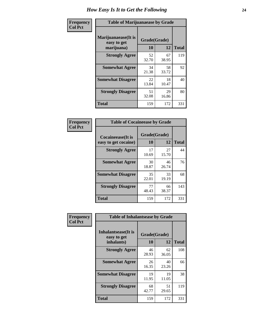| Frequency      | <b>Table of Marijuanaease by Grade</b>            |                           |             |              |  |  |  |  |
|----------------|---------------------------------------------------|---------------------------|-------------|--------------|--|--|--|--|
| <b>Col Pct</b> | Marijuanaease (It is<br>easy to get<br>marijuana) | Grade(Grade)<br><b>10</b> | 12          | <b>Total</b> |  |  |  |  |
|                | <b>Strongly Agree</b>                             | 52<br>32.70               | 67<br>38.95 | 119          |  |  |  |  |
|                | <b>Somewhat Agree</b>                             | 34<br>21.38               | 58<br>33.72 | 92           |  |  |  |  |
|                | <b>Somewhat Disagree</b>                          | 22<br>13.84               | 18<br>10.47 | 40           |  |  |  |  |
|                | <b>Strongly Disagree</b>                          | 51<br>32.08               | 29<br>16.86 | 80           |  |  |  |  |
|                | <b>Total</b>                                      | 159                       | 172         | 331          |  |  |  |  |

| <b>Table of Cocaineease by Grade</b> |              |             |              |  |  |  |  |  |  |
|--------------------------------------|--------------|-------------|--------------|--|--|--|--|--|--|
| <b>Cocaineease</b> (It is            | Grade(Grade) |             |              |  |  |  |  |  |  |
| easy to get cocaine)                 | 10           | 12          | <b>Total</b> |  |  |  |  |  |  |
| <b>Strongly Agree</b>                | 17<br>10.69  | 27<br>15.70 | 44           |  |  |  |  |  |  |
| <b>Somewhat Agree</b>                | 30<br>18.87  | 46<br>26.74 | 76           |  |  |  |  |  |  |
| <b>Somewhat Disagree</b>             | 35<br>22.01  | 33<br>19.19 | 68           |  |  |  |  |  |  |
| <b>Strongly Disagree</b>             | 77<br>48.43  | 66<br>38.37 | 143          |  |  |  |  |  |  |
| <b>Total</b>                         | 159          | 172         | 331          |  |  |  |  |  |  |

| Frequency      | <b>Table of Inhalantsease by Grade</b>                                               |             |             |     |  |  |  |  |  |
|----------------|--------------------------------------------------------------------------------------|-------------|-------------|-----|--|--|--|--|--|
| <b>Col Pct</b> | <b>Inhalantsease</b> (It is<br>Grade(Grade)<br>easy to get<br>10<br>12<br>inhalants) |             |             |     |  |  |  |  |  |
|                | <b>Strongly Agree</b>                                                                | 46<br>28.93 | 62<br>36.05 | 108 |  |  |  |  |  |
|                | <b>Somewhat Agree</b>                                                                | 26<br>16.35 | 40<br>23.26 | 66  |  |  |  |  |  |
|                | <b>Somewhat Disagree</b>                                                             | 19<br>11.95 | 19<br>11.05 | 38  |  |  |  |  |  |
|                | <b>Strongly Disagree</b>                                                             | 68<br>42.77 | 51<br>29.65 | 119 |  |  |  |  |  |
|                | <b>Total</b>                                                                         | 159         | 172         | 331 |  |  |  |  |  |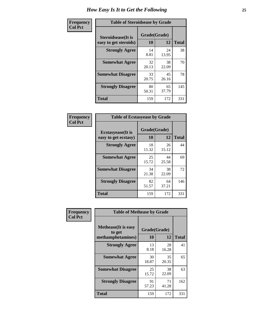| Frequency      | <b>Table of Steroidsease by Grade</b>               |                    |              |     |  |  |  |  |  |
|----------------|-----------------------------------------------------|--------------------|--------------|-----|--|--|--|--|--|
| <b>Col Pct</b> | <b>Steroidsease</b> (It is<br>easy to get steroids) | Grade(Grade)<br>10 | <b>Total</b> |     |  |  |  |  |  |
|                | <b>Strongly Agree</b>                               | 14<br>8.81         | 24<br>13.95  | 38  |  |  |  |  |  |
|                | <b>Somewhat Agree</b>                               | 32<br>20.13        | 38<br>22.09  | 70  |  |  |  |  |  |
|                | <b>Somewhat Disagree</b>                            | 33<br>20.75        | 45<br>26.16  | 78  |  |  |  |  |  |
|                | <b>Strongly Disagree</b>                            | 80<br>50.31        | 65<br>37.79  | 145 |  |  |  |  |  |
|                | <b>Total</b>                                        | 159                | 172          | 331 |  |  |  |  |  |

| Frequency      | <b>Table of Ecstasyease by Grade</b>              |                    |              |     |  |  |  |  |
|----------------|---------------------------------------------------|--------------------|--------------|-----|--|--|--|--|
| <b>Col Pct</b> | <b>Ecstasyease</b> (It is<br>easy to get ecstasy) | Grade(Grade)<br>10 | <b>Total</b> |     |  |  |  |  |
|                | <b>Strongly Agree</b>                             | 18<br>11.32        | 26<br>15.12  | 44  |  |  |  |  |
|                | <b>Somewhat Agree</b>                             | 25<br>15.72        | 44<br>25.58  | 69  |  |  |  |  |
|                | <b>Somewhat Disagree</b>                          | 34<br>21.38        | 38<br>22.09  | 72  |  |  |  |  |
|                | <b>Strongly Disagree</b>                          | 82<br>51.57        | 64<br>37.21  | 146 |  |  |  |  |
|                | <b>Total</b>                                      | 159                | 172          | 331 |  |  |  |  |

| Frequency      | <b>Table of Methease by Grade</b>                          |                    |             |              |  |  |  |  |
|----------------|------------------------------------------------------------|--------------------|-------------|--------------|--|--|--|--|
| <b>Col Pct</b> | <b>Methease</b> (It is easy<br>to get<br>methamphetamines) | Grade(Grade)<br>10 | 12          | <b>Total</b> |  |  |  |  |
|                | <b>Strongly Agree</b>                                      | 13<br>8.18         | 28<br>16.28 | 41           |  |  |  |  |
|                | <b>Somewhat Agree</b>                                      | 30<br>18.87        | 35<br>20.35 | 65           |  |  |  |  |
|                | <b>Somewhat Disagree</b>                                   | 25<br>15.72        | 38<br>22.09 | 63           |  |  |  |  |
|                | <b>Strongly Disagree</b>                                   | 91<br>57.23        | 71<br>41.28 | 162          |  |  |  |  |
|                | <b>Total</b>                                               | 159                | 172         | 331          |  |  |  |  |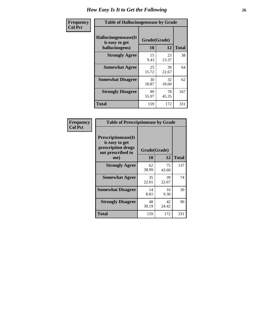| <b>Frequency</b> | <b>Table of Hallucinogensease by Grade</b>               |                    |             |              |  |  |  |  |  |
|------------------|----------------------------------------------------------|--------------------|-------------|--------------|--|--|--|--|--|
| <b>Col Pct</b>   | Hallucinogensease(It<br>is easy to get<br>hallucinogens) | Grade(Grade)<br>10 | 12          | <b>Total</b> |  |  |  |  |  |
|                  | <b>Strongly Agree</b>                                    | 15<br>9.43         | 23<br>13.37 | 38           |  |  |  |  |  |
|                  | <b>Somewhat Agree</b>                                    | 25<br>15.72        | 39<br>22.67 | 64           |  |  |  |  |  |
|                  | <b>Somewhat Disagree</b>                                 | 30<br>18.87        | 32<br>18.60 | 62           |  |  |  |  |  |
|                  | <b>Strongly Disagree</b>                                 | 89<br>55.97        | 78<br>45.35 | 167          |  |  |  |  |  |
|                  | <b>Total</b>                                             | 159                | 172         | 331          |  |  |  |  |  |

| Frequency<br>  Col Pct |
|------------------------|
|                        |

| <b>Table of Prescriptionease by Grade</b>                                                       |             |                    |              |  |  |  |  |  |  |
|-------------------------------------------------------------------------------------------------|-------------|--------------------|--------------|--|--|--|--|--|--|
| <b>Prescriptionease</b> (It<br>is easy to get<br>prescription drugs<br>not prescribed to<br>me) | 10          | Grade(Grade)<br>12 | <b>Total</b> |  |  |  |  |  |  |
| <b>Strongly Agree</b>                                                                           | 62<br>38.99 | 75<br>43.60        | 137          |  |  |  |  |  |  |
| <b>Somewhat Agree</b>                                                                           | 35<br>22.01 | 39<br>22.67        | 74           |  |  |  |  |  |  |
| <b>Somewhat Disagree</b>                                                                        | 14<br>8.81  | 16<br>9.30         | 30           |  |  |  |  |  |  |
| <b>Strongly Disagree</b>                                                                        | 48<br>30.19 | 42<br>24.42        | 90           |  |  |  |  |  |  |
| <b>Total</b>                                                                                    | 159         | 172                | 331          |  |  |  |  |  |  |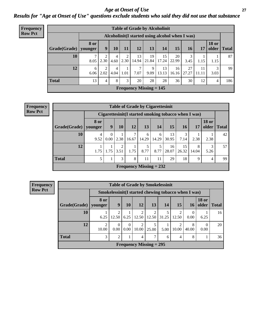*Age at Onset of Use* **27** *Results for "Age at Onset of Use" questions exclude students who said they did not use that substance*

| Frequency      | <b>Table of Grade by Alcoholinit</b>             |                        |           |                        |           |             |                                |             |             |             |             |                       |              |
|----------------|--------------------------------------------------|------------------------|-----------|------------------------|-----------|-------------|--------------------------------|-------------|-------------|-------------|-------------|-----------------------|--------------|
| <b>Row Pct</b> | Alcoholinit (I started using alcohol when I was) |                        |           |                        |           |             |                                |             |             |             |             |                       |              |
|                | Grade(Grade)                                     | <b>8 or</b><br>younger | 9         | <b>10</b>              | 11        | <b>12</b>   | 13                             | 14          | 15          | 16          | 17          | <b>18 or</b><br>older | <b>Total</b> |
|                | 10                                               | 8.05                   | 2.30      | $\overline{4}$<br>4.60 | 2<br>2.30 | 13<br>14.94 | 19<br>21.84                    | 15<br>17.24 | 20<br>22.99 | 3.45        | 1.15        | 1.15                  | 87           |
|                | 12                                               | 6<br>6.06              | 2<br>2.02 | 4<br>4.04              | 1.01      | ⇁<br>7.07   | 9<br>9.09                      | 13<br>13.13 | 16<br>16.16 | 27<br>27.27 | 11<br>11.11 | 3<br>3.03             | 99           |
|                | <b>Total</b>                                     | 13                     | 4         | 8                      | 3         | 20          | 28                             | 28          | 36          | 30          | 12          | 4                     | 186          |
|                |                                                  |                        |           |                        |           |             | <b>Frequency Missing = 145</b> |             |             |             |             |                       |              |

| <b>Frequency</b> |  |
|------------------|--|
| <b>Row Pct</b>   |  |

| <b>Table of Grade by Cigarettesinit</b> |                 |                                                      |           |                                |            |            |             |             |            |                       |              |
|-----------------------------------------|-----------------|------------------------------------------------------|-----------|--------------------------------|------------|------------|-------------|-------------|------------|-----------------------|--------------|
|                                         |                 | Cigarettesinit(I started smoking tobacco when I was) |           |                                |            |            |             |             |            |                       |              |
| Grade(Grade)                            | 8 or<br>younger | 9                                                    | 10        | 12                             | 13         | 14         | 15          | 16          | 17         | <b>18 or</b><br>older | <b>Total</b> |
| 10                                      | 4<br>9.52       | $\theta$<br>$0.00\,$                                 | 2.38      | ⇁<br>16.67                     | 6<br>14.29 | 6<br>14.29 | 13<br>30.95 | 3<br>7.14   | 2.38       | 2.38                  | 42           |
| 12                                      | 1.75            | 1.75                                                 | 2<br>3.51 | 1.75                           | 5<br>8.77  | 5<br>8.77  | 16<br>28.07 | 15<br>26.32 | 8<br>14.04 | 3<br>5.26             | 57           |
| <b>Total</b>                            | 5               |                                                      | 3         | 8                              | 11         | 11         | 29          | 18          | 9          | 4                     | 99           |
|                                         |                 |                                                      |           | <b>Frequency Missing = 232</b> |            |            |             |             |            |                       |              |

**Frequency Row Pct**

|              | <b>Table of Grade by Smokelessinit</b> |                                                     |                  |                         |            |       |                         |            |                       |              |  |
|--------------|----------------------------------------|-----------------------------------------------------|------------------|-------------------------|------------|-------|-------------------------|------------|-----------------------|--------------|--|
|              |                                        | Smokelessinit(I started chewing tobacco when I was) |                  |                         |            |       |                         |            |                       |              |  |
| Grade(Grade) | 8 or<br>younger                        | 9                                                   | 10               | <b>12</b>               | 13         | 14    | 15                      | <b>16</b>  | <b>18 or</b><br>older | <b>Total</b> |  |
| 10           | 6.25                                   | $\overline{2}$<br>12.50                             | 6.25             | 2<br>12.50              | 2<br>12.50 | 31.25 | $\overline{2}$<br>12.50 | 0.00       | 6.25                  | 16           |  |
| 12           | $\overline{2}$<br>10.00                | $\Omega$<br>0.00                                    | $\Omega$<br>0.00 | $\overline{c}$<br>10.00 | 5<br>25.00 | 5.00  | $\mathfrak{D}$<br>10.00 | 8<br>40.00 | $\Omega$<br>0.00      | 20           |  |
| <b>Total</b> | 3                                      | 2                                                   |                  | $\overline{4}$          | 7          | 6     | $\overline{4}$          | 8          |                       | 36           |  |
|              | <b>Frequency Missing = 295</b>         |                                                     |                  |                         |            |       |                         |            |                       |              |  |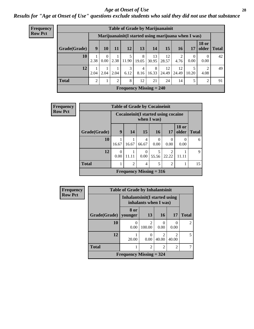#### *Age at Onset of Use* **28**

*Results for "Age at Onset of Use" questions exclude students who said they did not use that substance*

| <b>Frequency</b> |                                                      |      | <b>Table of Grade by Marijuanainit</b> |      |                           |            |             |             |             |           |                        |              |  |  |  |
|------------------|------------------------------------------------------|------|----------------------------------------|------|---------------------------|------------|-------------|-------------|-------------|-----------|------------------------|--------------|--|--|--|
| <b>Row Pct</b>   | Marijuanainit (I started using marijuana when I was) |      |                                        |      |                           |            |             |             |             |           |                        |              |  |  |  |
|                  | Grade(Grade)                                         | 9    | 10                                     | 11   | 12                        | 13         | 14          | 15          | <b>16</b>   | 17        | <b>18 or</b><br>older  | <b>Total</b> |  |  |  |
|                  | 10                                                   | 2.38 | $\theta$<br>0.00                       |      | 5<br>$2.38$   11.90       | 8<br>19.05 | 13<br>30.95 | 12<br>28.57 | 2<br>4.76   | 0<br>0.00 | $\theta$<br>0.00       | 42           |  |  |  |
|                  | 12                                                   | 2.04 | 2.04                                   | 2.04 | 3<br>6.12                 | 4<br>8.16  | 8<br>16.33  | 12<br>24.49 | 12<br>24.49 | 10.20     | $\overline{2}$<br>4.08 | 49           |  |  |  |
|                  | <b>Total</b>                                         | 2    |                                        | 2    | 8                         | 12         | 21          | 24          | 14          |           | 2                      | 91           |  |  |  |
|                  |                                                      |      |                                        |      | Frequency Missing $= 240$ |            |             |             |             |           |                        |              |  |  |  |

| Frequency      |              | <b>Table of Grade by Cocaineinit</b> |                |                           |             |                                       |                       |              |
|----------------|--------------|--------------------------------------|----------------|---------------------------|-------------|---------------------------------------|-----------------------|--------------|
| <b>Row Pct</b> |              |                                      |                |                           | when I was) | Cocaine init (I started using cocaine |                       |              |
|                | Grade(Grade) | 9                                    | 14             | 15                        | 16          | 17                                    | <b>18 or</b><br>older | <b>Total</b> |
|                | 10           | 16.67                                | 16.67          | 4<br>66.67                | 0<br>0.00   | 0.00                                  | 0.00                  | 6            |
|                | 12           | 0.00                                 | 11.11          | $\Omega$<br>0.00          | 55.56       | 22.22                                 | 11.11                 | 9            |
|                | <b>Total</b> |                                      | $\overline{2}$ | 4                         | 5           | $\overline{c}$                        | 1                     | 15           |
|                |              |                                      |                | Frequency Missing $= 316$ |             |                                       |                       |              |

| <b>Frequency</b> | <b>Table of Grade by Inhalantsinit</b> |                                                         |                          |                                      |                         |                |  |  |  |
|------------------|----------------------------------------|---------------------------------------------------------|--------------------------|--------------------------------------|-------------------------|----------------|--|--|--|
| <b>Row Pct</b>   |                                        | Inhalantsinit (I started using<br>inhalants when I was) |                          |                                      |                         |                |  |  |  |
|                  | Grade(Grade)                           | 8 or<br>vounger                                         | 13                       | 16                                   | 17                      | <b>Total</b>   |  |  |  |
|                  | <b>10</b>                              | 0.00                                                    | $\overline{c}$<br>100.00 | 0<br>0.00                            | 0<br>0.00               | $\overline{c}$ |  |  |  |
|                  | 12                                     | 20.00                                                   | 0<br>0.00                | $\mathcal{D}_{\mathcal{L}}$<br>40.00 | $\mathfrak{D}$<br>40.00 | 5              |  |  |  |
|                  | <b>Total</b>                           | 1                                                       | $\overline{2}$           | $\overline{2}$                       | $\overline{2}$          |                |  |  |  |
|                  |                                        | Frequency Missing $=$ 324                               |                          |                                      |                         |                |  |  |  |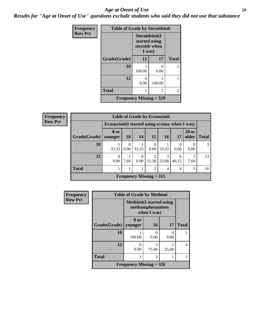#### *Age at Onset of Use* **29**

*Results for "Age at Onset of Use" questions exclude students who said they did not use that substance*

| Frequency      | <b>Table of Grade by Steroidsinit</b> |                                                            |        |                |  |  |  |  |  |
|----------------|---------------------------------------|------------------------------------------------------------|--------|----------------|--|--|--|--|--|
| <b>Row Pct</b> |                                       | Steroidsinit(I<br>started using<br>steroids when<br>I was) |        |                |  |  |  |  |  |
|                | Grade(Grade)                          | 11                                                         | 17     | <b>Total</b>   |  |  |  |  |  |
|                | 10                                    | 100.00                                                     | 0.00   |                |  |  |  |  |  |
|                | 12                                    | 0<br>0.00                                                  | 100.00 |                |  |  |  |  |  |
|                | <b>Total</b>                          |                                                            |        | $\overline{c}$ |  |  |  |  |  |
|                | Frequency Missing $=$ 329             |                                                            |        |                |  |  |  |  |  |

| <b>Frequency</b> |
|------------------|
| <b>Row Pct</b>   |

| <b>Table of Grade by Ecstasyinit</b>             |           |                  |                           |       |            |            |                       |              |
|--------------------------------------------------|-----------|------------------|---------------------------|-------|------------|------------|-----------------------|--------------|
| Ecstasyinit (I started using ecstasy when I was) |           |                  |                           |       |            |            |                       |              |
| Grade(Grade)   younger                           | 8 or      | <b>10</b>        | 14                        | 15    | <b>16</b>  | 17         | <b>18 or</b><br>older | <b>Total</b> |
| 10                                               | 33.33     | $\Omega$<br>0.00 | 33.33                     | 0.00  | 33.33      | 0.00       | 0.00                  | 3            |
| 12                                               | 0<br>0.00 | 7.69             | 0.00                      | 15.38 | 3<br>23.08 | 6<br>46.15 | 7.69                  | 13           |
| <b>Total</b>                                     |           |                  |                           | 2     | 4          | 6          |                       | 16           |
|                                                  |           |                  | Frequency Missing $= 315$ |       |            |            |                       |              |

| Frequency      | <b>Table of Grade by Methinit</b> |                                                                     |            |       |              |  |  |  |  |
|----------------|-----------------------------------|---------------------------------------------------------------------|------------|-------|--------------|--|--|--|--|
| <b>Row Pct</b> |                                   | <b>Methinit</b> (I started using<br>methamphetamines<br>when I was) |            |       |              |  |  |  |  |
|                | Grade(Grade)                      | 8 or<br>younger                                                     | 16         | 17    | <b>Total</b> |  |  |  |  |
|                | 10                                | 100.00                                                              | 0.00       | 0.00  |              |  |  |  |  |
|                | 12                                | 0.00                                                                | 3<br>75.00 | 25.00 | 4            |  |  |  |  |
|                | <b>Total</b>                      |                                                                     | 3          |       | 5            |  |  |  |  |
|                | Frequency Missing $=$ 326         |                                                                     |            |       |              |  |  |  |  |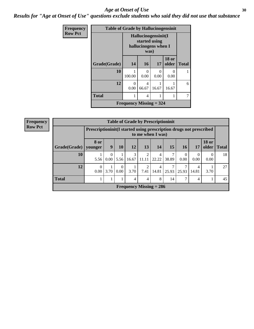#### Age at Onset of Use **30**

*Results for "Age at Onset of Use" questions exclude students who said they did not use that substance*

| Frequency      | <b>Table of Grade by Hallucinogensinit</b> |                                |                                                                      |           |                       |                |  |  |
|----------------|--------------------------------------------|--------------------------------|----------------------------------------------------------------------|-----------|-----------------------|----------------|--|--|
| <b>Row Pct</b> |                                            |                                | Hallucinogensinit(I<br>started using<br>hallucinogens when I<br>was) |           |                       |                |  |  |
|                | Grade(Grade)                               | 14                             | <b>16</b>                                                            | <b>17</b> | <b>18 or</b><br>older | <b>Total</b>   |  |  |
|                | 10                                         | 100.00                         | 0<br>0.00                                                            | 0<br>0.00 | 0<br>0.00             |                |  |  |
|                | 12                                         | 0.00                           | 4<br>66.67                                                           | 16.67     | 16.67                 | 6              |  |  |
|                | <b>Total</b>                               | 1                              | 4                                                                    | 1         | 1                     | $\overline{7}$ |  |  |
|                |                                            | <b>Frequency Missing = 324</b> |                                                                      |           |                       |                |  |  |

| Frequency      |              |                                                                                         |                  |                  |       | <b>Table of Grade by Prescriptioninit</b> |            |       |           |                  |                               |    |
|----------------|--------------|-----------------------------------------------------------------------------------------|------------------|------------------|-------|-------------------------------------------|------------|-------|-----------|------------------|-------------------------------|----|
| <b>Row Pct</b> |              | Prescriptioninit(I started using prescription drugs not prescribed<br>to me when I was) |                  |                  |       |                                           |            |       |           |                  |                               |    |
|                | Grade(Grade) | <b>8 or</b><br>younger                                                                  | 9                | 10               | 12    | 13                                        | 14         | 15    | 16        | 17               | <b>18 or</b><br>older   Total |    |
|                | 10           | 5.56                                                                                    | $\theta$<br>0.00 | 5.56             | 16.67 | 2<br>11.11                                | 4<br>22.22 | 38.89 | 0<br>0.00 | $\Omega$<br>0.00 | $\Omega$<br>0.00              | 18 |
|                | 12           | 0<br>0.00                                                                               | 3.70             | $\theta$<br>0.00 | 3.70  | 2<br>7.41                                 | 4<br>14.81 | 25.93 | 25.93     | 4<br>14.81       | 3.70                          | 27 |
|                | <b>Total</b> |                                                                                         |                  |                  | 4     | 4                                         | 8          | 14    | 7         | 4                |                               | 45 |
|                |              |                                                                                         |                  |                  |       | <b>Frequency Missing = 286</b>            |            |       |           |                  |                               |    |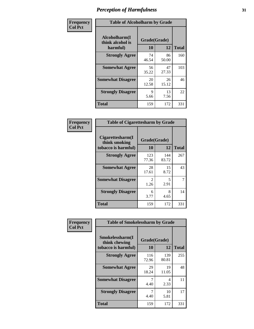| Frequency      | <b>Table of Alcoholharm by Grade</b>          |                    |             |              |  |  |  |  |
|----------------|-----------------------------------------------|--------------------|-------------|--------------|--|--|--|--|
| <b>Col Pct</b> | Alcoholharm(I<br>think alcohol is<br>harmful) | Grade(Grade)<br>10 | 12          | <b>Total</b> |  |  |  |  |
|                | <b>Strongly Agree</b>                         | 74<br>46.54        | 86<br>50.00 | 160          |  |  |  |  |
|                | <b>Somewhat Agree</b>                         | 56<br>35.22        | 47<br>27.33 | 103          |  |  |  |  |
|                | <b>Somewhat Disagree</b>                      | 20<br>12.58        | 26<br>15.12 | 46           |  |  |  |  |
|                | <b>Strongly Disagree</b>                      | 9<br>5.66          | 13<br>7.56  | 22           |  |  |  |  |
|                | <b>Total</b>                                  | 159                | 172         | 331          |  |  |  |  |

| <b>Table of Cigarettesharm by Grade</b>                  |                        |              |              |  |  |  |  |  |  |  |
|----------------------------------------------------------|------------------------|--------------|--------------|--|--|--|--|--|--|--|
| Cigarettesharm(I<br>think smoking<br>tobacco is harmful) | Grade(Grade)<br>10     | 12           | <b>Total</b> |  |  |  |  |  |  |  |
| <b>Strongly Agree</b>                                    | 123<br>77.36           | 144<br>83.72 | 267          |  |  |  |  |  |  |  |
| <b>Somewhat Agree</b>                                    | 28<br>17.61            | 15<br>8.72   | 43           |  |  |  |  |  |  |  |
| <b>Somewhat Disagree</b>                                 | $\mathfrak{D}$<br>1.26 | 5<br>2.91    | 7            |  |  |  |  |  |  |  |
| <b>Strongly Disagree</b>                                 | 6<br>3.77              | 8<br>4.65    | 14           |  |  |  |  |  |  |  |
| <b>Total</b>                                             | 159                    | 172          | 331          |  |  |  |  |  |  |  |

| Frequency      | <b>Table of Smokelessharm by Grade</b>                  |                           |              |              |
|----------------|---------------------------------------------------------|---------------------------|--------------|--------------|
| <b>Col Pct</b> | Smokelessharm(I<br>think chewing<br>tobacco is harmful) | Grade(Grade)<br><b>10</b> | 12           | <b>Total</b> |
|                | <b>Strongly Agree</b>                                   | 116<br>72.96              | 139<br>80.81 | 255          |
|                | <b>Somewhat Agree</b>                                   | 29<br>18.24               | 19<br>11.05  | 48           |
|                | <b>Somewhat Disagree</b>                                | 4.40                      | 4<br>2.33    | 11           |
|                | <b>Strongly Disagree</b>                                | 4.40                      | 10<br>5.81   | 17           |
|                | Total                                                   | 159                       | 172          | 331          |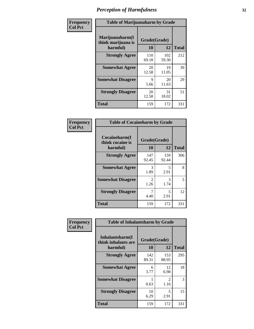| Frequency      |                                                   | <b>Table of Marijuanaharm by Grade</b> |              |              |  |
|----------------|---------------------------------------------------|----------------------------------------|--------------|--------------|--|
| <b>Col Pct</b> | Marijuanaharm(I<br>think marijuana is<br>harmful) | Grade(Grade)<br>10                     | 12           | <b>Total</b> |  |
|                | <b>Strongly Agree</b>                             | 110<br>69.18                           | 102<br>59.30 | 212          |  |
|                | <b>Somewhat Agree</b>                             | 20<br>12.58                            | 19<br>11.05  | 39           |  |
|                | <b>Somewhat Disagree</b>                          | 9<br>5.66                              | 20<br>11.63  | 29           |  |
|                | <b>Strongly Disagree</b>                          | 20<br>12.58                            | 31<br>18.02  | 51           |  |
|                | <b>Total</b>                                      | 159                                    | 172          | 331          |  |

| <b>Table of Cocaineharm by Grade</b>          |                        |              |              |  |  |  |
|-----------------------------------------------|------------------------|--------------|--------------|--|--|--|
| Cocaineharm(I<br>think cocaine is<br>harmful) | Grade(Grade)<br>10     | 12           | <b>Total</b> |  |  |  |
| <b>Strongly Agree</b>                         | 147<br>92.45           | 159<br>92.44 | 306          |  |  |  |
| <b>Somewhat Agree</b>                         | 3<br>1.89              | 5<br>2.91    | 8            |  |  |  |
| <b>Somewhat Disagree</b>                      | $\mathfrak{D}$<br>1.26 | 3<br>1.74    | 5            |  |  |  |
| <b>Strongly Disagree</b>                      | 7<br>4.40              | 5<br>2.91    | 12           |  |  |  |
| <b>Total</b>                                  | 159                    | 172          | 331          |  |  |  |

| Frequency      | <b>Table of Inhalantsharm by Grade</b>              |                    |                       |              |
|----------------|-----------------------------------------------------|--------------------|-----------------------|--------------|
| <b>Col Pct</b> | Inhalantsharm(I)<br>think inhalants are<br>harmful) | Grade(Grade)<br>10 | 12                    | <b>Total</b> |
|                | <b>Strongly Agree</b>                               | 142<br>89.31       | 153<br>88.95          | 295          |
|                | <b>Somewhat Agree</b>                               | 6<br>3.77          | 12<br>6.98            | 18           |
|                | <b>Somewhat Disagree</b>                            | 0.63               | $\mathcal{L}$<br>1.16 | 3            |
|                | <b>Strongly Disagree</b>                            | 10<br>6.29         | 5<br>2.91             | 15           |
|                | <b>Total</b>                                        | 159                | 172                   | 331          |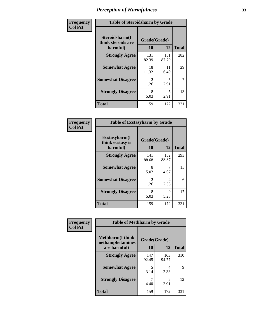| Frequency      | <b>Table of Steroidsharm by Grade</b>            |                                     |              |              |
|----------------|--------------------------------------------------|-------------------------------------|--------------|--------------|
| <b>Col Pct</b> | Steroidsharm(I<br>think steroids are<br>harmful) | Grade(Grade)<br>10                  | 12           | <b>Total</b> |
|                | <b>Strongly Agree</b>                            | 131<br>82.39                        | 151<br>87.79 | 282          |
|                | <b>Somewhat Agree</b>                            | 18<br>11.32                         | 11<br>6.40   | 29           |
|                | <b>Somewhat Disagree</b>                         | $\mathcal{D}_{\mathcal{L}}$<br>1.26 | 5<br>2.91    | 7            |
|                | <b>Strongly Disagree</b>                         | 8<br>5.03                           | 5<br>2.91    | 13           |
|                | <b>Total</b>                                     | 159                                 | 172          | 331          |

| <b>Table of Ecstasyharm by Grade</b>          |                          |              |     |  |  |
|-----------------------------------------------|--------------------------|--------------|-----|--|--|
| Ecstasyharm(I<br>think ecstasy is<br>harmful) | Grade(Grade)<br>10<br>12 |              |     |  |  |
| <b>Strongly Agree</b>                         | 141<br>88.68             | 152<br>88.37 | 293 |  |  |
| <b>Somewhat Agree</b>                         | 8<br>5.03                | 7<br>4.07    | 15  |  |  |
| <b>Somewhat Disagree</b>                      | 2<br>1.26                | 4<br>2.33    | 6   |  |  |
| <b>Strongly Disagree</b>                      | 8<br>5.03                | 9<br>5.23    | 17  |  |  |
| <b>Total</b>                                  | 159                      | 172          | 331 |  |  |

| Frequency      |                                              | <b>Table of Methharm by Grade</b> |              |              |  |
|----------------|----------------------------------------------|-----------------------------------|--------------|--------------|--|
| <b>Col Pct</b> | <b>Methharm</b> (I think<br>methamphetamines | Grade(Grade)                      |              |              |  |
|                | are harmful)                                 | 10                                | 12           | <b>Total</b> |  |
|                | <b>Strongly Agree</b>                        | 147<br>92.45                      | 163<br>94.77 | 310          |  |
|                | <b>Somewhat Agree</b>                        | 5<br>3.14                         | 4<br>2.33    | 9            |  |
|                | <b>Strongly Disagree</b>                     | 4.40                              | 5<br>2.91    | 12           |  |
|                | Total                                        | 159                               | 172          | 331          |  |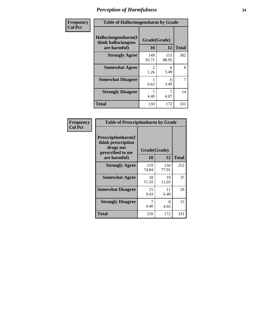| Frequency      | <b>Table of Hallucinogensharm by Grade</b>                 |                           |              |              |
|----------------|------------------------------------------------------------|---------------------------|--------------|--------------|
| <b>Col Pct</b> | Hallucinogensharm(I<br>think hallucinogens<br>are harmful) | Grade(Grade)<br><b>10</b> | 12           | <b>Total</b> |
|                | <b>Strongly Agree</b>                                      | 149<br>93.71              | 153<br>88.95 | 302          |
|                | <b>Somewhat Agree</b>                                      | $\mathcal{L}$<br>1.26     | 6<br>3.49    | 8            |
|                | <b>Somewhat Disagree</b>                                   | 0.63                      | 6<br>3.49    | 7            |
|                | <b>Strongly Disagree</b>                                   | 7<br>4.40                 | 7<br>4.07    | 14           |
|                | <b>Total</b>                                               | 159                       | 172          | 331          |

| <b>Table of Prescriptionharm by Grade</b>                                         |              |              |              |  |
|-----------------------------------------------------------------------------------|--------------|--------------|--------------|--|
| <b>Prescriptionharm(I)</b><br>think prescription<br>drugs not<br>prescribed to me | Grade(Grade) |              |              |  |
| are harmful)                                                                      | 10           | 12           | <b>Total</b> |  |
| <b>Strongly Agree</b>                                                             | 119<br>74.84 | 134<br>77.91 | 253          |  |
| <b>Somewhat Agree</b>                                                             | 18<br>11.32  | 19<br>11.05  | 37           |  |
| <b>Somewhat Disagree</b>                                                          | 15<br>9.43   | 11<br>6.40   | 26           |  |
| <b>Strongly Disagree</b>                                                          | 7<br>4.40    | 8<br>4.65    | 15           |  |
| <b>Total</b>                                                                      | 159          | 172          | 331          |  |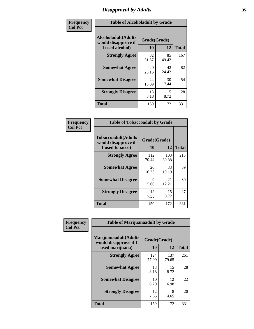# *Disapproval by Adults* **35**

| Frequency      | <b>Table of Alcoholadult by Grade</b>                                 |                    |             |              |
|----------------|-----------------------------------------------------------------------|--------------------|-------------|--------------|
| <b>Col Pct</b> | <b>Alcoholadult</b> (Adults<br>would disapprove if<br>I used alcohol) | Grade(Grade)<br>10 | 12          | <b>Total</b> |
|                | <b>Strongly Agree</b>                                                 | 82<br>51.57        | 85<br>49.42 | 167          |
|                | <b>Somewhat Agree</b>                                                 | 40<br>25.16        | 42<br>24.42 | 82           |
|                | <b>Somewhat Disagree</b>                                              | 24<br>15.09        | 30<br>17.44 | 54           |
|                | <b>Strongly Disagree</b>                                              | 13<br>8.18         | 15<br>8.72  | 28           |
|                | <b>Total</b>                                                          | 159                | 172         | 331          |

| <b>Table of Tobaccoadult by Grade</b>                                 |                    |              |              |  |  |
|-----------------------------------------------------------------------|--------------------|--------------|--------------|--|--|
| <b>Tobaccoadult</b> (Adults<br>would disapprove if<br>I used tobacco) | Grade(Grade)<br>10 | 12           | <b>Total</b> |  |  |
| <b>Strongly Agree</b>                                                 | 112<br>70.44       | 103<br>59.88 | 215          |  |  |
| <b>Somewhat Agree</b>                                                 | 26<br>16.35        | 33<br>19.19  | 59           |  |  |
| <b>Somewhat Disagree</b>                                              | 9<br>5.66          | 21<br>12.21  | 30           |  |  |
| <b>Strongly Disagree</b>                                              | 12<br>7.55         | 15<br>8.72   | 27           |  |  |
| Total                                                                 | 159                | 172          | 331          |  |  |

| Frequency      | <b>Table of Marijuanaadult by Grade</b>                           |                    |              |              |
|----------------|-------------------------------------------------------------------|--------------------|--------------|--------------|
| <b>Col Pct</b> | Marijuanaadult(Adults<br>would disapprove if I<br>used marijuana) | Grade(Grade)<br>10 | 12           | <b>Total</b> |
|                | <b>Strongly Agree</b>                                             | 124<br>77.99       | 137<br>79.65 | 261          |
|                | <b>Somewhat Agree</b>                                             | 13<br>8.18         | 15<br>8.72   | 28           |
|                | <b>Somewhat Disagree</b>                                          | 10<br>6.29         | 12<br>6.98   | 22           |
|                | <b>Strongly Disagree</b>                                          | 12<br>7.55         | 8<br>4.65    | 20           |
|                | <b>Total</b>                                                      | 159                | 172          | 331          |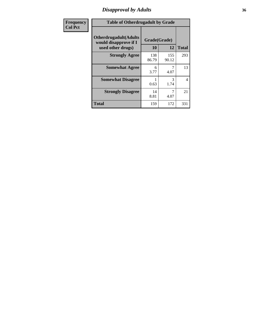### *Disapproval by Adults* **36**

| <b>Frequency</b> | <b>Table of Otherdrugadult by Grade</b>                                     |                    |              |                |
|------------------|-----------------------------------------------------------------------------|--------------------|--------------|----------------|
| <b>Col Pct</b>   | <b>Otherdrugadult</b> (Adults<br>would disapprove if I<br>used other drugs) | Grade(Grade)<br>10 | 12           | <b>Total</b>   |
|                  | <b>Strongly Agree</b>                                                       | 138<br>86.79       | 155<br>90.12 | 293            |
|                  | <b>Somewhat Agree</b>                                                       | 6<br>3.77          | 4.07         | 13             |
|                  | <b>Somewhat Disagree</b>                                                    | 0.63               | 3<br>1.74    | $\overline{4}$ |
|                  | <b>Strongly Disagree</b>                                                    | 14<br>8.81         | 4.07         | 21             |
|                  | <b>Total</b>                                                                | 159                | 172          | 331            |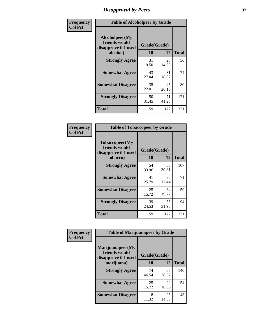# *Disapproval by Peers* **37**

| Frequency      | <b>Table of Alcoholpeer by Grade</b>                    |              |             |              |  |
|----------------|---------------------------------------------------------|--------------|-------------|--------------|--|
| <b>Col Pct</b> | Alcoholpeer(My<br>friends would<br>disapprove if I used | Grade(Grade) |             |              |  |
|                | alcohol)                                                | 10           | 12          | <b>Total</b> |  |
|                | <b>Strongly Agree</b>                                   | 31<br>19.50  | 25<br>14.53 | 56           |  |
|                | <b>Somewhat Agree</b>                                   | 43<br>27.04  | 31<br>18.02 | 74           |  |
|                | <b>Somewhat Disagree</b>                                | 35<br>22.01  | 45<br>26.16 | 80           |  |
|                | <b>Strongly Disagree</b>                                | 50<br>31.45  | 71<br>41.28 | 121          |  |
|                | Total                                                   | 159          | 172         | 331          |  |

| Frequency      | <b>Table of Tobaccopeer by Grade</b>                                |                    |             |              |  |
|----------------|---------------------------------------------------------------------|--------------------|-------------|--------------|--|
| <b>Col Pct</b> | Tobaccopeer(My<br>friends would<br>disapprove if I used<br>tobacco) | Grade(Grade)<br>10 | 12          | <b>Total</b> |  |
|                | <b>Strongly Agree</b>                                               | 54<br>33.96        | 53<br>30.81 | 107          |  |
|                | <b>Somewhat Agree</b>                                               | 41<br>25.79        | 30<br>17.44 | 71           |  |
|                | <b>Somewhat Disagree</b>                                            | 25<br>15.72        | 34<br>19.77 | 59           |  |
|                | <b>Strongly Disagree</b>                                            | 39<br>24.53        | 55<br>31.98 | 94           |  |
|                | Total                                                               | 159                | 172         | 331          |  |

| Frequency<br><b>Col Pct</b> | <b>Table of Marijuanapeer by Grade</b> |              |             |              |
|-----------------------------|----------------------------------------|--------------|-------------|--------------|
|                             | Marijuanapeer(My<br>friends would      | Grade(Grade) |             |              |
|                             | disapprove if I used<br>marijuana)     | 10           | 12          | <b>Total</b> |
|                             | <b>Strongly Agree</b>                  | 74<br>46.54  | 66<br>38.37 | 140          |
|                             | <b>Somewhat Agree</b>                  | 25<br>15.72  | 29<br>16.86 | 54           |
|                             | <b>Somewhat Disagree</b>               | 18<br>11.32  | 25<br>14.53 | 43           |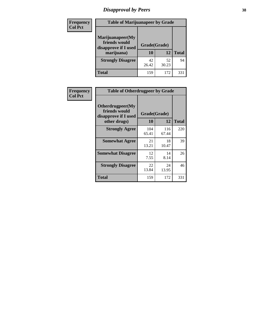# *Disapproval by Peers* **38**

| <b>Frequency</b> | <b>Table of Marijuanapeer by Grade</b>                                  |                           |             |              |  |
|------------------|-------------------------------------------------------------------------|---------------------------|-------------|--------------|--|
| <b>Col Pct</b>   | Marijuanapeer(My<br>friends would<br>disapprove if I used<br>marijuana) | Grade(Grade)<br><b>10</b> | 12          | <b>Total</b> |  |
|                  | <b>Strongly Disagree</b>                                                | 42<br>26.42               | 52<br>30.23 | 94           |  |
|                  | <b>Total</b>                                                            | 159                       | 172         | 33.          |  |

| Frequency      | <b>Table of Otherdrugpeer by Grade</b>                                    |                    |              |              |
|----------------|---------------------------------------------------------------------------|--------------------|--------------|--------------|
| <b>Col Pct</b> | Otherdrugpeer(My<br>friends would<br>disapprove if I used<br>other drugs) | Grade(Grade)<br>10 | 12           | <b>Total</b> |
|                | <b>Strongly Agree</b>                                                     | 104<br>65.41       | 116<br>67.44 | 220          |
|                | <b>Somewhat Agree</b>                                                     | 21<br>13.21        | 18<br>10.47  | 39           |
|                | <b>Somewhat Disagree</b>                                                  | 12<br>7.55         | 14<br>8.14   | 26           |
|                | <b>Strongly Disagree</b>                                                  | 22<br>13.84        | 24<br>13.95  | 46           |
|                | <b>Total</b>                                                              | 159                | 172          | 331          |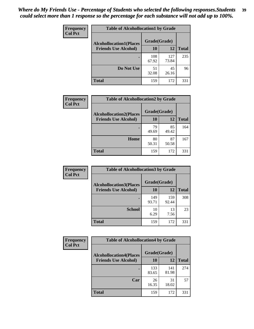| Frequency<br><b>Col Pct</b> | <b>Table of Alcohollocation1 by Grade</b> |              |              |              |  |
|-----------------------------|-------------------------------------------|--------------|--------------|--------------|--|
|                             | <b>Alcohollocation1(Places</b>            | Grade(Grade) |              |              |  |
|                             | <b>Friends Use Alcohol)</b>               | 10           | 12           | <b>Total</b> |  |
|                             |                                           | 108<br>67.92 | 127<br>73.84 | 235          |  |
|                             | Do Not Use                                | 51<br>32.08  | 45<br>26.16  | 96           |  |
|                             | <b>Total</b>                              | 159          | 172          | 331          |  |

| Frequency      | <b>Table of Alcohollocation2 by Grade</b>                     |                    |             |              |
|----------------|---------------------------------------------------------------|--------------------|-------------|--------------|
| <b>Col Pct</b> | <b>Alcohollocation2(Places</b><br><b>Friends Use Alcohol)</b> | Grade(Grade)<br>10 | <b>12</b>   | <b>Total</b> |
|                |                                                               | 79<br>49.69        | 85<br>49.42 | 164          |
|                | Home                                                          | 80<br>50.31        | 87<br>50.58 | 167          |
|                | <b>Total</b>                                                  | 159                | 172         | 331          |

| Frequency<br><b>Col Pct</b> | <b>Table of Alcohollocation3 by Grade</b> |              |              |              |
|-----------------------------|-------------------------------------------|--------------|--------------|--------------|
|                             | <b>Alcohollocation3</b> (Places           | Grade(Grade) |              |              |
|                             | <b>Friends Use Alcohol)</b>               | 10           | 12           | <b>Total</b> |
|                             |                                           | 149<br>93.71 | 159<br>92.44 | 308          |
|                             | <b>School</b>                             | 10<br>6.29   | 13<br>7.56   | 23           |
|                             | Total                                     | 159          | 172          | 331          |

| <b>Frequency</b> | <b>Table of Alcohollocation4 by Grade</b> |              |              |              |
|------------------|-------------------------------------------|--------------|--------------|--------------|
| <b>Col Pct</b>   | <b>Alcohollocation4(Places</b>            | Grade(Grade) |              |              |
|                  | <b>Friends Use Alcohol)</b>               | <b>10</b>    | 12           | <b>Total</b> |
|                  |                                           | 133<br>83.65 | 141<br>81.98 | 274          |
|                  | Car                                       | 26<br>16.35  | 31<br>18.02  | 57           |
|                  | <b>Total</b>                              | 159          | 172          | 331          |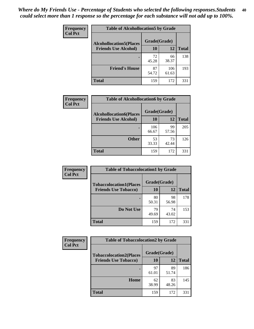| Frequency<br><b>Col Pct</b> | <b>Table of Alcohollocation5 by Grade</b> |              |              |              |  |
|-----------------------------|-------------------------------------------|--------------|--------------|--------------|--|
|                             | <b>Alcohollocation5(Places</b>            | Grade(Grade) |              |              |  |
|                             | <b>Friends Use Alcohol)</b>               | 10           | 12           | <b>Total</b> |  |
|                             |                                           | 72<br>45.28  | 66<br>38.37  | 138          |  |
|                             | <b>Friend's House</b>                     | 87<br>54.72  | 106<br>61.63 | 193          |  |
|                             | <b>Total</b>                              | 159          | 172          | 331          |  |

| <b>Frequency</b> | <b>Table of Alcohollocation6 by Grade</b> |              |             |              |
|------------------|-------------------------------------------|--------------|-------------|--------------|
| <b>Col Pct</b>   | <b>Alcohollocation6(Places</b>            | Grade(Grade) |             |              |
|                  | <b>Friends Use Alcohol)</b>               | 10           | 12          | <b>Total</b> |
|                  |                                           | 106<br>66.67 | 99<br>57.56 | 205          |
|                  | <b>Other</b>                              | 53<br>33.33  | 73<br>42.44 | 126          |
|                  | <b>Total</b>                              | 159          | 172         | 331          |

| <b>Frequency</b> | <b>Table of Tobaccolocation1 by Grade</b> |              |             |              |
|------------------|-------------------------------------------|--------------|-------------|--------------|
| <b>Col Pct</b>   | <b>Tobaccolocation1(Places</b>            | Grade(Grade) |             |              |
|                  | <b>Friends Use Tobacco)</b>               | 10           | 12          | <b>Total</b> |
|                  |                                           | 80<br>50.31  | 98<br>56.98 | 178          |
|                  | Do Not Use                                | 79<br>49.69  | 74<br>43.02 | 153          |
|                  | <b>Total</b>                              | 159          | 172         | 331          |

| <b>Frequency</b> | <b>Table of Tobaccolocation2 by Grade</b> |              |             |              |  |
|------------------|-------------------------------------------|--------------|-------------|--------------|--|
| <b>Col Pct</b>   | <b>Tobaccolocation2(Places</b>            | Grade(Grade) |             |              |  |
|                  | <b>Friends Use Tobacco)</b>               | 10           | 12          | <b>Total</b> |  |
|                  |                                           | 97<br>61.01  | 89<br>51.74 | 186          |  |
|                  | Home                                      | 62<br>38.99  | 83<br>48.26 | 145          |  |
|                  | <b>Total</b>                              | 159          | 172         | 331          |  |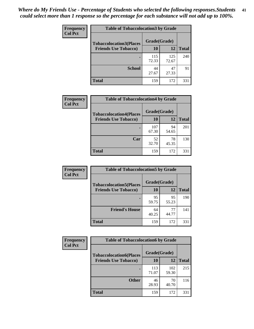| Frequency      | <b>Table of Tobaccolocation 3 by Grade</b> |              |              |              |  |
|----------------|--------------------------------------------|--------------|--------------|--------------|--|
| <b>Col Pct</b> | <b>Tobaccolocation3(Places</b>             | Grade(Grade) |              |              |  |
|                | <b>Friends Use Tobacco)</b>                | 10           | <b>12</b>    | <b>Total</b> |  |
|                |                                            | 115<br>72.33 | 125<br>72.67 | 240          |  |
|                | <b>School</b>                              | 44<br>27.67  | 47<br>27.33  | 91           |  |
|                | <b>Total</b>                               | 159          | 172          | 331          |  |

| Frequency      | <b>Table of Tobaccolocation4 by Grade</b>                     |                    |             |              |
|----------------|---------------------------------------------------------------|--------------------|-------------|--------------|
| <b>Col Pct</b> | <b>Tobaccolocation4(Places</b><br><b>Friends Use Tobacco)</b> | Grade(Grade)<br>10 | 12          | <b>Total</b> |
|                |                                                               |                    |             |              |
|                |                                                               | 107<br>67.30       | 94<br>54.65 | 201          |
|                | Car                                                           | 52<br>32.70        | 78<br>45.35 | 130          |
|                | <b>Total</b>                                                  | 159                | 172         | 331          |

| Frequency      | <b>Table of Tobaccolocation5 by Grade</b> |              |             |              |
|----------------|-------------------------------------------|--------------|-------------|--------------|
| <b>Col Pct</b> | <b>Tobaccolocation5(Places</b>            | Grade(Grade) |             |              |
|                | <b>Friends Use Tobacco)</b>               | 10           | <b>12</b>   | <b>Total</b> |
|                |                                           | 95<br>59.75  | 95<br>55.23 | 190          |
|                | <b>Friend's House</b>                     | 64<br>40.25  | 77<br>44.77 | 141          |
|                | <b>Total</b>                              | 159          | 172         | 331          |

| <b>Frequency</b> | <b>Table of Tobaccolocation6 by Grade</b> |              |              |              |  |
|------------------|-------------------------------------------|--------------|--------------|--------------|--|
| <b>Col Pct</b>   | <b>Tobaccolocation6(Places</b>            | Grade(Grade) |              |              |  |
|                  | <b>Friends Use Tobacco)</b>               | 10           | 12           | <b>Total</b> |  |
|                  |                                           | 113<br>71.07 | 102<br>59.30 | 215          |  |
|                  | <b>Other</b>                              | 46<br>28.93  | 70<br>40.70  | 116          |  |
|                  | <b>Total</b>                              | 159          | 172          | 331          |  |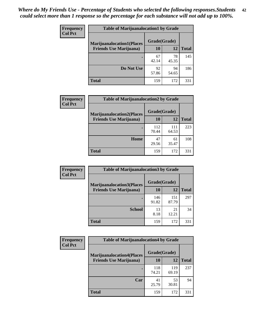| <b>Frequency</b> | <b>Table of Marijuanalocation1 by Grade</b> |              |             |              |
|------------------|---------------------------------------------|--------------|-------------|--------------|
| <b>Col Pct</b>   | <b>Marijuanalocation1(Places</b>            | Grade(Grade) |             |              |
|                  | <b>Friends Use Marijuana</b> )              | 10           | 12          | <b>Total</b> |
|                  |                                             | 67<br>42.14  | 78<br>45.35 | 145          |
|                  | Do Not Use                                  | 92<br>57.86  | 94<br>54.65 | 186          |
|                  | Total                                       | 159          | 172         | 331          |

| <b>Frequency</b> | <b>Table of Marijuanalocation2 by Grade</b>                        |                    |              |              |
|------------------|--------------------------------------------------------------------|--------------------|--------------|--------------|
| <b>Col Pct</b>   | <b>Marijuanalocation2(Places</b><br><b>Friends Use Marijuana</b> ) | Grade(Grade)<br>10 | 12           | <b>Total</b> |
|                  |                                                                    | 112<br>70.44       | 111<br>64.53 | 223          |
|                  | Home                                                               | 47<br>29.56        | 61<br>35.47  | 108          |
|                  | <b>Total</b>                                                       | 159                | 172          | 331          |

| Frequency<br><b>Col Pct</b> | <b>Table of Marijuanalocation3 by Grade</b> |              |              |              |
|-----------------------------|---------------------------------------------|--------------|--------------|--------------|
|                             | <b>Marijuanalocation3</b> (Places           | Grade(Grade) |              |              |
|                             | <b>Friends Use Marijuana</b> )              | 10           | 12           | <b>Total</b> |
|                             |                                             | 146<br>91.82 | 151<br>87.79 | 297          |
|                             | <b>School</b>                               | 13<br>8.18   | 21<br>12.21  | 34           |
|                             | <b>Total</b>                                | 159          | 172          | 331          |

| <b>Frequency</b> | <b>Table of Marijuanalocation4 by Grade</b> |              |              |              |  |
|------------------|---------------------------------------------|--------------|--------------|--------------|--|
| <b>Col Pct</b>   | <b>Marijuanalocation4(Places</b>            | Grade(Grade) |              |              |  |
|                  | <b>Friends Use Marijuana</b> )              | <b>10</b>    | 12           | <b>Total</b> |  |
|                  |                                             | 118<br>74.21 | 119<br>69.19 | 237          |  |
|                  | Car                                         | 41<br>25.79  | 53<br>30.81  | 94           |  |
|                  | <b>Total</b>                                | 159          | 172          | 331          |  |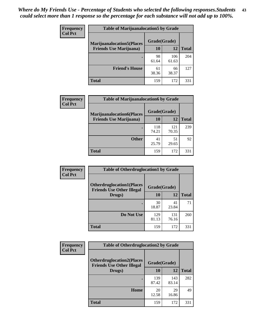| <b>Frequency</b> | <b>Table of Marijuanalocation5 by Grade</b> |              |              |              |
|------------------|---------------------------------------------|--------------|--------------|--------------|
| <b>Col Pct</b>   | <b>Marijuanalocation5</b> (Places           | Grade(Grade) |              |              |
|                  | <b>Friends Use Marijuana</b> )              | 10           | 12           | <b>Total</b> |
|                  |                                             | 98<br>61.64  | 106<br>61.63 | 204          |
|                  | <b>Friend's House</b>                       | 61<br>38.36  | 66<br>38.37  | 127          |
|                  | <b>Total</b>                                | 159          | 172          | 331          |

| <b>Frequency</b> | <b>Table of Marijuanalocation6 by Grade</b>                        |                    |              |              |
|------------------|--------------------------------------------------------------------|--------------------|--------------|--------------|
| <b>Col Pct</b>   | <b>Marijuanalocation6(Places</b><br><b>Friends Use Marijuana</b> ) | Grade(Grade)<br>10 | 12           | <b>Total</b> |
|                  |                                                                    | 118<br>74.21       | 121<br>70.35 | 239          |
|                  | <b>Other</b>                                                       | 41<br>25.79        | 51<br>29.65  | 92           |
|                  | <b>Total</b>                                                       | 159                | 172          | 331          |

| <b>Frequency</b> | <b>Table of Otherdruglocation1 by Grade</b>                          |              |              |              |
|------------------|----------------------------------------------------------------------|--------------|--------------|--------------|
| <b>Col Pct</b>   | <b>Otherdruglocation1(Places</b><br><b>Friends Use Other Illegal</b> | Grade(Grade) |              |              |
|                  | Drugs)                                                               | 10           | 12           | <b>Total</b> |
|                  |                                                                      | 30<br>18.87  | 41<br>23.84  | 71           |
|                  | Do Not Use                                                           | 129<br>81.13 | 131<br>76.16 | 260          |
|                  | <b>Total</b>                                                         | 159          | 172          | 331          |

| Frequency      | <b>Table of Otherdruglocation2 by Grade</b>                          |              |              |              |
|----------------|----------------------------------------------------------------------|--------------|--------------|--------------|
| <b>Col Pct</b> | <b>Otherdruglocation2(Places</b><br><b>Friends Use Other Illegal</b> | Grade(Grade) |              |              |
|                | Drugs)                                                               | 10           | 12           | <b>Total</b> |
|                |                                                                      | 139<br>87.42 | 143<br>83.14 | 282          |
|                | Home                                                                 | 20<br>12.58  | 29<br>16.86  | 49           |
|                | <b>Total</b>                                                         | 159          | 172          | 331          |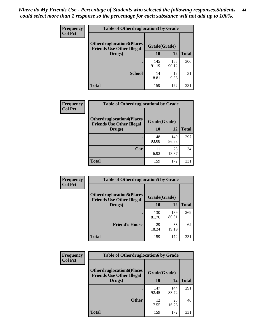| <b>Frequency</b> | <b>Table of Otherdruglocation3 by Grade</b>                          |              |              |              |
|------------------|----------------------------------------------------------------------|--------------|--------------|--------------|
| <b>Col Pct</b>   | <b>Otherdruglocation3(Places</b><br><b>Friends Use Other Illegal</b> | Grade(Grade) |              |              |
|                  | Drugs)                                                               | 10           | 12           | <b>Total</b> |
|                  |                                                                      | 145<br>91.19 | 155<br>90.12 | 300          |
|                  | <b>School</b>                                                        | 14<br>8.81   | 17<br>9.88   | 31           |
|                  | <b>Total</b>                                                         | 159          | 172          | 331          |

| <b>Frequency</b> | <b>Table of Otherdruglocation4 by Grade</b>                          |              |              |              |
|------------------|----------------------------------------------------------------------|--------------|--------------|--------------|
| <b>Col Pct</b>   | <b>Otherdruglocation4(Places</b><br><b>Friends Use Other Illegal</b> | Grade(Grade) |              |              |
|                  | Drugs)                                                               | 10           | 12           | <b>Total</b> |
|                  |                                                                      | 148<br>93.08 | 149<br>86.63 | 297          |
|                  | Car                                                                  | 11<br>6.92   | 23<br>13.37  | 34           |
|                  | <b>Total</b>                                                         | 159          | 172          | 331          |

| Frequency      | <b>Table of Otherdruglocation5 by Grade</b>                          |              |              |              |
|----------------|----------------------------------------------------------------------|--------------|--------------|--------------|
| <b>Col Pct</b> | <b>Otherdruglocation5(Places</b><br><b>Friends Use Other Illegal</b> | Grade(Grade) |              |              |
|                | Drugs)                                                               | <b>10</b>    | 12           | <b>Total</b> |
|                |                                                                      | 130<br>81.76 | 139<br>80.81 | 269          |
|                | <b>Friend's House</b>                                                | 29<br>18.24  | 33<br>19.19  | 62           |
|                | <b>Total</b>                                                         | 159          | 172          | 331          |

| <b>Frequency</b> | <b>Table of Otherdruglocation6 by Grade</b>                          |              |              |              |
|------------------|----------------------------------------------------------------------|--------------|--------------|--------------|
| <b>Col Pct</b>   | <b>Otherdruglocation6(Places</b><br><b>Friends Use Other Illegal</b> | Grade(Grade) |              |              |
|                  | Drugs)                                                               | 10           | 12           | <b>Total</b> |
|                  |                                                                      | 147<br>92.45 | 144<br>83.72 | 291          |
|                  | <b>Other</b>                                                         | 12<br>7.55   | 28<br>16.28  | 40           |
|                  | <b>Total</b>                                                         | 159          | 172          | 331          |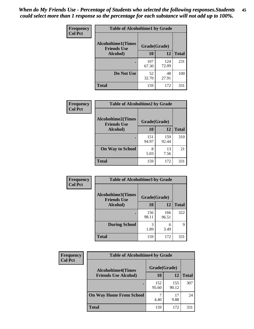| Frequency      | <b>Table of Alcoholtime1 by Grade</b>           |              |              |              |
|----------------|-------------------------------------------------|--------------|--------------|--------------|
| <b>Col Pct</b> | <b>Alcoholtime1(Times</b><br><b>Friends Use</b> | Grade(Grade) |              |              |
|                | Alcohol)                                        | 10           | 12           | <b>Total</b> |
|                |                                                 | 107<br>67.30 | 124<br>72.09 | 231          |
|                | Do Not Use                                      | 52<br>32.70  | 48<br>27.91  | 100          |
|                | <b>Total</b>                                    | 159          | 172          | 331          |

| Frequency      | <b>Table of Alcoholtime2 by Grade</b>           |              |              |              |
|----------------|-------------------------------------------------|--------------|--------------|--------------|
| <b>Col Pct</b> | <b>Alcoholtime2(Times</b><br><b>Friends Use</b> | Grade(Grade) |              |              |
|                | Alcohol)                                        | 10           | 12           | <b>Total</b> |
|                |                                                 | 151<br>94.97 | 159<br>92.44 | 310          |
|                | <b>On Way to School</b>                         | 8<br>5.03    | 13<br>7.56   | 21           |
|                | <b>Total</b>                                    | 159          | 172          | 331          |

| Frequency      | <b>Table of Alcoholtime3 by Grade</b><br><b>Alcoholtime3(Times</b><br>Grade(Grade)<br><b>Friends Use</b> |              |              |              |
|----------------|----------------------------------------------------------------------------------------------------------|--------------|--------------|--------------|
| <b>Col Pct</b> |                                                                                                          |              |              |              |
|                | Alcohol)                                                                                                 | 10           | 12           | <b>Total</b> |
|                |                                                                                                          | 156<br>98.11 | 166<br>96.51 | 322          |
|                | <b>During School</b>                                                                                     | 3<br>1.89    | 6<br>3.49    | 9            |
|                | Total                                                                                                    | 159          | 172          | 331          |

| <b>Frequency</b> | <b>Table of Alcoholtime4 by Grade</b> |              |              |              |  |
|------------------|---------------------------------------|--------------|--------------|--------------|--|
| <b>Col Pct</b>   | <b>Alcoholtime4(Times</b>             | Grade(Grade) |              |              |  |
|                  | <b>Friends Use Alcohol)</b>           | 10           | 12           | <b>Total</b> |  |
|                  |                                       | 152<br>95.60 | 155<br>90.12 | 307          |  |
|                  | <b>On Way Home From School</b>        | 4.40         | 17<br>9.88   | 24           |  |
|                  | <b>Total</b>                          | 159          | 172          | 331          |  |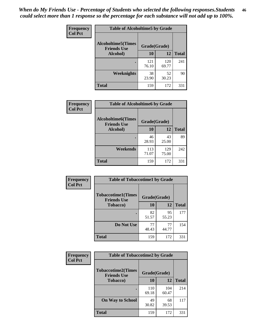*When do My Friends Use - Percentage of Students who selected the following responses.Students could select more than 1 response so the percentage for each substance will not add up to 100%.* **46**

| <b>Frequency</b> | <b>Table of Alcoholtime5 by Grade</b>            |              |              |              |
|------------------|--------------------------------------------------|--------------|--------------|--------------|
| <b>Col Pct</b>   | <b>Alcoholtime5</b> (Times<br><b>Friends Use</b> | Grade(Grade) |              |              |
|                  | Alcohol)                                         | 10           | 12           | <b>Total</b> |
|                  |                                                  | 121<br>76.10 | 120<br>69.77 | 241          |
|                  | Weeknights                                       | 38<br>23.90  | 52<br>30.23  | 90           |
|                  | <b>Total</b>                                     | 159          | 172          | 331          |

| Frequency      | <b>Table of Alcoholtime6 by Grade</b>           |              |              |              |
|----------------|-------------------------------------------------|--------------|--------------|--------------|
| <b>Col Pct</b> | <b>Alcoholtime6(Times</b><br><b>Friends Use</b> | Grade(Grade) |              |              |
|                | Alcohol)                                        | 10           | 12           | <b>Total</b> |
|                |                                                 | 46<br>28.93  | 43<br>25.00  | 89           |
|                | Weekends                                        | 113<br>71.07 | 129<br>75.00 | 242          |
|                | <b>Total</b>                                    | 159          | 172          | 331          |

| <b>Frequency</b> | <b>Table of Tobaccotime1 by Grade</b>           |              |             |              |
|------------------|-------------------------------------------------|--------------|-------------|--------------|
| <b>Col Pct</b>   | <b>Tobaccotime1(Times</b><br><b>Friends Use</b> | Grade(Grade) |             |              |
|                  | <b>Tobacco</b> )                                | 10           | 12          | <b>Total</b> |
|                  |                                                 | 82<br>51.57  | 95<br>55.23 | 177          |
|                  | Do Not Use                                      | 77<br>48.43  | 77<br>44.77 | 154          |
|                  | <b>Total</b>                                    | 159          | 172         | 331          |

| Frequency      | <b>Table of Tobaccotime2 by Grade</b>           |              |              |              |
|----------------|-------------------------------------------------|--------------|--------------|--------------|
| <b>Col Pct</b> | <b>Tobaccotime2(Times</b><br><b>Friends Use</b> | Grade(Grade) |              |              |
|                | <b>Tobacco</b> )                                | 10           | 12           | <b>Total</b> |
|                |                                                 | 110<br>69.18 | 104<br>60.47 | 214          |
|                | <b>On Way to School</b>                         | 49<br>30.82  | 68<br>39.53  | 117          |
|                | <b>Total</b>                                    | 159          | 172          | 331          |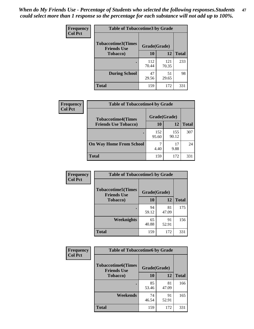*When do My Friends Use - Percentage of Students who selected the following responses.Students could select more than 1 response so the percentage for each substance will not add up to 100%.* **47**

| <b>Frequency</b> | <b>Table of Tobaccotime3 by Grade</b>           |              |              |              |  |
|------------------|-------------------------------------------------|--------------|--------------|--------------|--|
| <b>Col Pct</b>   | <b>Tobaccotime3(Times</b><br><b>Friends Use</b> | Grade(Grade) |              |              |  |
|                  | <b>Tobacco</b> )                                | 10           | 12           | <b>Total</b> |  |
|                  |                                                 | 112<br>70.44 | 121<br>70.35 | 233          |  |
|                  | <b>During School</b>                            | 47<br>29.56  | 51<br>29.65  | 98           |  |
|                  | <b>Total</b>                                    | 159          | 172          | 331          |  |

| <b>Frequency</b> | <b>Table of Tobaccotime4 by Grade</b> |              |              |              |
|------------------|---------------------------------------|--------------|--------------|--------------|
| <b>Col Pct</b>   | <b>Tobaccotime4(Times</b>             | Grade(Grade) |              |              |
|                  | <b>Friends Use Tobacco)</b>           | 10           | 12           | <b>Total</b> |
|                  |                                       | 152<br>95.60 | 155<br>90.12 | 307          |
|                  | <b>On Way Home From School</b>        | 7<br>4.40    | 17<br>9.88   | 24           |
|                  | <b>Total</b>                          | 159          | 172          | 331          |

| <b>Frequency</b> | <b>Table of Tobaccotime5 by Grade</b>           |              |             |              |
|------------------|-------------------------------------------------|--------------|-------------|--------------|
| <b>Col Pct</b>   | <b>Tobaccotime5(Times</b><br><b>Friends Use</b> | Grade(Grade) |             |              |
|                  | <b>Tobacco</b> )                                | 10           | 12          | <b>Total</b> |
|                  |                                                 | 94<br>59.12  | 81<br>47.09 | 175          |
|                  | Weeknights                                      | 65<br>40.88  | 91<br>52.91 | 156          |
|                  | <b>Total</b>                                    | 159          | 172         | 331          |

| <b>Frequency</b> | <b>Table of Tobaccotime6 by Grade</b>           |              |             |              |
|------------------|-------------------------------------------------|--------------|-------------|--------------|
| <b>Col Pct</b>   | <b>Tobaccotime6(Times</b><br><b>Friends Use</b> | Grade(Grade) |             |              |
|                  | <b>Tobacco</b> )                                | 10           | 12          | <b>Total</b> |
|                  | ٠                                               | 85<br>53.46  | 81<br>47.09 | 166          |
|                  | Weekends                                        | 74<br>46.54  | 91<br>52.91 | 165          |
|                  | <b>Total</b>                                    | 159          | 172         | 331          |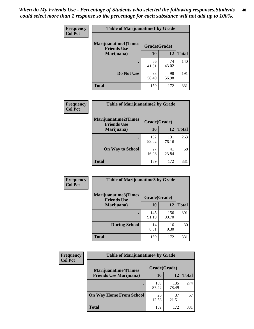| Frequency      | <b>Table of Marijuanatime1 by Grade</b>           |              |             |              |
|----------------|---------------------------------------------------|--------------|-------------|--------------|
| <b>Col Pct</b> | <b>Marijuanatime1(Times</b><br><b>Friends Use</b> | Grade(Grade) |             |              |
|                | Marijuana)                                        | 10           | 12          | <b>Total</b> |
|                |                                                   | 66<br>41.51  | 74<br>43.02 | 140          |
|                | Do Not Use                                        | 93<br>58.49  | 98<br>56.98 | 191          |
|                | <b>Total</b>                                      | 159          | 172         | 331          |

| <b>Frequency</b> | <b>Table of Marijuanatime2 by Grade</b>           |              |              |              |
|------------------|---------------------------------------------------|--------------|--------------|--------------|
| <b>Col Pct</b>   | <b>Marijuanatime2(Times</b><br><b>Friends Use</b> | Grade(Grade) |              |              |
|                  | Marijuana)                                        | 10           | 12           | <b>Total</b> |
|                  |                                                   | 132<br>83.02 | 131<br>76.16 | 263          |
|                  | <b>On Way to School</b>                           | 27<br>16.98  | 41<br>23.84  | 68           |
|                  | <b>Total</b>                                      | 159          | 172          | 331          |

| Frequency<br><b>Col Pct</b> | <b>Table of Marijuanatime3 by Grade</b>    |              |              |              |
|-----------------------------|--------------------------------------------|--------------|--------------|--------------|
|                             | Marijuanatime3(Times<br><b>Friends Use</b> | Grade(Grade) |              |              |
|                             | Marijuana)                                 | 10           | 12           | <b>Total</b> |
|                             |                                            | 145<br>91.19 | 156<br>90.70 | 301          |
|                             | <b>During School</b>                       | 14<br>8.81   | 16<br>9.30   | 30           |
|                             | Total                                      | 159          | 172          | 331          |

| <b>Frequency</b> | <b>Table of Marijuanatime4 by Grade</b> |              |              |              |
|------------------|-----------------------------------------|--------------|--------------|--------------|
| <b>Col Pct</b>   | <b>Marijuanatime4(Times</b>             | Grade(Grade) |              |              |
|                  | <b>Friends Use Marijuana</b> )          | 10           | 12           | <b>Total</b> |
|                  | ٠                                       | 139<br>87.42 | 135<br>78.49 | 274          |
|                  | <b>On Way Home From School</b>          | 20<br>12.58  | 37<br>21.51  | 57           |
|                  | <b>Total</b>                            | 159          | 172          | 331          |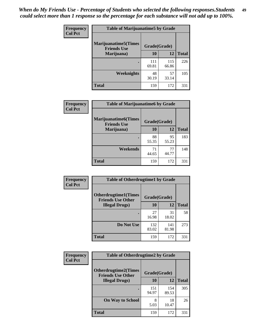| Frequency      | <b>Table of Marijuanatime5 by Grade</b>            |              |              |              |
|----------------|----------------------------------------------------|--------------|--------------|--------------|
| <b>Col Pct</b> | <b>Marijuanatime5</b> (Times<br><b>Friends Use</b> | Grade(Grade) |              |              |
|                | Marijuana)                                         | 10           | 12           | <b>Total</b> |
|                |                                                    | 111<br>69.81 | 115<br>66.86 | 226          |
|                | Weeknights                                         | 48<br>30.19  | 57<br>33.14  | 105          |
|                | <b>Total</b>                                       | 159          | 172          | 331          |

| Frequency      | <b>Table of Marijuanatime6 by Grade</b>    |              |             |              |
|----------------|--------------------------------------------|--------------|-------------|--------------|
| <b>Col Pct</b> | Marijuanatime6(Times<br><b>Friends Use</b> | Grade(Grade) |             |              |
|                | Marijuana)                                 | 10           | 12          | <b>Total</b> |
|                |                                            | 88<br>55.35  | 95<br>55.23 | 183          |
|                | Weekends                                   | 71<br>44.65  | 77<br>44.77 | 148          |
|                | <b>Total</b>                               | 159          | 172         | 331          |

| Frequency<br><b>Col Pct</b> | <b>Table of Otherdrugtime1 by Grade</b>                 |              |              |              |
|-----------------------------|---------------------------------------------------------|--------------|--------------|--------------|
|                             | <b>Otherdrugtime1(Times</b><br><b>Friends Use Other</b> | Grade(Grade) |              |              |
|                             | <b>Illegal Drugs</b> )                                  | 10           | 12           | <b>Total</b> |
|                             |                                                         | 27<br>16.98  | 31<br>18.02  | 58           |
|                             | Do Not Use                                              | 132<br>83.02 | 141<br>81.98 | 273          |
|                             | <b>Total</b>                                            | 159          | 172          | 331          |

| <b>Frequency</b> | <b>Table of Otherdrugtime2 by Grade</b>                 |              |              |              |  |  |  |
|------------------|---------------------------------------------------------|--------------|--------------|--------------|--|--|--|
| <b>Col Pct</b>   | <b>Otherdrugtime2(Times</b><br><b>Friends Use Other</b> | Grade(Grade) |              |              |  |  |  |
|                  | <b>Illegal Drugs</b> )                                  | 10           | 12           | <b>Total</b> |  |  |  |
|                  |                                                         | 151<br>94.97 | 154<br>89.53 | 305          |  |  |  |
|                  | <b>On Way to School</b>                                 | 8<br>5.03    | 18<br>10.47  | 26           |  |  |  |
|                  | Total                                                   | 159          | 172          | 331          |  |  |  |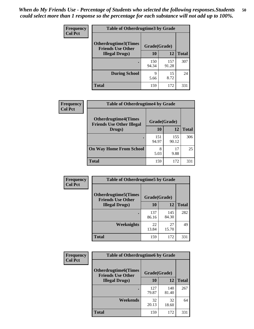| <b>Frequency</b> | <b>Table of Otherdrugtime3 by Grade</b>          |              |              |              |  |  |
|------------------|--------------------------------------------------|--------------|--------------|--------------|--|--|
| <b>Col Pct</b>   | Otherdrugtime3(Times<br><b>Friends Use Other</b> | Grade(Grade) |              |              |  |  |
|                  | <b>Illegal Drugs</b> )                           | 10           | 12           | <b>Total</b> |  |  |
|                  |                                                  | 150<br>94.34 | 157<br>91.28 | 307          |  |  |
|                  | <b>During School</b>                             | 9<br>5.66    | 15<br>8.72   | 24           |  |  |
|                  | Total                                            | 159          | 172          | 331          |  |  |

| Frequency      | <b>Table of Otherdrugtime4 by Grade</b>                         |              |              |              |  |  |
|----------------|-----------------------------------------------------------------|--------------|--------------|--------------|--|--|
| <b>Col Pct</b> | <b>Otherdrugtime4(Times</b><br><b>Friends Use Other Illegal</b> | Grade(Grade) |              |              |  |  |
|                | Drugs)                                                          | 10           | 12           | <b>Total</b> |  |  |
|                | $\bullet$                                                       | 151<br>94.97 | 155<br>90.12 | 306          |  |  |
|                | <b>On Way Home From School</b>                                  | 8<br>5.03    | 17<br>9.88   | 25           |  |  |
|                | <b>Total</b>                                                    | 159          | 172          | 331          |  |  |

| <b>Frequency</b> | <b>Table of Otherdrugtime5 by Grade</b>                  |              |              |              |  |  |
|------------------|----------------------------------------------------------|--------------|--------------|--------------|--|--|
| <b>Col Pct</b>   | <b>Otherdrugtime5</b> (Times<br><b>Friends Use Other</b> | Grade(Grade) |              |              |  |  |
|                  | <b>Illegal Drugs</b> )                                   | 10           | 12           | <b>Total</b> |  |  |
|                  |                                                          | 137<br>86.16 | 145<br>84.30 | 282          |  |  |
|                  | Weeknights                                               | 22<br>13.84  | 27<br>15.70  | 49           |  |  |
|                  | Total                                                    | 159          | 172          | 331          |  |  |

| <b>Frequency</b> | <b>Table of Otherdrugtime6 by Grade</b>                 |              |              |              |  |  |
|------------------|---------------------------------------------------------|--------------|--------------|--------------|--|--|
| <b>Col Pct</b>   | <b>Otherdrugtime6(Times</b><br><b>Friends Use Other</b> | Grade(Grade) |              |              |  |  |
|                  | <b>Illegal Drugs</b> )                                  | 10           | 12           | <b>Total</b> |  |  |
|                  |                                                         | 127<br>79.87 | 140<br>81.40 | 267          |  |  |
|                  | Weekends                                                | 32<br>20.13  | 32<br>18.60  | 64           |  |  |
|                  | <b>Total</b>                                            | 159          | 172          | 331          |  |  |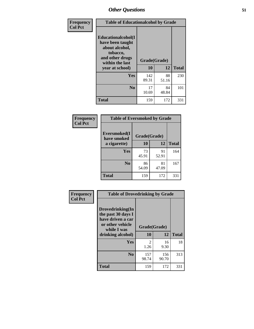| Frequency      | <b>Table of Educationalcohol by Grade</b>                                                                  |              |             |              |  |  |
|----------------|------------------------------------------------------------------------------------------------------------|--------------|-------------|--------------|--|--|
| <b>Col Pct</b> | Educationalcohol(I<br>have been taught<br>about alcohol,<br>tobacco,<br>and other drugs<br>within the last | Grade(Grade) |             |              |  |  |
|                | year at school)                                                                                            | 10           | 12          | <b>Total</b> |  |  |
|                | <b>Yes</b>                                                                                                 | 142<br>89.31 | 88<br>51.16 | 230          |  |  |
|                | N <sub>0</sub>                                                                                             | 17<br>10.69  | 84<br>48.84 | 101          |  |  |
|                | <b>Total</b>                                                                                               | 159          | 172         | 331          |  |  |

| Frequency      | <b>Table of Eversmoked by Grade</b> |              |             |              |  |  |  |
|----------------|-------------------------------------|--------------|-------------|--------------|--|--|--|
| <b>Col Pct</b> | Eversmoked(I<br>have smoked         | Grade(Grade) |             |              |  |  |  |
|                | a cigarette)                        | 10           | 12          | <b>Total</b> |  |  |  |
|                | Yes                                 | 73<br>45.91  | 91<br>52.91 | 164          |  |  |  |
|                | N <sub>0</sub>                      | 86<br>54.09  | 81<br>47.09 | 167          |  |  |  |
|                | <b>Total</b>                        | 159          | 172         | 331          |  |  |  |

| Frequency<br><b>Col Pct</b> | <b>Table of Drovedrinking by Grade</b>                                                                              |                    |              |              |  |  |
|-----------------------------|---------------------------------------------------------------------------------------------------------------------|--------------------|--------------|--------------|--|--|
|                             | Drovedrinking(In<br>the past 30 days I<br>have driven a car<br>or other vehicle<br>while I was<br>drinking alcohol) | Grade(Grade)<br>10 | 12           | <b>Total</b> |  |  |
|                             | <b>Yes</b>                                                                                                          | 2<br>1.26          | 16<br>9.30   | 18           |  |  |
|                             | N <sub>0</sub>                                                                                                      | 157<br>98.74       | 156<br>90.70 | 313          |  |  |
|                             | <b>Total</b>                                                                                                        | 159                | 172          | 331          |  |  |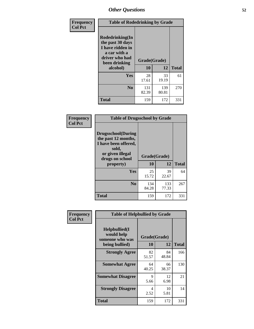| Frequency<br><b>Col Pct</b> | <b>Table of Rodedrinking by Grade</b>                                                                             |                    |              |              |  |  |  |
|-----------------------------|-------------------------------------------------------------------------------------------------------------------|--------------------|--------------|--------------|--|--|--|
|                             | <b>Rodedrinking(In</b><br>the past 30 days<br>I have ridden in<br>a car with a<br>driver who had<br>been drinking | Grade(Grade)<br>10 | 12           | <b>Total</b> |  |  |  |
|                             | alcohol)                                                                                                          |                    |              |              |  |  |  |
|                             | <b>Yes</b>                                                                                                        | 28<br>17.61        | 33<br>19.19  | 61           |  |  |  |
|                             | N <sub>0</sub>                                                                                                    | 131<br>82.39       | 139<br>80.81 | 270          |  |  |  |
|                             | <b>Total</b>                                                                                                      | 159                | 172          | 331          |  |  |  |

#### **Frequency Col Pct**

| <b>Table of Drugsschool by Grade</b>                                                                                      |              |       |              |  |  |  |  |
|---------------------------------------------------------------------------------------------------------------------------|--------------|-------|--------------|--|--|--|--|
| <b>Drugsschool</b> (During<br>the past 12 months,<br>I have been offered,<br>sold,<br>or given illegal<br>drugs on school | Grade(Grade) |       |              |  |  |  |  |
| property)                                                                                                                 | 10           | 12    | <b>Total</b> |  |  |  |  |
|                                                                                                                           |              |       |              |  |  |  |  |
| <b>Yes</b>                                                                                                                | 25           | 39    | 64           |  |  |  |  |
|                                                                                                                           | 15.72        | 22.67 |              |  |  |  |  |
| $\bf No$                                                                                                                  | 134          | 133   | 267          |  |  |  |  |
|                                                                                                                           | 84.28        | 77.33 |              |  |  |  |  |

| Frequency      | <b>Table of Helpbullied by Grade</b>                             |                                 |             |              |  |  |  |
|----------------|------------------------------------------------------------------|---------------------------------|-------------|--------------|--|--|--|
| <b>Col Pct</b> | Helpbullied(I<br>would help<br>someone who was<br>being bullied) | Grade(Grade)<br><b>10</b><br>12 |             | <b>Total</b> |  |  |  |
|                |                                                                  |                                 |             |              |  |  |  |
|                | <b>Strongly Agree</b>                                            | 82<br>51.57                     | 84<br>48.84 | 166          |  |  |  |
|                | <b>Somewhat Agree</b>                                            | 64<br>40.25                     | 66<br>38.37 | 130          |  |  |  |
|                | <b>Somewhat Disagree</b>                                         | 9<br>5.66                       | 12<br>6.98  | 21           |  |  |  |
|                | <b>Strongly Disagree</b>                                         | 4<br>2.52                       | 10<br>5.81  | 14           |  |  |  |
|                | Total                                                            | 159                             | 172         | 331          |  |  |  |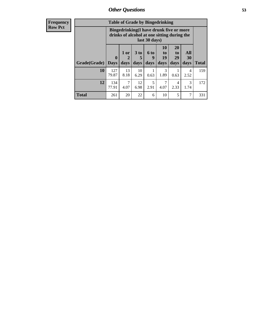| <b>Frequency</b> | <b>Table of Grade by Bingedrinking</b> |                                                                                                         |                                |                              |                   |                        |                               |                       |              |
|------------------|----------------------------------------|---------------------------------------------------------------------------------------------------------|--------------------------------|------------------------------|-------------------|------------------------|-------------------------------|-----------------------|--------------|
| <b>Row Pct</b>   |                                        | Bingedrinking(I have drunk five or more<br>drinks of alcohol at one sitting during the<br>last 30 days) |                                |                              |                   |                        |                               |                       |              |
|                  | Grade(Grade)                           | $\boldsymbol{0}$<br><b>Davs</b>                                                                         | 1 or<br>$\overline{2}$<br>days | 3 <sub>to</sub><br>5<br>days | 6 to<br>9<br>days | 10<br>to<br>19<br>days | <b>20</b><br>to<br>29<br>days | All<br>30<br>days     | <b>Total</b> |
|                  | 10                                     | 127<br>79.87                                                                                            | 13<br>8.18                     | 10<br>6.29                   | 0.63              | 3<br>1.89              | 0.63                          | 4<br>2.52             | 159          |
|                  | 12                                     | 134<br>77.91                                                                                            | 7<br>4.07                      | 12<br>6.98                   | 5<br>2.91         | 4.07                   | 4<br>2.33                     | $\mathcal{R}$<br>1.74 | 172          |
|                  | <b>Total</b>                           | 261                                                                                                     | 20                             | 22                           | 6                 | 10                     | 5                             | 7                     | 331          |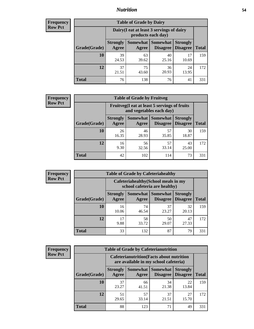### *Nutrition* **54**

| <b>Frequency</b><br>Row Pct |  |
|-----------------------------|--|
|                             |  |

| <b>Table of Grade by Dairy</b> |                                                                                                                           |                                                                 |             |             |     |  |  |  |
|--------------------------------|---------------------------------------------------------------------------------------------------------------------------|-----------------------------------------------------------------|-------------|-------------|-----|--|--|--|
|                                |                                                                                                                           | Dairy (I eat at least 3 servings of dairy<br>products each day) |             |             |     |  |  |  |
| Grade(Grade)                   | <b>Somewhat</b><br><b>Somewhat</b><br><b>Strongly</b><br><b>Strongly</b><br><b>Disagree</b><br>Disagree<br>Agree<br>Agree |                                                                 |             |             |     |  |  |  |
| 10                             | 39<br>24.53                                                                                                               | 63<br>39.62                                                     | 40<br>25.16 | 17<br>10.69 | 159 |  |  |  |
| 12                             | 37<br>21.51                                                                                                               | 75<br>43.60                                                     | 36<br>20.93 | 24<br>13.95 | 172 |  |  |  |
| <b>Total</b>                   | 76                                                                                                                        | 138                                                             | 76          | 41          | 331 |  |  |  |

| <b>Frequency</b> |  |
|------------------|--|
| <b>Row Pct</b>   |  |

| <b>Table of Grade by Fruitveg</b> |                          |                                                                          |                                      |                                    |              |  |  |
|-----------------------------------|--------------------------|--------------------------------------------------------------------------|--------------------------------------|------------------------------------|--------------|--|--|
|                                   |                          | Fruitveg(I eat at least 5 servings of fruits<br>and vegetables each day) |                                      |                                    |              |  |  |
| Grade(Grade)                      | <b>Strongly</b><br>Agree | Agree                                                                    | Somewhat Somewhat<br><b>Disagree</b> | <b>Strongly</b><br><b>Disagree</b> | <b>Total</b> |  |  |
| 10                                | 26<br>16.35              | 46<br>28.93                                                              | 57<br>35.85                          | 30<br>18.87                        | 159          |  |  |
| 12                                | 16<br>9.30               | 56<br>32.56                                                              | 57<br>33.14                          | 43<br>25.00                        | 172          |  |  |
| <b>Total</b>                      | 42                       | 102                                                                      | 114                                  | 73                                 | 331          |  |  |

| Frequency      | <b>Table of Grade by Cafeteriahealthy</b> |                                                                       |             |                                      |                                    |              |  |
|----------------|-------------------------------------------|-----------------------------------------------------------------------|-------------|--------------------------------------|------------------------------------|--------------|--|
| <b>Row Pct</b> |                                           | Cafeteriahealthy (School meals in my<br>school cafeteria are healthy) |             |                                      |                                    |              |  |
|                | Grade(Grade)                              | <b>Strongly</b><br>Agree                                              | Agree       | Somewhat Somewhat<br><b>Disagree</b> | <b>Strongly</b><br><b>Disagree</b> | <b>Total</b> |  |
|                | 10                                        | 16<br>10.06                                                           | 74<br>46.54 | 37<br>23.27                          | 32<br>20.13                        | 159          |  |
|                | 12                                        | 17<br>9.88                                                            | 58<br>33.72 | 50<br>29.07                          | 47<br>27.33                        | 172          |  |
|                | <b>Total</b>                              | 33                                                                    | 132         | 87                                   | 79                                 | 331          |  |

| <b>Frequency</b> |
|------------------|
| <b>Row Pct</b>   |

| <b>Table of Grade by Cafeterianutrition</b>                                               |                          |                   |                 |                                        |              |  |  |
|-------------------------------------------------------------------------------------------|--------------------------|-------------------|-----------------|----------------------------------------|--------------|--|--|
| <b>Cafeterianutrition</b> (Facts about nutrition<br>are available in my school cafeteria) |                          |                   |                 |                                        |              |  |  |
| <b>Grade</b> (Grade)                                                                      | <b>Strongly</b><br>Agree | Somewhat<br>Agree | <b>Somewhat</b> | <b>Strongly</b><br>Disagree   Disagree | <b>Total</b> |  |  |
| 10                                                                                        | 37<br>23.27              | 66<br>41.51       | 34<br>21.38     | 22<br>13.84                            | 159          |  |  |
| 12                                                                                        | 51<br>29.65              | 57<br>33.14       | 37<br>21.51     | 27<br>15.70                            | 172          |  |  |
| <b>Total</b>                                                                              | 88                       | 123               | 71              | 49                                     | 331          |  |  |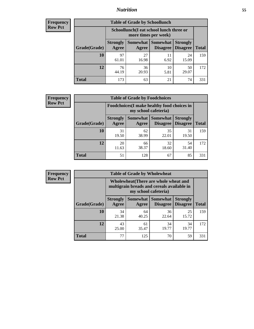### *Nutrition* **55**

| Frequency |
|-----------|
| Row Pct   |

| <b>Table of Grade by Schoollunch</b> |                                                                                                                                      |                                                                 |            |             |     |  |  |  |
|--------------------------------------|--------------------------------------------------------------------------------------------------------------------------------------|-----------------------------------------------------------------|------------|-------------|-----|--|--|--|
|                                      |                                                                                                                                      | Schoollunch(I eat school lunch three or<br>more times per week) |            |             |     |  |  |  |
| Grade(Grade)                         | Somewhat  <br><b>Strongly</b><br><b>Somewhat</b><br><b>Strongly</b><br><b>Disagree</b><br>Agree<br>Disagree<br><b>Total</b><br>Agree |                                                                 |            |             |     |  |  |  |
| 10                                   | 97<br>61.01                                                                                                                          | 27<br>16.98                                                     | 11<br>6.92 | 24<br>15.09 | 159 |  |  |  |
| 12                                   | 76<br>44.19                                                                                                                          | 36<br>20.93                                                     | 10<br>5.81 | 50<br>29.07 | 172 |  |  |  |
| <b>Total</b>                         | 173                                                                                                                                  | 63                                                              | 21         | 74          | 331 |  |  |  |

| <b>Frequency</b> |  |
|------------------|--|
| <b>Row Pct</b>   |  |

| <b>Table of Grade by Foodchoices</b>                                |                          |             |                                               |                                    |              |  |  |
|---------------------------------------------------------------------|--------------------------|-------------|-----------------------------------------------|------------------------------------|--------------|--|--|
| Foodchoices (I make healthy food choices in<br>my school cafeteria) |                          |             |                                               |                                    |              |  |  |
| Grade(Grade)                                                        | <b>Strongly</b><br>Agree | Agree       | <b>Somewhat   Somewhat</b><br><b>Disagree</b> | <b>Strongly</b><br><b>Disagree</b> | <b>Total</b> |  |  |
| 10                                                                  | 31<br>19.50              | 62<br>38.99 | 35<br>22.01                                   | 31<br>19.50                        | 159          |  |  |
| 12                                                                  | 20<br>11.63              | 66<br>38.37 | 32<br>18.60                                   | 54<br>31.40                        | 172          |  |  |
| <b>Total</b>                                                        | 51                       | 128         | 67                                            | 85                                 | 331          |  |  |

| <b>Frequency</b> | <b>Table of Grade by Wholewheat</b> |                                                                                                             |             |                                        |                                    |              |  |  |
|------------------|-------------------------------------|-------------------------------------------------------------------------------------------------------------|-------------|----------------------------------------|------------------------------------|--------------|--|--|
| <b>Row Pct</b>   |                                     | Wholewheat (There are whole wheat and<br>multigrain breads and cereals available in<br>my school cafeteria) |             |                                        |                                    |              |  |  |
|                  | Grade(Grade)                        | <b>Strongly</b><br>Agree                                                                                    | Agree       | Somewhat   Somewhat<br><b>Disagree</b> | <b>Strongly</b><br><b>Disagree</b> | <b>Total</b> |  |  |
|                  | 10                                  | 34<br>21.38                                                                                                 | 64<br>40.25 | 36<br>22.64                            | 25<br>15.72                        | 159          |  |  |
|                  | 12                                  | 43<br>25.00                                                                                                 | 61<br>35.47 | 34<br>19.77                            | 34<br>19.77                        | 172          |  |  |
|                  | <b>Total</b>                        | 77                                                                                                          | 125         | 70                                     | 59                                 | 331          |  |  |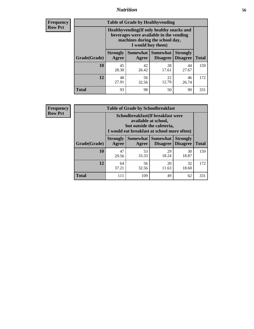### *Nutrition* **56**

**Frequency Row Pct**

| <b>Table of Grade by Healthyvending</b> |                                                                                                                                               |                          |                                    |                                    |              |  |
|-----------------------------------------|-----------------------------------------------------------------------------------------------------------------------------------------------|--------------------------|------------------------------------|------------------------------------|--------------|--|
|                                         | Healthyvending (If only healthy snacks and<br>beverages were available in the vending<br>machines during the school day,<br>I would buy them) |                          |                                    |                                    |              |  |
| Grade(Grade)                            | <b>Strongly</b><br>Agree                                                                                                                      | <b>Somewhat</b><br>Agree | <b>Somewhat</b><br><b>Disagree</b> | <b>Strongly</b><br><b>Disagree</b> | <b>Total</b> |  |
| 10                                      | 45<br>28.30                                                                                                                                   | 42<br>26.42              | 28<br>17.61                        | 44<br>27.67                        | 159          |  |
| 12                                      | 48<br>27.91                                                                                                                                   | 56<br>32.56              | 22<br>12.79                        | 46<br>26.74                        | 172          |  |
| <b>Total</b>                            | 93                                                                                                                                            | 98                       | 50                                 | 90                                 | 331          |  |

**Frequency Row Pct**

| <b>Table of Grade by Schoolbreakfast</b> |                                                                                                                                         |             |                                        |                                    |              |  |
|------------------------------------------|-----------------------------------------------------------------------------------------------------------------------------------------|-------------|----------------------------------------|------------------------------------|--------------|--|
|                                          | Schoolbreakfast (If breakfast were<br>available at school,<br>but outside the cafeteria,<br>I would eat breakfast at school more often) |             |                                        |                                    |              |  |
| Grade(Grade)                             | <b>Strongly</b><br>Agree                                                                                                                | Agree       | Somewhat   Somewhat<br><b>Disagree</b> | <b>Strongly</b><br><b>Disagree</b> | <b>Total</b> |  |
| 10                                       | 47<br>29.56                                                                                                                             | 53<br>33.33 | 29<br>18.24                            | 30<br>18.87                        | 159          |  |
| 12                                       | 56<br>32<br>20<br>64<br>37.21<br>32.56<br>11.63<br>18.60                                                                                |             |                                        |                                    |              |  |
| <b>Total</b>                             | 111                                                                                                                                     | 109         | 49                                     | 62                                 | 331          |  |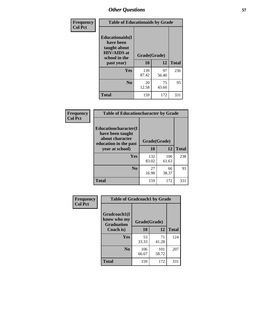| Frequency<br><b>Col Pct</b> | <b>Table of Educationaids by Grade</b>                                                                    |                    |             |              |
|-----------------------------|-----------------------------------------------------------------------------------------------------------|--------------------|-------------|--------------|
|                             | <b>Educationaids</b> (I<br>have been<br>taught about<br><b>HIV/AIDS</b> at<br>school in the<br>past year) | Grade(Grade)<br>10 | 12          | <b>Total</b> |
|                             | Yes                                                                                                       | 139<br>87.42       | 97<br>56.40 | 236          |
|                             | N <sub>0</sub>                                                                                            | 20<br>12.58        | 75<br>43.60 | 95           |
|                             | <b>Total</b>                                                                                              | 159                | 172         | 331          |

| <b>Frequency</b> | <b>Table of Educationcharacter by Grade</b>                                                             |              |              |              |
|------------------|---------------------------------------------------------------------------------------------------------|--------------|--------------|--------------|
| <b>Col Pct</b>   | Educationcharacter(I<br>have been taught<br>about character<br>education in the past<br>year at school) | Grade(Grade) |              |              |
|                  |                                                                                                         | 10           | 12           | <b>Total</b> |
|                  | Yes                                                                                                     | 132<br>83.02 | 106<br>61.63 | 238          |
|                  | N <sub>0</sub>                                                                                          | 27<br>16.98  | 66<br>38.37  | 93           |
|                  | <b>Total</b>                                                                                            | 159          | 172          | 331          |

| <b>Frequency</b> | <b>Table of Gradcoach1 by Grade</b>              |              |              |              |
|------------------|--------------------------------------------------|--------------|--------------|--------------|
| <b>Col Pct</b>   | Gradcoach1(I<br>know who my<br><b>Graduation</b> | Grade(Grade) |              |              |
|                  | Coach is)                                        | 10           | 12           | <b>Total</b> |
|                  | Yes                                              | 53<br>33.33  | 71<br>41.28  | 124          |
|                  | N <sub>0</sub>                                   | 106<br>66.67 | 101<br>58.72 | 207          |
|                  | <b>Total</b>                                     | 159          | 172          | 331          |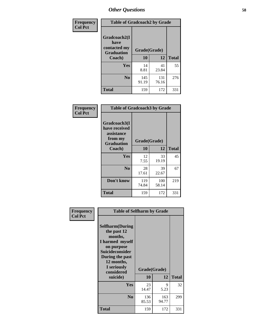| Frequency      | <b>Table of Gradcoach2 by Grade</b> |              |              |              |
|----------------|-------------------------------------|--------------|--------------|--------------|
| <b>Col Pct</b> | Gradcoach2(I<br>have                |              |              |              |
|                | contacted my<br><b>Graduation</b>   | Grade(Grade) |              |              |
|                | Coach)                              | 10           | 12           | <b>Total</b> |
|                | Yes                                 | 14<br>8.81   | 41<br>23.84  | 55           |
|                | N <sub>0</sub>                      | 145<br>91.19 | 131<br>76.16 | 276          |
|                | <b>Total</b>                        | 159          | 172          | 331          |

| <b>Frequency</b><br><b>Col Pct</b> | <b>Table of Gradcoach3 by Grade</b>                                         |              |              |              |
|------------------------------------|-----------------------------------------------------------------------------|--------------|--------------|--------------|
|                                    | Gradcoach3(I<br>have received<br>assistance<br>from my<br><b>Graduation</b> | Grade(Grade) |              |              |
|                                    | Coach)                                                                      | 10           | 12           | <b>Total</b> |
|                                    | Yes                                                                         | 12<br>7.55   | 33<br>19.19  | 45           |
|                                    | N <sub>0</sub>                                                              | 28<br>17.61  | 39<br>22.67  | 67           |
|                                    | Don't know                                                                  | 119<br>74.84 | 100<br>58.14 | 219          |
|                                    | <b>Total</b>                                                                | 159          | 172          | 331          |

| Frequency      | <b>Table of Selfharm by Grade</b>                                                                                                                                          |              |              |              |
|----------------|----------------------------------------------------------------------------------------------------------------------------------------------------------------------------|--------------|--------------|--------------|
| <b>Col Pct</b> | <b>Selfharm</b> (During<br>the past 12<br>months,<br>I harmed myself<br>on purpose<br><b>Suicideconsider</b><br>During the past<br>12 months,<br>I seriously<br>considered | Grade(Grade) |              |              |
|                | suicide)                                                                                                                                                                   | 10           | 12           | <b>Total</b> |
|                | <b>Yes</b>                                                                                                                                                                 | 23<br>14.47  | 9<br>5.23    | 32           |
|                | N <sub>0</sub>                                                                                                                                                             | 136<br>85.53 | 163<br>94.77 | 299          |
|                | <b>Total</b>                                                                                                                                                               | 159          | 172          | 331          |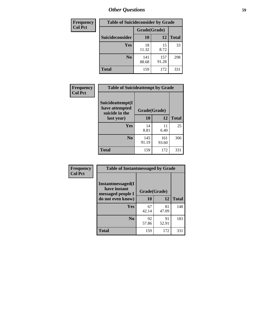| <b>Frequency</b> | <b>Table of Suicideconsider by Grade</b> |              |              |              |
|------------------|------------------------------------------|--------------|--------------|--------------|
| <b>Col Pct</b>   |                                          | Grade(Grade) |              |              |
|                  | Suicideconsider                          | <b>10</b>    | 12           | <b>Total</b> |
|                  | Yes                                      | 18<br>11.32  | 15<br>8.72   | 33           |
|                  | N <sub>0</sub>                           | 141<br>88.68 | 157<br>91.28 | 298          |
|                  | <b>Total</b>                             | 159          | 172          | 331          |

| Frequency<br><b>Col Pct</b> | <b>Table of Suicideattempt by Grade</b>              |              |              |              |
|-----------------------------|------------------------------------------------------|--------------|--------------|--------------|
|                             | Suicideattempt(I<br>have attempted<br>suicide in the | Grade(Grade) |              |              |
|                             | last year)                                           | 10           | 12           | <b>Total</b> |
|                             | Yes                                                  | 14<br>8.81   | 11<br>6.40   | 25           |
|                             | N <sub>0</sub>                                       | 145<br>91.19 | 161<br>93.60 | 306          |
|                             | <b>Total</b>                                         | 159          | 172          | 331          |

| Frequency      | <b>Table of Instantmessaged by Grade</b>               |              |             |              |
|----------------|--------------------------------------------------------|--------------|-------------|--------------|
| <b>Col Pct</b> | Instantmessaged(I<br>have instant<br>messaged people I | Grade(Grade) |             |              |
|                | do not even know)                                      | 10           | 12          | <b>Total</b> |
|                | Yes                                                    | 67<br>42.14  | 81<br>47.09 | 148          |
|                | N <sub>0</sub>                                         | 92<br>57.86  | 91<br>52.91 | 183          |
|                | <b>Total</b>                                           | 159          | 172         | 331          |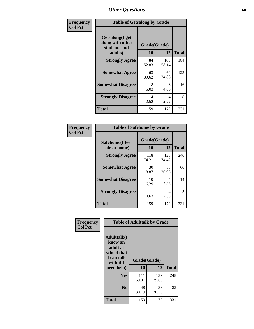| Frequency      | <b>Table of Getsalong by Grade</b>                          |             |              |              |
|----------------|-------------------------------------------------------------|-------------|--------------|--------------|
| <b>Col Pct</b> | <b>Getsalong</b> (I get<br>along with other<br>students and |             | Grade(Grade) |              |
|                | adults)                                                     | 10          | 12           | <b>Total</b> |
|                | <b>Strongly Agree</b>                                       | 84<br>52.83 | 100<br>58.14 | 184          |
|                | <b>Somewhat Agree</b>                                       | 63<br>39.62 | 60<br>34.88  | 123          |
|                | <b>Somewhat Disagree</b>                                    | 8<br>5.03   | 8<br>4.65    | 16           |
|                | <b>Strongly Disagree</b>                                    | 4<br>2.52   | 4<br>2.33    | 8            |
|                | <b>Total</b>                                                | 159         | 172          | 331          |

| Frequency      | <b>Table of Safehome by Grade</b> |                           |              |              |
|----------------|-----------------------------------|---------------------------|--------------|--------------|
| <b>Col Pct</b> | Safehome(I feel<br>safe at home)  | Grade(Grade)<br><b>10</b> | 12           | <b>Total</b> |
|                | <b>Strongly Agree</b>             | 118<br>74.21              | 128<br>74.42 | 246          |
|                | <b>Somewhat Agree</b>             | 30<br>18.87               | 36<br>20.93  | 66           |
|                | <b>Somewhat Disagree</b>          | 10<br>6.29                | 4<br>2.33    | 14           |
|                | <b>Strongly Disagree</b>          | 0.63                      | 4<br>2.33    | 5            |
|                | <b>Total</b>                      | 159                       | 172          | 331          |

| Frequency      | <b>Table of Adulttalk by Grade</b>                                                  |              |              |              |  |  |  |  |
|----------------|-------------------------------------------------------------------------------------|--------------|--------------|--------------|--|--|--|--|
| <b>Col Pct</b> | <b>Adulttalk(I</b><br>know an<br>adult at<br>school that<br>I can talk<br>with if I | Grade(Grade) |              |              |  |  |  |  |
|                | need help)                                                                          | 10           | 12           | <b>Total</b> |  |  |  |  |
|                | <b>Yes</b>                                                                          | 111<br>69.81 | 137<br>79.65 | 248          |  |  |  |  |
|                | N <sub>0</sub>                                                                      | 48<br>30.19  | 35<br>20.35  | 83           |  |  |  |  |
|                | <b>Total</b>                                                                        | 159          | 172          | 331          |  |  |  |  |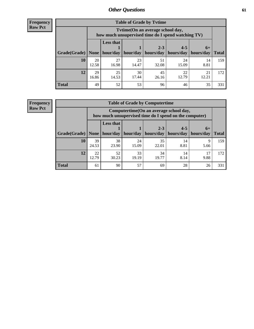**Frequency Row Pct**

| <b>Table of Grade by Tvtime</b> |             |                                                                                         |                     |             |                       |             |              |  |  |
|---------------------------------|-------------|-----------------------------------------------------------------------------------------|---------------------|-------------|-----------------------|-------------|--------------|--|--|
|                                 |             | Tytime (On an average school day,<br>how much unsupervised time do I spend watching TV) |                     |             |                       |             |              |  |  |
|                                 |             | <b>Less that</b>                                                                        |                     | $2 - 3$     | $4 - 5$               | $6+$        |              |  |  |
| Grade(Grade)   None             |             |                                                                                         | hour/day   hour/day | hours/day   | hours/day   hours/day |             | <b>Total</b> |  |  |
| 10                              | 20<br>12.58 | 27<br>16.98                                                                             | 23<br>14.47         | 51<br>32.08 | 24<br>15.09           | 14<br>8.81  | 159          |  |  |
| 12                              | 29<br>16.86 | 25<br>14.53                                                                             | 30<br>17.44         | 45<br>26.16 | 22<br>12.79           | 21<br>12.21 | 172          |  |  |
| <b>Total</b>                    | 49          | 52                                                                                      | 53                  | 96          | 46                    | 35          | 331          |  |  |

**Frequency Row Pct**

| <b>Table of Grade by Computertime</b> |             |                                                                                                                              |             |             |            |           |     |  |  |
|---------------------------------------|-------------|------------------------------------------------------------------------------------------------------------------------------|-------------|-------------|------------|-----------|-----|--|--|
|                                       |             | Computertime (On an average school day,<br>how much unsupervised time do I spend on the computer)                            |             |             |            |           |     |  |  |
| Grade(Grade)                          | None        | <b>Less that</b><br>$4 - 5$<br>$2 - 3$<br>$6+$<br>hours/day<br>hours/day<br>hour/day   hour/day<br>hours/day<br><b>Total</b> |             |             |            |           |     |  |  |
| 10                                    | 39<br>24.53 | 38<br>23.90                                                                                                                  | 24<br>15.09 | 35<br>22.01 | 14<br>8.81 | 9<br>5.66 | 159 |  |  |
| 12                                    | 22<br>12.79 | 52<br>33<br>34<br>14<br>17<br>30.23<br>19.19<br>8.14<br>9.88<br>19.77                                                        |             |             |            |           |     |  |  |
| <b>Total</b>                          | 61          | 90                                                                                                                           | 57          | 69          | 28         | 26        | 331 |  |  |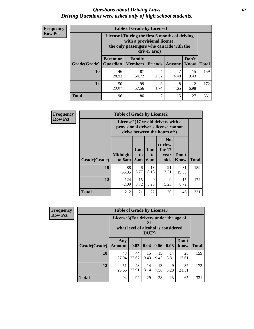#### *Questions about Driving Laws* **62** *Driving Questions were asked only of high school students.*

| <b>Frequency</b> |
|------------------|
| <b>Row Pct</b>   |

| <b>Table of Grade by License1</b> |                                                                    |                                                                                                                                           |                |           |               |              |  |  |  |
|-----------------------------------|--------------------------------------------------------------------|-------------------------------------------------------------------------------------------------------------------------------------------|----------------|-----------|---------------|--------------|--|--|--|
|                                   |                                                                    | License1(During the first 6 months of driving<br>with a provisional license,<br>the only passengers who can ride with the<br>driver are:) |                |           |               |              |  |  |  |
| Grade(Grade)                      | <b>Parent or</b><br><b>Guardian</b>                                | Family<br><b>Members</b>                                                                                                                  | <b>Friends</b> | Anyone    | Don't<br>Know | <b>Total</b> |  |  |  |
| 10                                | 46<br>28.93                                                        | 87<br>54.72                                                                                                                               | 4<br>2.52      | 7<br>4.40 | 15<br>9.43    | 159          |  |  |  |
| 12                                | 3<br>50<br>99<br>8<br>12<br>29.07<br>57.56<br>1.74<br>6.98<br>4.65 |                                                                                                                                           |                |           |               |              |  |  |  |
| <b>Total</b>                      | 96                                                                 | 186                                                                                                                                       | 7              | 15        | 27            | 331          |  |  |  |

| <b>Frequency</b> |              |                           |                                                                                                          |                              |                                                      |                      |              |  |
|------------------|--------------|---------------------------|----------------------------------------------------------------------------------------------------------|------------------------------|------------------------------------------------------|----------------------|--------------|--|
| <b>Row Pct</b>   |              |                           | License2(17 yr old drivers with a<br>provisional driver's license cannot<br>drive between the hours of:) |                              |                                                      |                      |              |  |
|                  | Grade(Grade) | <b>Midnight</b><br>to 6am | 1am<br>to<br>5am                                                                                         | 1am<br>t <sub>0</sub><br>6am | N <sub>0</sub><br>curfew<br>for $17$<br>vear<br>olds | Don't<br><b>Know</b> | <b>Total</b> |  |
|                  | <b>10</b>    | 88<br>55.35               | 6<br>3.77                                                                                                | 13<br>8.18                   | 21<br>13.21                                          | 31<br>19.50          | 159          |  |
|                  | 12           | 124<br>72.09              | 15<br>8.72                                                                                               | 9<br>5.23                    | 9<br>5.23                                            | 15<br>8.72           | 172          |  |
|                  | <b>Total</b> | 212                       | 21                                                                                                       | 22                           | 30                                                   | 46                   | 331          |  |

| Frequency      | <b>Table of Grade by License3</b> |                                       |                                     |              |            |            |               |              |
|----------------|-----------------------------------|---------------------------------------|-------------------------------------|--------------|------------|------------|---------------|--------------|
| <b>Row Pct</b> |                                   | License3(For drivers under the age of | what level of alcohol is considered | 21,<br>DUI?) |            |            |               |              |
|                | Grade(Grade)                      | Any<br><b>Amount</b>                  | 0.02                                | 0.04         | 0.06       | 0.08       | Don't<br>know | <b>Total</b> |
|                | 10                                | 43<br>27.04                           | 44<br>27.67                         | 15<br>9.43   | 15<br>9.43 | 14<br>8.81 | 28<br>17.61   | 159          |
|                | 12                                | 51<br>29.65                           | 48<br>27.91                         | 14<br>8.14   | 13<br>7.56 | 9<br>5.23  | 37<br>21.51   | 172          |
|                | <b>Total</b>                      | 94                                    | 92                                  | 29           | 28         | 23         | 65            | 331          |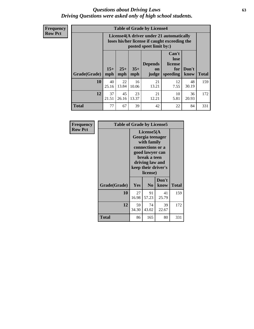#### *Questions about Driving Laws* **63** *Driving Questions were asked only of high school students.*

**Frequency Row Pct**

| <b>Table of Grade by License4</b> |              |                                                                                                                                                                                                                                                                       |             |             |            |             |     |  |
|-----------------------------------|--------------|-----------------------------------------------------------------------------------------------------------------------------------------------------------------------------------------------------------------------------------------------------------------------|-------------|-------------|------------|-------------|-----|--|
|                                   |              | License4(A driver under 21 automatically<br>loses his/her license if caught exceeding the<br>posted speet limit by:)<br>Can't<br>lose<br><b>Depends</b><br>license<br>$25+$<br>$35+$<br>Don't<br>for<br>on<br>speeding<br><b>Total</b><br>mph<br>mph<br>know<br>judge |             |             |            |             |     |  |
| Grade(Grade)                      | $15+$<br>mph |                                                                                                                                                                                                                                                                       |             |             |            |             |     |  |
| 10                                | 40<br>25.16  | 22<br>13.84                                                                                                                                                                                                                                                           | 16<br>10.06 | 21<br>13.21 | 12<br>7.55 | 48<br>30.19 | 159 |  |
| 12                                | 37<br>21.51  | 45<br>23<br>21<br>10<br>36<br>5.81<br>26.16<br>13.37<br>12.21<br>20.93                                                                                                                                                                                                |             |             |            |             |     |  |
| <b>Total</b>                      | 77           | 67                                                                                                                                                                                                                                                                    | 39          | 42          | 22         | 84          | 331 |  |

| Frequency      | <b>Table of Grade by License5</b> |             |                                                                                                                                                             |               |       |  |
|----------------|-----------------------------------|-------------|-------------------------------------------------------------------------------------------------------------------------------------------------------------|---------------|-------|--|
| <b>Row Pct</b> |                                   |             | License5(A)<br>Georgia teenager<br>with family<br>connections or a<br>good lawyer can<br>break a teen<br>driving law and<br>keep their driver's<br>license) |               |       |  |
|                | Grade(Grade)                      | Yes         | N <sub>0</sub>                                                                                                                                              | Don't<br>know | Total |  |
|                | 10                                | 27<br>16.98 | 91<br>57.23                                                                                                                                                 | 41<br>25.79   | 159   |  |
|                | 12                                | 59<br>34.30 | 74<br>43.02                                                                                                                                                 | 39<br>22.67   | 172   |  |
|                | <b>Total</b>                      | 86          | 165                                                                                                                                                         | 80            | 331   |  |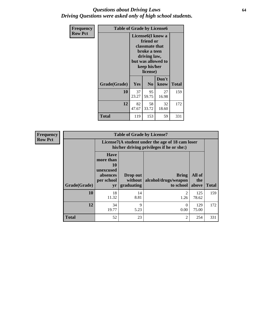#### *Questions about Driving Laws* **64** *Driving Questions were asked only of high school students.*

| <b>Frequency</b> | <b>Table of Grade by License6</b> |             |                                                                                                                           |                    |              |  |
|------------------|-----------------------------------|-------------|---------------------------------------------------------------------------------------------------------------------------|--------------------|--------------|--|
| <b>Row Pct</b>   |                                   |             | License <sub>6</sub> (I know a<br>friend or<br>classmate that<br>broke a teen<br>driving law,<br>keep his/her<br>license) | but was allowed to |              |  |
|                  | Grade(Grade)                      | <b>Yes</b>  | N <sub>0</sub>                                                                                                            | Don't<br>know      | <b>Total</b> |  |
|                  | 10                                | 37<br>23.27 | 95<br>59.75                                                                                                               | 27<br>16.98        | 159          |  |
|                  | 12                                | 82<br>47.67 | 58<br>33.72                                                                                                               | 32<br>18.60        | 172          |  |
|                  | <b>Total</b>                      | 119         | 153                                                                                                                       | 59                 | 331          |  |

| <b>Frequency</b> | <b>Table of Grade by License7</b> |                                                                             |                                     |                                                                                               |                        |              |  |  |
|------------------|-----------------------------------|-----------------------------------------------------------------------------|-------------------------------------|-----------------------------------------------------------------------------------------------|------------------------|--------------|--|--|
| <b>Row Pct</b>   |                                   |                                                                             |                                     | License7(A student under the age of 18 cam loser<br>his/her driving privileges if he or she:) |                        |              |  |  |
|                  | Grade(Grade)                      | <b>Have</b><br>more than<br>10<br>unexcused<br>absences<br>per school<br>yr | Drop out<br>without  <br>graduating | <b>Bring</b><br>alcohol/drugs/weapon<br>to school                                             | All of<br>the<br>above | <b>Total</b> |  |  |
|                  | 10                                | 18<br>11.32                                                                 | 14<br>8.81                          | っ<br>1.26                                                                                     | 125<br>78.62           | 159          |  |  |
|                  | 12                                | 34<br>19.77                                                                 | 9<br>5.23                           | 0.00                                                                                          | 129<br>75.00           | 172          |  |  |
|                  | <b>Total</b>                      | 52                                                                          | 23                                  | $\mathfrak{D}$                                                                                | 254                    | 331          |  |  |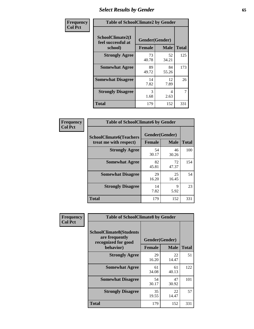# *Select Results by Gender* **65**

| Frequency      | <b>Table of SchoolClimate2 by Gender</b>          |                                 |             |              |
|----------------|---------------------------------------------------|---------------------------------|-------------|--------------|
| <b>Col Pct</b> | SchoolClimate2(I<br>feel successful at<br>school) | Gender(Gender)<br><b>Female</b> | <b>Male</b> | <b>Total</b> |
|                | <b>Strongly Agree</b>                             | 73<br>40.78                     | 52<br>34.21 | 125          |
|                | <b>Somewhat Agree</b>                             | 89<br>49.72                     | 84<br>55.26 | 173          |
|                | <b>Somewhat Disagree</b>                          | 14<br>7.82                      | 12<br>7.89  | 26           |
|                | <b>Strongly Disagree</b>                          | 3<br>1.68                       | 4<br>2.63   | 7            |
|                | <b>Total</b>                                      | 179                             | 152         | 331          |

| Frequency      | <b>Table of SchoolClimate6 by Gender</b>                 |                                 |             |              |  |
|----------------|----------------------------------------------------------|---------------------------------|-------------|--------------|--|
| <b>Col Pct</b> | <b>SchoolClimate6(Teachers</b><br>treat me with respect) | Gender(Gender)<br><b>Female</b> | <b>Male</b> | <b>Total</b> |  |
|                | <b>Strongly Agree</b>                                    | 54<br>30.17                     | 46<br>30.26 | 100          |  |
|                | <b>Somewhat Agree</b>                                    | 82<br>45.81                     | 72<br>47.37 | 154          |  |
|                | <b>Somewhat Disagree</b>                                 | 29<br>16.20                     | 25<br>16.45 | 54           |  |
|                | <b>Strongly Disagree</b>                                 | 14<br>7.82                      | 9<br>5.92   | 23           |  |
|                | <b>Total</b>                                             | 179                             | 152         | 331          |  |

| Frequency      | <b>Table of SchoolClimate8 by Gender</b>                                             |                                 |             |              |
|----------------|--------------------------------------------------------------------------------------|---------------------------------|-------------|--------------|
| <b>Col Pct</b> | <b>SchoolClimate8(Students</b><br>are frequently<br>recognized for good<br>behavior) | Gender(Gender)<br><b>Female</b> | <b>Male</b> | <b>Total</b> |
|                | <b>Strongly Agree</b>                                                                | 29                              | 22          | 51           |
|                |                                                                                      | 16.20                           | 14.47       |              |
|                | <b>Somewhat Agree</b>                                                                | 61<br>34.08                     | 61<br>40.13 | 122          |
|                | <b>Somewhat Disagree</b>                                                             | 54<br>30.17                     | 47<br>30.92 | 101          |
|                | <b>Strongly Disagree</b>                                                             | 35<br>19.55                     | 22<br>14.47 | 57           |
|                | Total                                                                                | 179                             | 152         | 331          |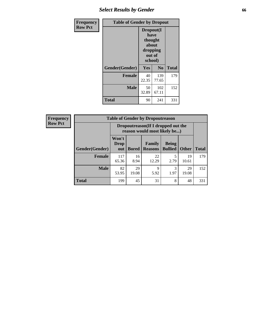# *Select Results by Gender* **66**

| Frequency      | <b>Table of Gender by Dropout</b> |                                                                        |                |              |
|----------------|-----------------------------------|------------------------------------------------------------------------|----------------|--------------|
| <b>Row Pct</b> |                                   | Dropout(I<br>have<br>thought<br>about<br>dropping<br>out of<br>school) |                |              |
|                | Gender(Gender)                    | Yes                                                                    | N <sub>0</sub> | <b>Total</b> |
|                | <b>Female</b>                     | 40<br>22.35                                                            | 139<br>77.65   | 179          |
|                | <b>Male</b>                       | 50<br>32.89                                                            | 102<br>67.11   | 152          |
|                | <b>Total</b>                      | 90                                                                     | 241            | 331          |

| <b>Frequency</b> | <b>Table of Gender by Dropoutreason</b> |                                                                    |              |                          |                                |              |              |
|------------------|-----------------------------------------|--------------------------------------------------------------------|--------------|--------------------------|--------------------------------|--------------|--------------|
| <b>Row Pct</b>   |                                         | Dropoutreason(If I dropped out the<br>reason would most likely be) |              |                          |                                |              |              |
|                  | Gender(Gender)                          | Won't<br><b>Drop</b><br>out                                        | <b>Bored</b> | Family<br><b>Reasons</b> | <b>Being</b><br><b>Bullied</b> | <b>Other</b> | <b>Total</b> |
|                  | <b>Female</b>                           | 117<br>65.36                                                       | 16<br>8.94   | 22<br>12.29              | 2.79                           | 19<br>10.61  | 179          |
|                  | <b>Male</b>                             | 82<br>53.95                                                        | 29<br>19.08  | 9<br>5.92                | 1.97                           | 29<br>19.08  | 152          |
|                  | Total                                   | 199                                                                | 45           | 31                       | 8                              | 48           | 331          |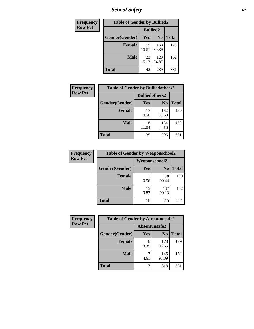*School Safety* **67**

| Frequency      | <b>Table of Gender by Bullied2</b> |                 |                |              |
|----------------|------------------------------------|-----------------|----------------|--------------|
| <b>Row Pct</b> |                                    | <b>Bullied2</b> |                |              |
|                | Gender(Gender)                     | Yes             | N <sub>0</sub> | <b>Total</b> |
|                | <b>Female</b>                      | 19<br>10.61     | 160<br>89.39   | 179          |
|                | <b>Male</b>                        | 23<br>15.13     | 129<br>84.87   | 152          |
|                | Total                              | 42              | 289            | 331          |

| <b>Frequency</b> | <b>Table of Gender by Bulliedothers2</b> |                       |                |       |
|------------------|------------------------------------------|-----------------------|----------------|-------|
| <b>Row Pct</b>   |                                          | <b>Bulliedothers2</b> |                |       |
|                  | Gender(Gender)                           | <b>Yes</b>            | N <sub>0</sub> | Total |
|                  | <b>Female</b>                            | 17<br>9.50            | 162<br>90.50   | 179   |
|                  | <b>Male</b>                              | 18<br>11.84           | 134<br>88.16   | 152   |
|                  | <b>Total</b>                             | 35                    | 296            | 331   |

| Frequency      | <b>Table of Gender by Weaponschool2</b> |                      |                |              |
|----------------|-----------------------------------------|----------------------|----------------|--------------|
| <b>Row Pct</b> |                                         | <b>Weaponschool2</b> |                |              |
|                | Gender(Gender)                          | Yes                  | N <sub>0</sub> | <b>Total</b> |
|                | <b>Female</b>                           | 0.56                 | 178<br>99.44   | 179          |
|                | <b>Male</b>                             | 15<br>9.87           | 137<br>90.13   | 152          |
|                | <b>Total</b>                            | 16                   | 315            | 331          |

| Frequency      | <b>Table of Gender by Absentunsafe2</b> |               |                |              |
|----------------|-----------------------------------------|---------------|----------------|--------------|
| <b>Row Pct</b> |                                         | Absentunsafe2 |                |              |
|                | Gender(Gender)                          | Yes           | N <sub>0</sub> | <b>Total</b> |
|                | <b>Female</b>                           | 6<br>3.35     | 173<br>96.65   | 179          |
|                | <b>Male</b>                             | 4.61          | 145<br>95.39   | 152          |
|                | <b>Total</b>                            | 13            | 318            | 331          |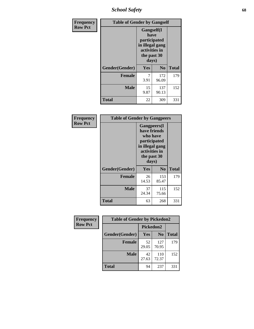*School Safety* **68**

| Frequency      | <b>Table of Gender by Gangself</b> |                                                                                                |                |              |
|----------------|------------------------------------|------------------------------------------------------------------------------------------------|----------------|--------------|
| <b>Row Pct</b> |                                    | Gangself(I<br>have<br>participated<br>in illegal gang<br>activities in<br>the past 30<br>days) |                |              |
|                | Gender(Gender)                     | Yes                                                                                            | N <sub>0</sub> | <b>Total</b> |
|                | <b>Female</b>                      | 7<br>3.91                                                                                      | 172<br>96.09   | 179          |
|                | <b>Male</b>                        | 15<br>9.87                                                                                     | 137<br>90.13   | 152          |
|                | <b>Total</b>                       | 22                                                                                             | 309            | 331          |

| Frequency      | <b>Table of Gender by Gangpeers</b> |                                                                                                                             |                |              |
|----------------|-------------------------------------|-----------------------------------------------------------------------------------------------------------------------------|----------------|--------------|
| <b>Row Pct</b> |                                     | <b>Gangpeers</b> (I<br>have friends<br>who have<br>participated<br>in illegal gang<br>activities in<br>the past 30<br>days) |                |              |
|                | Gender(Gender)                      | <b>Yes</b>                                                                                                                  | N <sub>0</sub> | <b>Total</b> |
|                | <b>Female</b>                       | 26<br>14.53                                                                                                                 | 153<br>85.47   | 179          |
|                | <b>Male</b>                         | 37<br>24.34                                                                                                                 | 115<br>75.66   | 152          |
|                | <b>Total</b>                        | 63                                                                                                                          | 268            | 331          |

| <b>Frequency</b> | <b>Table of Gender by Pickedon2</b> |             |                |              |
|------------------|-------------------------------------|-------------|----------------|--------------|
| <b>Row Pct</b>   |                                     | Pickedon2   |                |              |
|                  | Gender(Gender)                      | Yes         | N <sub>0</sub> | <b>Total</b> |
|                  | <b>Female</b>                       | 52<br>29.05 | 127<br>70.95   | 179          |
|                  | <b>Male</b>                         | 42<br>27.63 | 110<br>72.37   | 152          |
|                  | <b>Total</b>                        | 94          | 237            | 331          |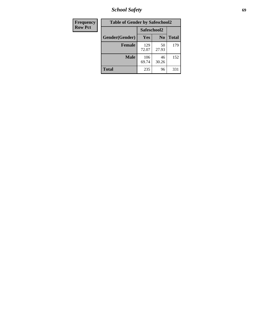*School Safety* **69**

| Frequency      | <b>Table of Gender by Safeschool2</b> |              |                |              |  |
|----------------|---------------------------------------|--------------|----------------|--------------|--|
| <b>Row Pct</b> |                                       | Safeschool2  |                |              |  |
|                | Gender(Gender)                        | Yes          | N <sub>0</sub> | <b>Total</b> |  |
|                | <b>Female</b>                         | 129<br>72.07 | 50<br>27.93    | 179          |  |
|                | <b>Male</b>                           | 106<br>69.74 | 46<br>30.26    | 152          |  |
|                | <b>Total</b>                          | 235          | 96             | 331          |  |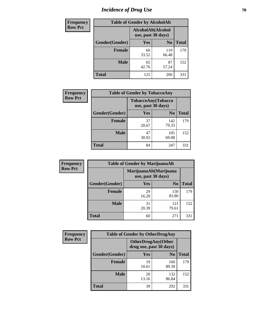# *Incidence of Drug Use* **70**

| <b>Frequency</b> | <b>Table of Gender by AlcoholAlt</b>     |             |                |              |  |
|------------------|------------------------------------------|-------------|----------------|--------------|--|
| <b>Row Pct</b>   | AlcoholAlt(Alcohol<br>use, past 30 days) |             |                |              |  |
|                  | Gender(Gender)                           | <b>Yes</b>  | N <sub>0</sub> | <b>Total</b> |  |
|                  | <b>Female</b>                            | 60<br>33.52 | 119<br>66.48   | 179          |  |
|                  | <b>Male</b>                              | 65<br>42.76 | 87<br>57.24    | 152          |  |
|                  | <b>Total</b>                             | 125         | 206            | 331          |  |

| <b>Frequency</b> | <b>Table of Gender by TobaccoAny</b> |                    |                    |              |  |
|------------------|--------------------------------------|--------------------|--------------------|--------------|--|
| <b>Row Pct</b>   |                                      | use, past 30 days) | TobaccoAny(Tobacco |              |  |
|                  | Gender(Gender)                       | Yes                | N <sub>0</sub>     | <b>Total</b> |  |
|                  | <b>Female</b>                        | 37<br>20.67        | 142<br>79.33       | 179          |  |
|                  | <b>Male</b>                          | 47<br>30.92        | 105<br>69.08       | 152          |  |
|                  | <b>Total</b>                         | 84                 | 247                | 331          |  |

| <b>Frequency</b> | <b>Table of Gender by MarijuanaAlt</b> |                                              |                |              |  |
|------------------|----------------------------------------|----------------------------------------------|----------------|--------------|--|
| <b>Row Pct</b>   |                                        | MarijuanaAlt(Marijuana<br>use, past 30 days) |                |              |  |
|                  | Gender(Gender)                         | <b>Yes</b>                                   | N <sub>0</sub> | <b>Total</b> |  |
|                  | <b>Female</b>                          | 29<br>16.20                                  | 150<br>83.80   | 179          |  |
|                  | <b>Male</b>                            | 31<br>20.39                                  | 121<br>79.61   | 152          |  |
|                  | <b>Total</b>                           | 60                                           | 271            | 331          |  |

| <b>Frequency</b> | <b>Table of Gender by OtherDrugAny</b> |                                                      |                |              |  |
|------------------|----------------------------------------|------------------------------------------------------|----------------|--------------|--|
| <b>Row Pct</b>   |                                        | <b>OtherDrugAny(Other</b><br>drug use, past 30 days) |                |              |  |
|                  | Gender(Gender)                         | <b>Yes</b>                                           | N <sub>0</sub> | <b>Total</b> |  |
|                  | <b>Female</b>                          | 19<br>10.61                                          | 160<br>89.39   | 179          |  |
|                  | <b>Male</b>                            | 20<br>13.16                                          | 132<br>86.84   | 152          |  |
|                  | <b>Total</b>                           | 39                                                   | 292            | 331          |  |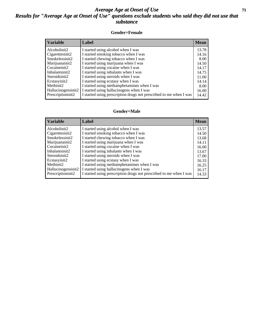#### *Average Age at Onset of Use* **71** *Results for "Average Age at Onset of Use" questions exclude students who said they did not use that substance*

#### **Gender=Female**

| <b>Variable</b>                 | <b>Label</b>                                                       | <b>Mean</b> |
|---------------------------------|--------------------------------------------------------------------|-------------|
| Alcoholinit2                    | I started using alcohol when I was                                 | 13.78       |
| Cigarettesinit2                 | I started smoking tobacco when I was                               | 14.16       |
| Smokelessinit2                  | I started chewing tobacco when I was                               | 8.00        |
| Marijuanainit2                  | I started using marijuana when I was                               | 14.50       |
| Cocaineinit2                    | I started using cocaine when I was                                 | 14.17       |
| Inhalantsinit2                  | I started using inhalants when I was                               | 14.75       |
| Steroidsinit2                   | I started using steroids when I was                                | 11.00       |
| Ecstasyinit2                    | I started using ecstasy when I was                                 | 14.14       |
| Methinit2                       | I started using methamphetamines when I was                        | 8.00        |
| Hallucinogensinit2              | I started using hallucinogens when I was                           | 16.00       |
| Prescription in it <sub>2</sub> | I started using prescription drugs not prescribed to me when I was | 14.42       |

#### **Gender=Male**

| <b>Variable</b>    | Label                                                              | <b>Mean</b> |
|--------------------|--------------------------------------------------------------------|-------------|
| Alcoholinit2       | I started using alcohol when I was                                 | 13.57       |
| Cigarettesinit2    | I started smoking tobacco when I was                               | 14.50       |
| Smokelessinit2     | I started chewing tobacco when I was                               | 13.68       |
| Marijuanainit2     | I started using marijuana when I was                               | 14.11       |
| Cocaineinit2       | I started using cocaine when I was                                 | 16.00       |
| Inhalantsinit2     | I started using inhalants when I was                               | 13.67       |
| Steroidsinit2      | I started using steroids when I was                                | 17.00       |
| Ecstasyinit2       | I started using ecstasy when I was                                 | 16.33       |
| Methinit2          | I started using methamphetamines when I was                        | 16.25       |
| Hallucinogensinit2 | I started using hallucinogens when I was                           | 16.17       |
| Prescriptioninit2  | I started using prescription drugs not prescribed to me when I was | 14.33       |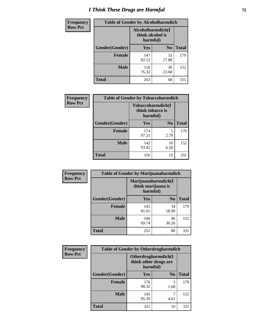# *I Think These Drugs are Harmful* **72**

| <b>Frequency</b> | <b>Table of Gender by Alcoholharmdich</b> |                                                   |                |              |
|------------------|-------------------------------------------|---------------------------------------------------|----------------|--------------|
| <b>Row Pct</b>   |                                           | Alcoholharmdich(I<br>think alcohol is<br>harmful) |                |              |
|                  | Gender(Gender)                            | <b>Yes</b>                                        | N <sub>0</sub> | <b>Total</b> |
|                  | <b>Female</b>                             | 147<br>82.12                                      | 32<br>17.88    | 179          |
|                  | <b>Male</b>                               | 116<br>76.32                                      | 36<br>23.68    | 152          |
|                  | Total                                     | 263                                               | 68             | 331          |

 $\overline{\phantom{a}}$ 

| Frequency      | <b>Table of Gender by Tobaccoharmdich</b> |                              |                   |              |  |
|----------------|-------------------------------------------|------------------------------|-------------------|--------------|--|
| <b>Row Pct</b> |                                           | think tobacco is<br>harmful) | Tobaccoharmdich(I |              |  |
|                | Gender(Gender)                            | <b>Yes</b>                   | N <sub>0</sub>    | <b>Total</b> |  |
|                | <b>Female</b>                             | 174<br>97.21                 | 5<br>2.79         | 179          |  |
|                | <b>Male</b>                               | 142<br>93.42                 | 10<br>6.58        | 152          |  |
|                | <b>Total</b>                              | 316                          | 15                | 331          |  |

| Frequency      | <b>Table of Gender by Marijuanaharmdich</b> |                                                       |                |              |  |
|----------------|---------------------------------------------|-------------------------------------------------------|----------------|--------------|--|
| <b>Row Pct</b> |                                             | Marijuanaharmdich(I<br>think marijuana is<br>harmful) |                |              |  |
|                | Gender(Gender)                              | <b>Yes</b>                                            | N <sub>0</sub> | <b>Total</b> |  |
|                | <b>Female</b>                               | 145<br>81.01                                          | 34<br>18.99    | 179          |  |
|                | <b>Male</b>                                 | 106<br>69.74                                          | 46<br>30.26    | 152          |  |
|                | <b>Total</b>                                | 251                                                   | 80             | 331          |  |

| Frequency      | <b>Table of Gender by Otherdrugharmdich</b> |                                                          |                |              |  |
|----------------|---------------------------------------------|----------------------------------------------------------|----------------|--------------|--|
| <b>Row Pct</b> |                                             | Otherdrugharmdich(I<br>think other drugs are<br>harmful) |                |              |  |
|                | Gender(Gender)                              | <b>Yes</b>                                               | N <sub>0</sub> | <b>Total</b> |  |
|                | <b>Female</b>                               | 176<br>98.32                                             | 3<br>1.68      | 179          |  |
|                | <b>Male</b>                                 | 145<br>95.39                                             | 4.61           | 152          |  |
|                | <b>Total</b>                                | 321                                                      | 10             | 331          |  |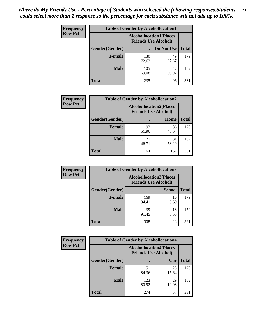| <b>Frequency</b> | <b>Table of Gender by Alcohollocation1</b> |                                                               |             |              |
|------------------|--------------------------------------------|---------------------------------------------------------------|-------------|--------------|
| <b>Row Pct</b>   |                                            | <b>Alcohollocation1(Places</b><br><b>Friends Use Alcohol)</b> |             |              |
|                  | Gender(Gender)                             |                                                               | Do Not Use  | <b>Total</b> |
|                  | <b>Female</b>                              | 130<br>72.63                                                  | 49<br>27.37 | 179          |
|                  | <b>Male</b>                                | 105<br>69.08                                                  | 47<br>30.92 | 152          |
|                  | <b>Total</b>                               | 235                                                           | 96          | 331          |

| <b>Frequency</b> | <b>Table of Gender by Alcohollocation2</b> |             |                                                               |              |
|------------------|--------------------------------------------|-------------|---------------------------------------------------------------|--------------|
| <b>Row Pct</b>   |                                            |             | <b>Alcohollocation2(Places</b><br><b>Friends Use Alcohol)</b> |              |
|                  | Gender(Gender)                             |             | Home                                                          | <b>Total</b> |
|                  | <b>Female</b>                              | 93<br>51.96 | 86<br>48.04                                                   | 179          |
|                  | <b>Male</b>                                | 71<br>46.71 | 81<br>53.29                                                   | 152          |
|                  | <b>Total</b>                               | 164         | 167                                                           | 331          |

| Frequency      | <b>Table of Gender by Alcohollocation3</b> |                                                               |               |              |
|----------------|--------------------------------------------|---------------------------------------------------------------|---------------|--------------|
| <b>Row Pct</b> |                                            | <b>Alcohollocation3(Places</b><br><b>Friends Use Alcohol)</b> |               |              |
|                | Gender(Gender)                             |                                                               | <b>School</b> | <b>Total</b> |
|                | <b>Female</b>                              | 169<br>94.41                                                  | 10<br>5.59    | 179          |
|                | <b>Male</b>                                | 139<br>91.45                                                  | 13<br>8.55    | 152          |
|                | <b>Total</b>                               | 308                                                           | 23            | 331          |

| Frequency      |                        | <b>Table of Gender by Alcohollocation4</b>                    |             |              |
|----------------|------------------------|---------------------------------------------------------------|-------------|--------------|
| <b>Row Pct</b> |                        | <b>Alcohollocation4(Places</b><br><b>Friends Use Alcohol)</b> |             |              |
|                | <b>Gender</b> (Gender) |                                                               | Car         | <b>Total</b> |
|                | <b>Female</b>          | 151<br>84.36                                                  | 28<br>15.64 | 179          |
|                | <b>Male</b>            | 123<br>80.92                                                  | 29<br>19.08 | 152          |
|                | <b>Total</b>           | 274                                                           | 57          | 331          |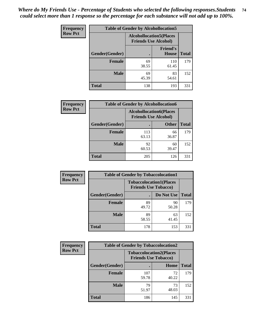| <b>Frequency</b> | <b>Table of Gender by Alcohollocation5</b> |                                                               |                                 |              |
|------------------|--------------------------------------------|---------------------------------------------------------------|---------------------------------|--------------|
| <b>Row Pct</b>   |                                            | <b>Alcohollocation5(Places</b><br><b>Friends Use Alcohol)</b> |                                 |              |
|                  | Gender(Gender)                             | $\bullet$                                                     | <b>Friend's</b><br><b>House</b> | <b>Total</b> |
|                  | <b>Female</b>                              | 69<br>38.55                                                   | 110<br>61.45                    | 179          |
|                  | <b>Male</b>                                | 69<br>45.39                                                   | 83<br>54.61                     | 152          |
|                  | <b>Total</b>                               | 138                                                           | 193                             | 331          |

| Frequency      | <b>Table of Gender by Alcohollocation6</b> |                                                               |              |              |
|----------------|--------------------------------------------|---------------------------------------------------------------|--------------|--------------|
| <b>Row Pct</b> |                                            | <b>Alcohollocation6(Places</b><br><b>Friends Use Alcohol)</b> |              |              |
|                | Gender(Gender)                             |                                                               | <b>Other</b> | <b>Total</b> |
|                | Female                                     | 113<br>63.13                                                  | 66<br>36.87  | 179          |
|                | <b>Male</b>                                | 92<br>60.53                                                   | 60<br>39.47  | 152          |
|                | <b>Total</b>                               | 205                                                           | 126          | 331          |

| Frequency      | <b>Table of Gender by Tobaccolocation1</b> |                                                               |             |              |  |
|----------------|--------------------------------------------|---------------------------------------------------------------|-------------|--------------|--|
| <b>Row Pct</b> |                                            | <b>Tobaccolocation1(Places</b><br><b>Friends Use Tobacco)</b> |             |              |  |
|                | Gender(Gender)                             |                                                               | Do Not Use  | <b>Total</b> |  |
|                | Female                                     | 89<br>49.72                                                   | 90<br>50.28 | 179          |  |
|                | <b>Male</b>                                | 89<br>58.55                                                   | 63<br>41.45 | 152          |  |
|                | <b>Total</b>                               | 178                                                           | 153         | 331          |  |

| <b>Frequency</b> | <b>Table of Gender by Tobaccolocation2</b> |                                                               |             |              |
|------------------|--------------------------------------------|---------------------------------------------------------------|-------------|--------------|
| <b>Row Pct</b>   |                                            | <b>Tobaccolocation2(Places</b><br><b>Friends Use Tobacco)</b> |             |              |
|                  | Gender(Gender)                             |                                                               | Home        | <b>Total</b> |
|                  | Female                                     | 107<br>59.78                                                  | 72<br>40.22 | 179          |
|                  | <b>Male</b>                                | 79<br>51.97                                                   | 73<br>48.03 | 152          |
|                  | <b>Total</b>                               | 186                                                           | 145         | 331          |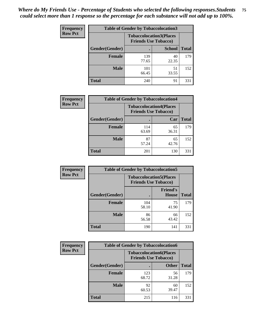| <b>Frequency</b> | <b>Table of Gender by Tobaccolocation3</b> |              |                                                               |              |  |
|------------------|--------------------------------------------|--------------|---------------------------------------------------------------|--------------|--|
| <b>Row Pct</b>   |                                            |              | <b>Tobaccolocation3(Places</b><br><b>Friends Use Tobacco)</b> |              |  |
|                  | Gender(Gender)                             |              | <b>School</b>                                                 | <b>Total</b> |  |
|                  | <b>Female</b>                              | 139<br>77.65 | 40<br>22.35                                                   | 179          |  |
|                  | <b>Male</b>                                | 101<br>66.45 | 51<br>33.55                                                   | 152          |  |
|                  | Total                                      | 240          | 91                                                            | 331          |  |

| <b>Frequency</b> | <b>Table of Gender by Tobaccolocation4</b> |                                                               |             |              |
|------------------|--------------------------------------------|---------------------------------------------------------------|-------------|--------------|
| <b>Row Pct</b>   |                                            | <b>Tobaccolocation4(Places</b><br><b>Friends Use Tobacco)</b> |             |              |
|                  | Gender(Gender)                             |                                                               | Car         | <b>Total</b> |
|                  | Female                                     | 114<br>63.69                                                  | 65<br>36.31 | 179          |
|                  | <b>Male</b>                                | 87<br>57.24                                                   | 65<br>42.76 | 152          |
|                  | <b>Total</b>                               | 201                                                           | 130         | 331          |

| <b>Frequency</b> | <b>Table of Gender by Tobaccolocation5</b> |                                                               |                                 |              |
|------------------|--------------------------------------------|---------------------------------------------------------------|---------------------------------|--------------|
| <b>Row Pct</b>   |                                            | <b>Tobaccolocation5(Places</b><br><b>Friends Use Tobacco)</b> |                                 |              |
|                  | <b>Gender</b> (Gender)                     |                                                               | <b>Friend's</b><br><b>House</b> | <b>Total</b> |
|                  | <b>Female</b>                              | 104<br>58.10                                                  | 75<br>41.90                     | 179          |
|                  | <b>Male</b>                                | 86<br>56.58                                                   | 66<br>43.42                     | 152          |
|                  | <b>Total</b>                               | 190                                                           | 141                             | 331          |

| <b>Frequency</b> | <b>Table of Gender by Tobaccolocation6</b> |                                                               |              |              |  |
|------------------|--------------------------------------------|---------------------------------------------------------------|--------------|--------------|--|
| <b>Row Pct</b>   |                                            | <b>Tobaccolocation6(Places</b><br><b>Friends Use Tobacco)</b> |              |              |  |
|                  | Gender(Gender)                             |                                                               | <b>Other</b> | <b>Total</b> |  |
|                  | Female                                     | 123<br>68.72                                                  | 56<br>31.28  | 179          |  |
|                  | <b>Male</b>                                | 92<br>60.53                                                   | 60<br>39.47  | 152          |  |
|                  | <b>Total</b>                               | 215                                                           | 116          | 331          |  |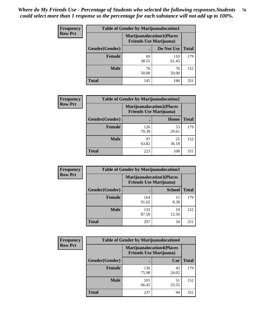| <b>Frequency</b> | <b>Table of Gender by Marijuanalocation1</b> |                                                                    |              |              |
|------------------|----------------------------------------------|--------------------------------------------------------------------|--------------|--------------|
| <b>Row Pct</b>   |                                              | <b>Marijuanalocation1(Places</b><br><b>Friends Use Marijuana</b> ) |              |              |
|                  | Gender(Gender)                               |                                                                    | Do Not Use   | <b>Total</b> |
|                  | <b>Female</b>                                | 69<br>38.55                                                        | 110<br>61.45 | 179          |
|                  | <b>Male</b>                                  | 76<br>50.00                                                        | 76<br>50.00  | 152          |
|                  | <b>Total</b>                                 | 145                                                                | 186          | 331          |

| <b>Frequency</b> | <b>Table of Gender by Marijuanalocation2</b> |                                |                                  |              |
|------------------|----------------------------------------------|--------------------------------|----------------------------------|--------------|
| <b>Row Pct</b>   |                                              | <b>Friends Use Marijuana</b> ) | <b>Marijuanalocation2(Places</b> |              |
|                  | Gender(Gender)                               |                                | Home                             | <b>Total</b> |
|                  | <b>Female</b>                                | 126<br>70.39                   | 53<br>29.61                      | 179          |
|                  | <b>Male</b>                                  | 97<br>63.82                    | 55<br>36.18                      | 152          |
|                  | <b>Total</b>                                 | 223                            | 108                              | 331          |

| Frequency      | <b>Table of Gender by Marijuanalocation3</b> |              |                                                                    |              |
|----------------|----------------------------------------------|--------------|--------------------------------------------------------------------|--------------|
| <b>Row Pct</b> |                                              |              | <b>Marijuanalocation3(Places</b><br><b>Friends Use Marijuana</b> ) |              |
|                | Gender(Gender)                               |              | <b>School</b>                                                      | <b>Total</b> |
|                | Female                                       | 164<br>91.62 | 15<br>8.38                                                         | 179          |
|                | <b>Male</b>                                  | 133<br>87.50 | 19<br>12.50                                                        | 152          |
|                | <b>Total</b>                                 | 297          | 34                                                                 | 331          |

| <b>Frequency</b> | <b>Table of Gender by Marijuanalocation4</b> |                                                                    |             |              |  |
|------------------|----------------------------------------------|--------------------------------------------------------------------|-------------|--------------|--|
| <b>Row Pct</b>   |                                              | <b>Marijuanalocation4(Places</b><br><b>Friends Use Marijuana</b> ) |             |              |  |
|                  | Gender(Gender)                               |                                                                    | Car         | <b>Total</b> |  |
|                  | Female                                       | 136<br>75.98                                                       | 43<br>24.02 | 179          |  |
|                  | <b>Male</b>                                  | 101<br>66.45                                                       | 51<br>33.55 | 152          |  |
|                  | <b>Total</b>                                 | 237                                                                | 94          | 331          |  |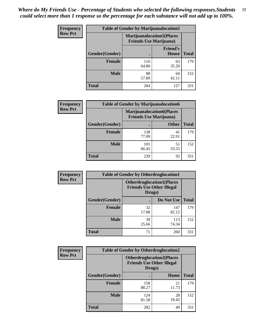| <b>Frequency</b> | <b>Table of Gender by Marijuanalocation5</b> |                                                                    |                          |              |
|------------------|----------------------------------------------|--------------------------------------------------------------------|--------------------------|--------------|
| <b>Row Pct</b>   |                                              | <b>Marijuanalocation5(Places</b><br><b>Friends Use Marijuana</b> ) |                          |              |
|                  | Gender(Gender)                               |                                                                    | <b>Friend's</b><br>House | <b>Total</b> |
|                  | <b>Female</b>                                | 116<br>64.80                                                       | 63<br>35.20              | 179          |
|                  | <b>Male</b>                                  | 88<br>57.89                                                        | 64<br>42.11              | 152          |
|                  | <b>Total</b>                                 | 204                                                                | 127                      | 331          |

| <b>Frequency</b> | <b>Table of Gender by Marijuanalocation6</b> |                                |                                  |              |
|------------------|----------------------------------------------|--------------------------------|----------------------------------|--------------|
| <b>Row Pct</b>   |                                              | <b>Friends Use Marijuana</b> ) | <b>Marijuanalocation6(Places</b> |              |
|                  | <b>Gender</b> (Gender)                       |                                | <b>Other</b>                     | <b>Total</b> |
|                  | <b>Female</b>                                | 138<br>77.09                   | 41<br>22.91                      | 179          |
|                  | <b>Male</b>                                  | 101<br>66.45                   | 51<br>33.55                      | 152          |
|                  | <b>Total</b>                                 | 239                            | 92                               | 331          |

| <b>Frequency</b> | <b>Table of Gender by Otherdruglocation1</b> |                                                                                |              |              |
|------------------|----------------------------------------------|--------------------------------------------------------------------------------|--------------|--------------|
| <b>Row Pct</b>   |                                              | <b>Otherdruglocation1(Places</b><br><b>Friends Use Other Illegal</b><br>Drugs) |              |              |
|                  | <b>Gender</b> (Gender)                       |                                                                                | Do Not Use   | <b>Total</b> |
|                  | <b>Female</b>                                | 32<br>17.88                                                                    | 147<br>82.12 | 179          |
|                  | <b>Male</b>                                  | 39<br>25.66                                                                    | 113<br>74.34 | 152          |
|                  | <b>Total</b>                                 | 71                                                                             | 260          | 331          |

| Frequency      | <b>Table of Gender by Otherdruglocation2</b> |                                            |                                  |              |
|----------------|----------------------------------------------|--------------------------------------------|----------------------------------|--------------|
| <b>Row Pct</b> |                                              | <b>Friends Use Other Illegal</b><br>Drugs) | <b>Otherdruglocation2(Places</b> |              |
|                | Gender(Gender)                               |                                            | Home                             | <b>Total</b> |
|                | <b>Female</b>                                | 158<br>88.27                               | 21<br>11.73                      | 179          |
|                | <b>Male</b>                                  | 124<br>81.58                               | 28<br>18.42                      | 152          |
|                | <b>Total</b>                                 | 282                                        | 49                               | 331          |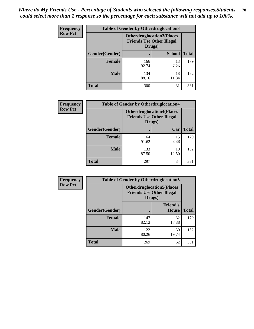| Frequency      | <b>Table of Gender by Otherdruglocation3</b> |                                                                                |               |              |
|----------------|----------------------------------------------|--------------------------------------------------------------------------------|---------------|--------------|
| <b>Row Pct</b> |                                              | <b>Otherdruglocation3(Places</b><br><b>Friends Use Other Illegal</b><br>Drugs) |               |              |
|                | Gender(Gender)                               |                                                                                | <b>School</b> | <b>Total</b> |
|                | <b>Female</b>                                | 166<br>92.74                                                                   | 13<br>7.26    | 179          |
|                | <b>Male</b>                                  | 134<br>88.16                                                                   | 18<br>11.84   | 152          |
|                | <b>Total</b>                                 | 300                                                                            | 31            | 331          |

| Frequency      | <b>Table of Gender by Otherdruglocation4</b> |                                                                                |             |              |
|----------------|----------------------------------------------|--------------------------------------------------------------------------------|-------------|--------------|
| <b>Row Pct</b> |                                              | <b>Otherdruglocation4(Places</b><br><b>Friends Use Other Illegal</b><br>Drugs) |             |              |
|                | Gender(Gender)                               |                                                                                | Car         | <b>Total</b> |
|                | Female                                       | 164<br>91.62                                                                   | 15<br>8.38  | 179          |
|                | <b>Male</b>                                  | 133<br>87.50                                                                   | 19<br>12.50 | 152          |
|                | <b>Total</b>                                 | 297                                                                            | 34          | 331          |

| Frequency      | <b>Table of Gender by Otherdruglocation5</b> |                                                                                |                                 |              |
|----------------|----------------------------------------------|--------------------------------------------------------------------------------|---------------------------------|--------------|
| <b>Row Pct</b> |                                              | <b>Otherdruglocation5(Places</b><br><b>Friends Use Other Illegal</b><br>Drugs) |                                 |              |
|                | Gender(Gender)                               |                                                                                | <b>Friend's</b><br><b>House</b> | <b>Total</b> |
|                | <b>Female</b>                                | 147<br>82.12                                                                   | 32<br>17.88                     | 179          |
|                | <b>Male</b>                                  | 122<br>80.26                                                                   | 30<br>19.74                     | 152          |
|                | <b>Total</b>                                 | 269                                                                            | 62                              | 331          |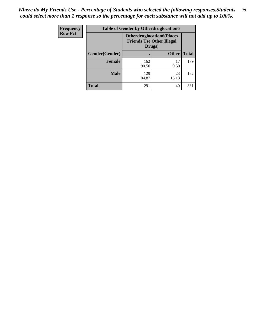| <b>Frequency</b> | <b>Table of Gender by Otherdruglocation6</b> |                                            |                                  |              |
|------------------|----------------------------------------------|--------------------------------------------|----------------------------------|--------------|
| <b>Row Pct</b>   |                                              | <b>Friends Use Other Illegal</b><br>Drugs) | <b>Otherdruglocation6(Places</b> |              |
|                  | Gender(Gender)                               |                                            | <b>Other</b>                     | <b>Total</b> |
|                  | <b>Female</b>                                | 162<br>90.50                               | 17<br>9.50                       | 179          |
|                  | <b>Male</b>                                  | 129<br>84.87                               | 23<br>15.13                      | 152          |
|                  | <b>Total</b>                                 | 291                                        | 40                               | 331          |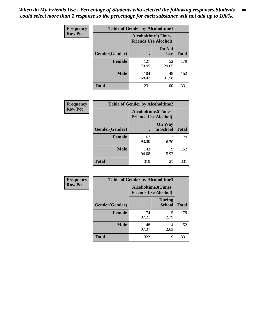| <b>Frequency</b> | <b>Table of Gender by Alcoholtime1</b> |                                                          |                      |              |
|------------------|----------------------------------------|----------------------------------------------------------|----------------------|--------------|
| <b>Row Pct</b>   |                                        | <b>Alcoholtime1(Times</b><br><b>Friends Use Alcohol)</b> |                      |              |
|                  | Gender(Gender)                         | ٠                                                        | Do Not<br><b>Use</b> | <b>Total</b> |
|                  | <b>Female</b>                          | 127<br>70.95                                             | 52<br>29.05          | 179          |
|                  | <b>Male</b>                            | 104<br>68.42                                             | 48<br>31.58          | 152          |
|                  | <b>Total</b>                           | 231                                                      | 100                  | 331          |

| Frequency      | <b>Table of Gender by Alcoholtime2</b> |                                                          |                            |              |
|----------------|----------------------------------------|----------------------------------------------------------|----------------------------|--------------|
| <b>Row Pct</b> |                                        | <b>Alcoholtime2(Times</b><br><b>Friends Use Alcohol)</b> |                            |              |
|                | Gender(Gender)                         |                                                          | <b>On Way</b><br>to School | <b>Total</b> |
|                | <b>Female</b>                          | 167<br>93.30                                             | 12<br>6.70                 | 179          |
|                | <b>Male</b>                            | 143<br>94.08                                             | 9<br>5.92                  | 152          |
|                | <b>Total</b>                           | 310                                                      | 21                         | 331          |

| Frequency      | <b>Table of Gender by Alcoholtime3</b> |                                                          |                         |              |
|----------------|----------------------------------------|----------------------------------------------------------|-------------------------|--------------|
| <b>Row Pct</b> |                                        | <b>Alcoholtime3(Times</b><br><b>Friends Use Alcohol)</b> |                         |              |
|                | Gender(Gender)                         |                                                          | <b>During</b><br>School | <b>Total</b> |
|                | Female                                 | 174<br>97.21                                             | 5<br>2.79               | 179          |
|                | <b>Male</b>                            | 148<br>97.37                                             | 4<br>2.63               | 152          |
|                | <b>Total</b>                           | 322                                                      | 9                       | 331          |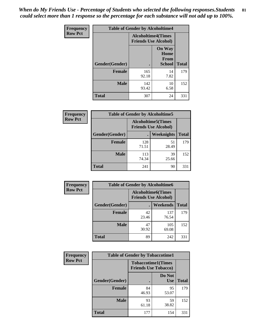*When do My Friends Use - Percentage of Students who selected the following responses.Students could select more than 1 response so the percentage for each substance will not add up to 100%.* **81**

| <b>Frequency</b> | <b>Table of Gender by Alcoholtime4</b> |                                                          |                                                |              |
|------------------|----------------------------------------|----------------------------------------------------------|------------------------------------------------|--------------|
| <b>Row Pct</b>   |                                        | <b>Alcoholtime4(Times</b><br><b>Friends Use Alcohol)</b> |                                                |              |
|                  | Gender(Gender)                         |                                                          | <b>On Way</b><br>Home<br>From<br><b>School</b> | <b>Total</b> |
|                  | <b>Female</b>                          | 165<br>92.18                                             | 14<br>7.82                                     | 179          |
|                  | <b>Male</b>                            | 142<br>93.42                                             | 10<br>6.58                                     | 152          |
|                  | <b>Total</b>                           | 307                                                      | 24                                             | 331          |

| <b>Frequency</b> | <b>Table of Gender by Alcoholtime5</b> |                                                           |             |              |
|------------------|----------------------------------------|-----------------------------------------------------------|-------------|--------------|
| <b>Row Pct</b>   |                                        | <b>Alcoholtime5</b> (Times<br><b>Friends Use Alcohol)</b> |             |              |
|                  | Gender(Gender)                         |                                                           | Weeknights  | <b>Total</b> |
|                  | <b>Female</b>                          | 128<br>71.51                                              | 51<br>28.49 | 179          |
|                  | <b>Male</b>                            | 113<br>74.34                                              | 39<br>25.66 | 152          |
|                  | <b>Total</b>                           | 241                                                       | 90          | 331          |

| <b>Frequency</b> |                | <b>Table of Gender by Alcoholtime6</b> |                                                           |              |
|------------------|----------------|----------------------------------------|-----------------------------------------------------------|--------------|
| <b>Row Pct</b>   |                |                                        | <b>Alcoholtime6</b> (Times<br><b>Friends Use Alcohol)</b> |              |
|                  | Gender(Gender) |                                        | Weekends                                                  | <b>Total</b> |
|                  | Female         | 42<br>23.46                            | 137<br>76.54                                              | 179          |
|                  | <b>Male</b>    | 47<br>30.92                            | 105<br>69.08                                              | 152          |
|                  | <b>Total</b>   | 89                                     | 242                                                       | 331          |

| <b>Frequency</b> | <b>Table of Gender by Tobaccotime1</b> |                                                          |                      |              |
|------------------|----------------------------------------|----------------------------------------------------------|----------------------|--------------|
| <b>Row Pct</b>   |                                        | <b>Tobaccotime1(Times</b><br><b>Friends Use Tobacco)</b> |                      |              |
|                  | Gender(Gender)                         |                                                          | Do Not<br><b>Use</b> | <b>Total</b> |
|                  | <b>Female</b>                          | 84<br>46.93                                              | 95<br>53.07          | 179          |
|                  | <b>Male</b>                            | 93<br>61.18                                              | 59<br>38.82          | 152          |
|                  | <b>Total</b>                           | 177                                                      | 154                  | 331          |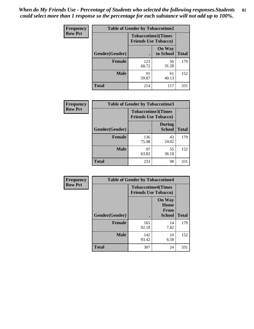| <b>Frequency</b> | <b>Table of Gender by Tobaccotime2</b> |                                                          |                            |              |
|------------------|----------------------------------------|----------------------------------------------------------|----------------------------|--------------|
| <b>Row Pct</b>   |                                        | <b>Tobaccotime2(Times</b><br><b>Friends Use Tobacco)</b> |                            |              |
|                  | Gender(Gender)                         |                                                          | <b>On Way</b><br>to School | <b>Total</b> |
|                  | <b>Female</b>                          | 123<br>68.72                                             | 56<br>31.28                | 179          |
|                  | <b>Male</b>                            | 91<br>59.87                                              | 61<br>40.13                | 152          |
|                  | <b>Total</b>                           | 214                                                      | 117                        | 331          |

| <b>Frequency</b> | <b>Table of Gender by Tobaccotime3</b> |                             |                                |              |
|------------------|----------------------------------------|-----------------------------|--------------------------------|--------------|
| <b>Row Pct</b>   |                                        | <b>Friends Use Tobacco)</b> | <b>Tobaccotime3(Times</b>      |              |
|                  | Gender(Gender)                         |                             | <b>During</b><br><b>School</b> | <b>Total</b> |
|                  | <b>Female</b>                          | 136<br>75.98                | 43<br>24.02                    | 179          |
|                  | <b>Male</b>                            | 97<br>63.82                 | 55<br>36.18                    | 152          |
|                  | <b>Total</b>                           | 233                         | 98                             | 331          |

| <b>Frequency</b> | <b>Table of Gender by Tobaccotime4</b> |                                                          |                                                       |              |
|------------------|----------------------------------------|----------------------------------------------------------|-------------------------------------------------------|--------------|
| <b>Row Pct</b>   |                                        | <b>Tobaccotime4(Times</b><br><b>Friends Use Tobacco)</b> |                                                       |              |
|                  | Gender(Gender)                         |                                                          | <b>On Way</b><br>Home<br><b>From</b><br><b>School</b> | <b>Total</b> |
|                  | <b>Female</b>                          | 165<br>92.18                                             | 14<br>7.82                                            | 179          |
|                  | <b>Male</b>                            | 142<br>93.42                                             | 10<br>6.58                                            | 152          |
|                  | <b>Total</b>                           | 307                                                      | 24                                                    | 331          |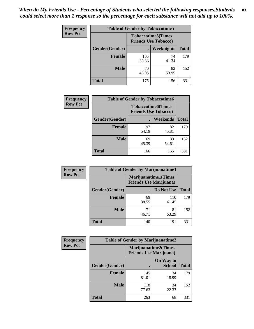| Frequency      | <b>Table of Gender by Tobaccotime5</b> |              |                                                          |              |
|----------------|----------------------------------------|--------------|----------------------------------------------------------|--------------|
| <b>Row Pct</b> |                                        |              | <b>Tobaccotime5(Times</b><br><b>Friends Use Tobacco)</b> |              |
|                | Gender(Gender)                         |              | Weeknights                                               | <b>Total</b> |
|                | <b>Female</b>                          | 105<br>58.66 | 74<br>41.34                                              | 179          |
|                | <b>Male</b>                            | 70<br>46.05  | 82<br>53.95                                              | 152          |
|                | <b>Total</b>                           | 175          | 156                                                      | 331          |

| <b>Frequency</b> |                | <b>Table of Gender by Tobaccotime6</b>                   |             |              |
|------------------|----------------|----------------------------------------------------------|-------------|--------------|
| <b>Row Pct</b>   |                | <b>Tobaccotime6(Times</b><br><b>Friends Use Tobacco)</b> |             |              |
|                  | Gender(Gender) |                                                          | Weekends    | <b>Total</b> |
|                  | Female         | 97<br>54.19                                              | 82<br>45.81 | 179          |
|                  | <b>Male</b>    | 69<br>45.39                                              | 83<br>54.61 | 152          |
|                  | <b>Total</b>   | 166                                                      | 165         | 331          |

| <b>Frequency</b> | <b>Table of Gender by Marijuanatime1</b> |                                |                             |              |
|------------------|------------------------------------------|--------------------------------|-----------------------------|--------------|
| <b>Row Pct</b>   |                                          | <b>Friends Use Marijuana</b> ) | <b>Marijuanatime1(Times</b> |              |
|                  | Gender(Gender)                           |                                | Do Not Use                  | <b>Total</b> |
|                  | <b>Female</b>                            | 69<br>38.55                    | 110<br>61.45                | 179          |
|                  | <b>Male</b>                              | 71<br>46.71                    | 81<br>53.29                 | 152          |
|                  | <b>Total</b>                             | 140                            | 191                         | 331          |

| <b>Frequency</b> | <b>Table of Gender by Marijuanatime2</b> |                                                        |                            |              |
|------------------|------------------------------------------|--------------------------------------------------------|----------------------------|--------------|
| <b>Row Pct</b>   |                                          | Marijuanatime2(Times<br><b>Friends Use Marijuana</b> ) |                            |              |
|                  | Gender(Gender)                           |                                                        | On Way to<br><b>School</b> | <b>Total</b> |
|                  | Female                                   | 145<br>81.01                                           | 34<br>18.99                | 179          |
|                  | <b>Male</b>                              | 118<br>77.63                                           | 34<br>22.37                | 152          |
|                  | <b>Total</b>                             | 263                                                    | 68                         | 331          |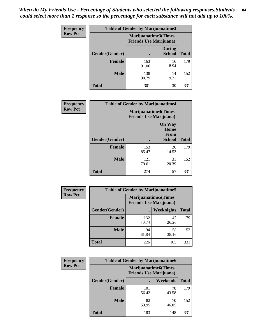*When do My Friends Use - Percentage of Students who selected the following responses.Students could select more than 1 response so the percentage for each substance will not add up to 100%.* **84**

| <b>Frequency</b> | Table of Gender by Marijuanatime3 |                                                        |                                |              |
|------------------|-----------------------------------|--------------------------------------------------------|--------------------------------|--------------|
| <b>Row Pct</b>   |                                   | Marijuanatime3(Times<br><b>Friends Use Marijuana</b> ) |                                |              |
|                  | Gender(Gender)                    |                                                        | <b>During</b><br><b>School</b> | <b>Total</b> |
|                  | <b>Female</b>                     | 163<br>91.06                                           | 16<br>8.94                     | 179          |
|                  | <b>Male</b>                       | 138<br>90.79                                           | 14<br>9.21                     | 152          |
|                  | <b>Total</b>                      | 301                                                    | 30                             | 331          |

| Frequency      | <b>Table of Gender by Marijuanatime4</b> |                                                               |                                                       |              |
|----------------|------------------------------------------|---------------------------------------------------------------|-------------------------------------------------------|--------------|
| <b>Row Pct</b> |                                          | <b>Marijuanatime4(Times</b><br><b>Friends Use Marijuana</b> ) |                                                       |              |
|                | Gender(Gender)                           |                                                               | <b>On Way</b><br>Home<br><b>From</b><br><b>School</b> | <b>Total</b> |
|                | <b>Female</b>                            | 153<br>85.47                                                  | 26<br>14.53                                           | 179          |
|                | <b>Male</b>                              | 121<br>79.61                                                  | 31<br>20.39                                           | 152          |
|                | <b>Total</b>                             | 274                                                           | 57                                                    | 331          |

| Frequency      | <b>Table of Gender by Marijuanatime5</b> |              |                                                                |              |  |
|----------------|------------------------------------------|--------------|----------------------------------------------------------------|--------------|--|
| <b>Row Pct</b> |                                          |              | <b>Marijuanatime5</b> (Times<br><b>Friends Use Marijuana</b> ) |              |  |
|                | Gender(Gender)                           | ٠            | Weeknights                                                     | <b>Total</b> |  |
|                | <b>Female</b>                            | 132<br>73.74 | 47<br>26.26                                                    | 179          |  |
|                | <b>Male</b>                              | 94<br>61.84  | 58<br>38.16                                                    | 152          |  |
|                | <b>Total</b>                             | 226          | 105                                                            | 331          |  |

| Frequency      | <b>Table of Gender by Marijuanatime6</b> |                                                               |                 |              |  |
|----------------|------------------------------------------|---------------------------------------------------------------|-----------------|--------------|--|
| <b>Row Pct</b> |                                          | <b>Marijuanatime6(Times</b><br><b>Friends Use Marijuana</b> ) |                 |              |  |
|                | Gender(Gender)                           |                                                               | <b>Weekends</b> | <b>Total</b> |  |
|                | <b>Female</b>                            | 101<br>56.42                                                  | 78<br>43.58     | 179          |  |
|                | <b>Male</b>                              | 82<br>53.95                                                   | 70<br>46.05     | 152          |  |
|                | <b>Total</b>                             | 183                                                           | 148             | 331          |  |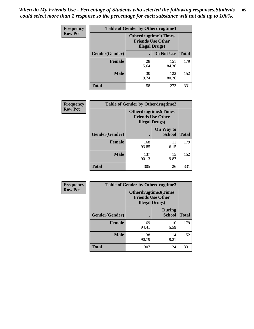| <b>Frequency</b> | <b>Table of Gender by Otherdrugtime1</b> |                                                                                   |              |              |
|------------------|------------------------------------------|-----------------------------------------------------------------------------------|--------------|--------------|
| <b>Row Pct</b>   |                                          | <b>Otherdrugtime1(Times</b><br><b>Friends Use Other</b><br><b>Illegal Drugs</b> ) |              |              |
|                  | Gender(Gender)                           |                                                                                   | Do Not Use   | <b>Total</b> |
|                  | <b>Female</b>                            | 28<br>15.64                                                                       | 151<br>84.36 | 179          |
|                  | <b>Male</b>                              | 30<br>19.74                                                                       | 122<br>80.26 | 152          |
|                  | <b>Total</b>                             | 58                                                                                | 273          | 331          |

| <b>Frequency</b> | <b>Table of Gender by Otherdrugtime2</b> |                                                                                   |                            |              |
|------------------|------------------------------------------|-----------------------------------------------------------------------------------|----------------------------|--------------|
| <b>Row Pct</b>   |                                          | <b>Otherdrugtime2(Times</b><br><b>Friends Use Other</b><br><b>Illegal Drugs</b> ) |                            |              |
|                  | Gender(Gender)                           |                                                                                   | On Way to<br><b>School</b> | <b>Total</b> |
|                  | <b>Female</b>                            | 168<br>93.85                                                                      | 11<br>6.15                 | 179          |
|                  | <b>Male</b>                              | 137<br>90.13                                                                      | 15<br>9.87                 | 152          |
|                  | <b>Total</b>                             | 305                                                                               | 26                         | 331          |

| <b>Frequency</b> | Table of Gender by Otherdrugtime3 |                                                                            |                                |              |
|------------------|-----------------------------------|----------------------------------------------------------------------------|--------------------------------|--------------|
| <b>Row Pct</b>   |                                   | Otherdrugtime3(Times<br><b>Friends Use Other</b><br><b>Illegal Drugs</b> ) |                                |              |
|                  | Gender(Gender)                    |                                                                            | <b>During</b><br><b>School</b> | <b>Total</b> |
|                  | <b>Female</b>                     | 169<br>94.41                                                               | 10<br>5.59                     | 179          |
|                  | <b>Male</b>                       | 138<br>90.79                                                               | 14<br>9.21                     | 152          |
|                  | <b>Total</b>                      | 307                                                                        | 24                             | 331          |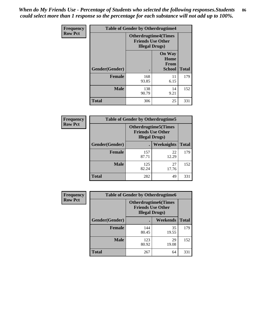*When do My Friends Use - Percentage of Students who selected the following responses.Students could select more than 1 response so the percentage for each substance will not add up to 100%.* **86**

| <b>Frequency</b> | <b>Table of Gender by Otherdrugtime4</b> |                                                    |                                                       |              |
|------------------|------------------------------------------|----------------------------------------------------|-------------------------------------------------------|--------------|
| <b>Row Pct</b>   |                                          | <b>Friends Use Other</b><br><b>Illegal Drugs</b> ) | <b>Otherdrugtime4(Times</b>                           |              |
|                  | Gender(Gender)                           |                                                    | <b>On Way</b><br>Home<br><b>From</b><br><b>School</b> | <b>Total</b> |
|                  | <b>Female</b>                            | 168<br>93.85                                       | 11<br>6.15                                            | 179          |
|                  | <b>Male</b>                              | 138<br>90.79                                       | 14<br>9.21                                            | 152          |
|                  | <b>Total</b>                             | 306                                                | 25                                                    | 331          |

| Frequency      | <b>Table of Gender by Otherdrugtime5</b> |                                                                                    |             |              |
|----------------|------------------------------------------|------------------------------------------------------------------------------------|-------------|--------------|
| <b>Row Pct</b> |                                          | <b>Otherdrugtime5</b> (Times<br><b>Friends Use Other</b><br><b>Illegal Drugs</b> ) |             |              |
|                | Gender(Gender)                           |                                                                                    | Weeknights  | <b>Total</b> |
|                | <b>Female</b>                            | 157<br>87.71                                                                       | 22<br>12.29 | 179          |
|                | <b>Male</b>                              | 125<br>82.24                                                                       | 27<br>17.76 | 152          |
|                | <b>Total</b>                             | 282                                                                                | 49          | 331          |

| <b>Frequency</b> | <b>Table of Gender by Otherdrugtime6</b> |                                                                                   |             |              |
|------------------|------------------------------------------|-----------------------------------------------------------------------------------|-------------|--------------|
| <b>Row Pct</b>   |                                          | <b>Otherdrugtime6(Times</b><br><b>Friends Use Other</b><br><b>Illegal Drugs</b> ) |             |              |
|                  | Gender(Gender)                           |                                                                                   | Weekends    | <b>Total</b> |
|                  | <b>Female</b>                            | 144<br>80.45                                                                      | 35<br>19.55 | 179          |
|                  | <b>Male</b>                              | 123<br>80.92                                                                      | 29<br>19.08 | 152          |
|                  | <b>Total</b>                             | 267                                                                               | 64          | 331          |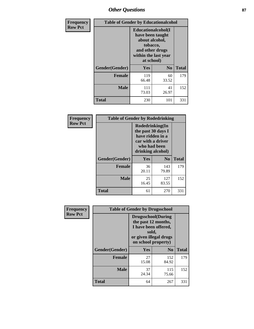# *Other Questions* **87**

| <b>Frequency</b> | <b>Table of Gender by Educationalcohol</b> |                                                                                                                                       |                |              |  |
|------------------|--------------------------------------------|---------------------------------------------------------------------------------------------------------------------------------------|----------------|--------------|--|
| <b>Row Pct</b>   |                                            | <b>Educationalcohol</b> (I<br>have been taught<br>about alcohol,<br>tobacco,<br>and other drugs<br>within the last year<br>at school) |                |              |  |
|                  | Gender(Gender)                             | <b>Yes</b>                                                                                                                            | N <sub>0</sub> | <b>Total</b> |  |
|                  | <b>Female</b>                              | 119<br>66.48                                                                                                                          | 60<br>33.52    | 179          |  |
|                  | <b>Male</b>                                | 111<br>73.03                                                                                                                          | 41<br>26.97    | 152          |  |
|                  | <b>Total</b>                               | 230                                                                                                                                   | 101            | 331          |  |

| Frequency      | <b>Table of Gender by Rodedrinking</b> |                                                                                                                     |                |              |  |
|----------------|----------------------------------------|---------------------------------------------------------------------------------------------------------------------|----------------|--------------|--|
| <b>Row Pct</b> |                                        | Rodedrinking(In<br>the past 30 days I<br>have ridden in a<br>car with a driver<br>who had been<br>drinking alcohol) |                |              |  |
|                | Gender(Gender)                         | Yes                                                                                                                 | N <sub>0</sub> | <b>Total</b> |  |
|                | <b>Female</b>                          | 36<br>20.11                                                                                                         | 143<br>79.89   | 179          |  |
|                | <b>Male</b>                            | 25<br>16.45                                                                                                         | 127<br>83.55   | 152          |  |
|                | <b>Total</b>                           | 61                                                                                                                  | 270            | 331          |  |

| Frequency      | <b>Table of Gender by Drugsschool</b> |                                                                                                                                     |                |              |  |
|----------------|---------------------------------------|-------------------------------------------------------------------------------------------------------------------------------------|----------------|--------------|--|
| <b>Row Pct</b> |                                       | <b>Drugsschool</b> (During<br>the past 12 months,<br>I have been offered,<br>sold,<br>or given illegal drugs<br>on school property) |                |              |  |
|                | Gender(Gender)                        | Yes                                                                                                                                 | N <sub>0</sub> | <b>Total</b> |  |
|                | <b>Female</b>                         | 27<br>15.08                                                                                                                         | 152<br>84.92   | 179          |  |
|                | <b>Male</b>                           | 37<br>24.34                                                                                                                         | 115<br>75.66   | 152          |  |
|                | <b>Total</b>                          | 64                                                                                                                                  | 267            | 331          |  |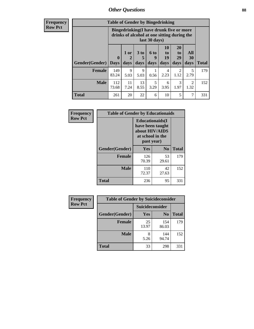# *Other Questions* **88**

**Frequency Row Pct**

| <b>Table of Gender by Bingedrinking</b> |                         |                                                                                                         |                   |                   |                        |                               |                        |              |
|-----------------------------------------|-------------------------|---------------------------------------------------------------------------------------------------------|-------------------|-------------------|------------------------|-------------------------------|------------------------|--------------|
|                                         |                         | Bingedrinking(I have drunk five or more<br>drinks of alcohol at one sitting during the<br>last 30 days) |                   |                   |                        |                               |                        |              |
| <b>Gender</b> (Gender)                  | $\bf{0}$<br><b>Days</b> | 1 or<br>days                                                                                            | 3 to<br>5<br>days | 6 to<br>9<br>days | 10<br>to<br>19<br>days | <b>20</b><br>to<br>29<br>days | All<br>30<br>days      | <b>Total</b> |
| <b>Female</b>                           | 149                     | 9                                                                                                       | 9                 |                   | 4                      | 2                             | 5                      | 179          |
|                                         | 83.24                   | 5.03                                                                                                    | 5.03              | 0.56              | 2.23                   | 1.12                          | 2.79                   |              |
| <b>Male</b>                             | 112<br>73.68            | 11<br>7.24                                                                                              | 13<br>8.55        | 5<br>3.29         | 6<br>3.95              | 3<br>1.97                     | $\mathfrak{D}$<br>1.32 | 152          |

| Frequency      | <b>Table of Gender by Educationaids</b> |                                                                                                 |                |              |  |
|----------------|-----------------------------------------|-------------------------------------------------------------------------------------------------|----------------|--------------|--|
| <b>Row Pct</b> |                                         | <b>Educationaids</b> (I<br>have been taught<br>about HIV/AIDS<br>at school in the<br>past year) |                |              |  |
|                | Gender(Gender)                          | Yes                                                                                             | N <sub>0</sub> | <b>Total</b> |  |
|                | <b>Female</b>                           | 126<br>70.39                                                                                    | 53<br>29.61    | 179          |  |
|                | <b>Male</b>                             | 110<br>72.37                                                                                    | 42<br>27.63    | 152          |  |
|                | <b>Total</b>                            | 236                                                                                             | 95             | 331          |  |

| <b>Frequency</b> | <b>Table of Gender by Suicideconsider</b> |                 |                |              |  |
|------------------|-------------------------------------------|-----------------|----------------|--------------|--|
| <b>Row Pct</b>   |                                           | Suicideconsider |                |              |  |
|                  | Gender(Gender)                            | Yes             | N <sub>0</sub> | <b>Total</b> |  |
|                  | <b>Female</b>                             | 25<br>13.97     | 154<br>86.03   | 179          |  |
|                  | <b>Male</b>                               | 8<br>5.26       | 144<br>94.74   | 152          |  |
|                  | Total                                     | 33              | 298            | 331          |  |